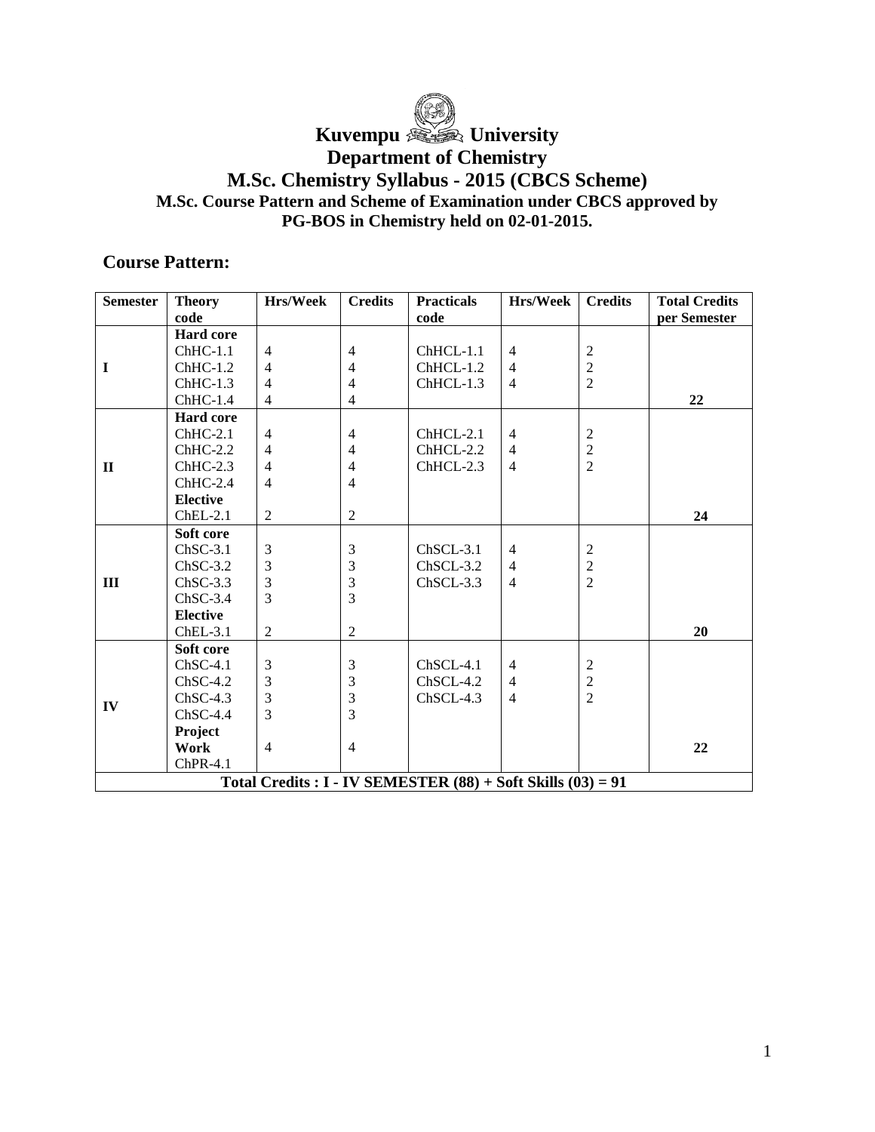

# Kuvempu *<u>Compuned</u>* University

## **Department of Chemistry**

## **M.Sc. Chemistry Syllabus - 2015 (CBCS Scheme) M.Sc. Course Pattern and Scheme of Examination under CBCS approved by PG-BOS in Chemistry held on 02-01-2015.**

## **Course Pattern:**

| <b>Semester</b> | <b>Theory</b>    | Hrs/Week       | <b>Credits</b> | <b>Practicals</b>                                              | Hrs/Week       | <b>Credits</b>   | <b>Total Credits</b> |
|-----------------|------------------|----------------|----------------|----------------------------------------------------------------|----------------|------------------|----------------------|
|                 | code             |                |                | code                                                           |                |                  | per Semester         |
|                 | <b>Hard core</b> |                |                |                                                                |                |                  |                      |
|                 | $ChHC-1.1$       | $\overline{4}$ | $\overline{4}$ | ChHCL-1.1                                                      | $\overline{4}$ | $\sqrt{2}$       |                      |
| I               | $ChHC-1.2$       | $\overline{4}$ | $\overline{4}$ | ChHCL-1.2                                                      | $\overline{4}$ | $\overline{c}$   |                      |
|                 | $ChHC-1.3$       | $\overline{4}$ | $\overline{4}$ | ChHCL-1.3                                                      | $\overline{4}$ | $\overline{2}$   |                      |
|                 | $ChHC-1.4$       | $\overline{4}$ | $\overline{4}$ |                                                                |                |                  | 22                   |
|                 | <b>Hard core</b> |                |                |                                                                |                |                  |                      |
|                 | $ChHC-2.1$       | $\overline{4}$ | $\overline{4}$ | ChHCL-2.1                                                      | $\overline{4}$ | $\sqrt{2}$       |                      |
|                 | $ChHC-2.2$       | $\overline{4}$ | $\overline{4}$ | $ChHCL-2.2$                                                    | $\overline{4}$ | $\frac{2}{2}$    |                      |
| $\mathbf{I}$    | $ChHC-2.3$       | $\overline{4}$ | $\overline{4}$ | ChHCL-2.3                                                      | $\overline{4}$ |                  |                      |
|                 | $ChHC-2.4$       | $\overline{4}$ | $\overline{4}$ |                                                                |                |                  |                      |
|                 | <b>Elective</b>  |                |                |                                                                |                |                  |                      |
|                 | $ChEL-2.1$       | 2              | $\overline{2}$ |                                                                |                |                  | 24                   |
|                 | Soft core        |                |                |                                                                |                |                  |                      |
|                 | $ChSC-3.1$       | 3              | 3              | $ChSCL-3.1$                                                    | $\overline{4}$ | $\boldsymbol{2}$ |                      |
|                 | $ChSC-3.2$       | 3              | 3              | $ChSCL-3.2$                                                    | $\overline{4}$ | $\frac{2}{2}$    |                      |
| $\mathbf{I}$    | $ChSC-3.3$       | 3              | $\overline{3}$ | $ChSCL-3.3$                                                    | $\overline{4}$ |                  |                      |
|                 | $ChSC-3.4$       | $\overline{3}$ | 3              |                                                                |                |                  |                      |
|                 | <b>Elective</b>  |                |                |                                                                |                |                  |                      |
|                 | $ChEL-3.1$       | 2              | 2              |                                                                |                |                  | 20                   |
|                 | Soft core        |                |                |                                                                |                |                  |                      |
|                 | $ChSC-4.1$       | $\mathfrak{Z}$ | $\mathfrak{Z}$ | ChSCL-4.1                                                      | $\overline{4}$ | $\overline{2}$   |                      |
|                 | $ChSC-4.2$       | 3              | 3              | $ChSCL-4.2$                                                    | $\overline{4}$ | $\sqrt{2}$       |                      |
| IV              | $ChSC-4.3$       | 3              | 3              | $ChSCL-4.3$                                                    | $\overline{4}$ | $\overline{2}$   |                      |
|                 | $ChSC-4.4$       | 3              | $\overline{3}$ |                                                                |                |                  |                      |
|                 | Project          |                |                |                                                                |                |                  |                      |
|                 | Work             | $\overline{4}$ | $\overline{4}$ |                                                                |                |                  | 22                   |
|                 | $ChPR-4.1$       |                |                |                                                                |                |                  |                      |
|                 |                  |                |                | Total Credits : $I - IV$ SEMESTER (88) + Soft Skills (03) = 91 |                |                  |                      |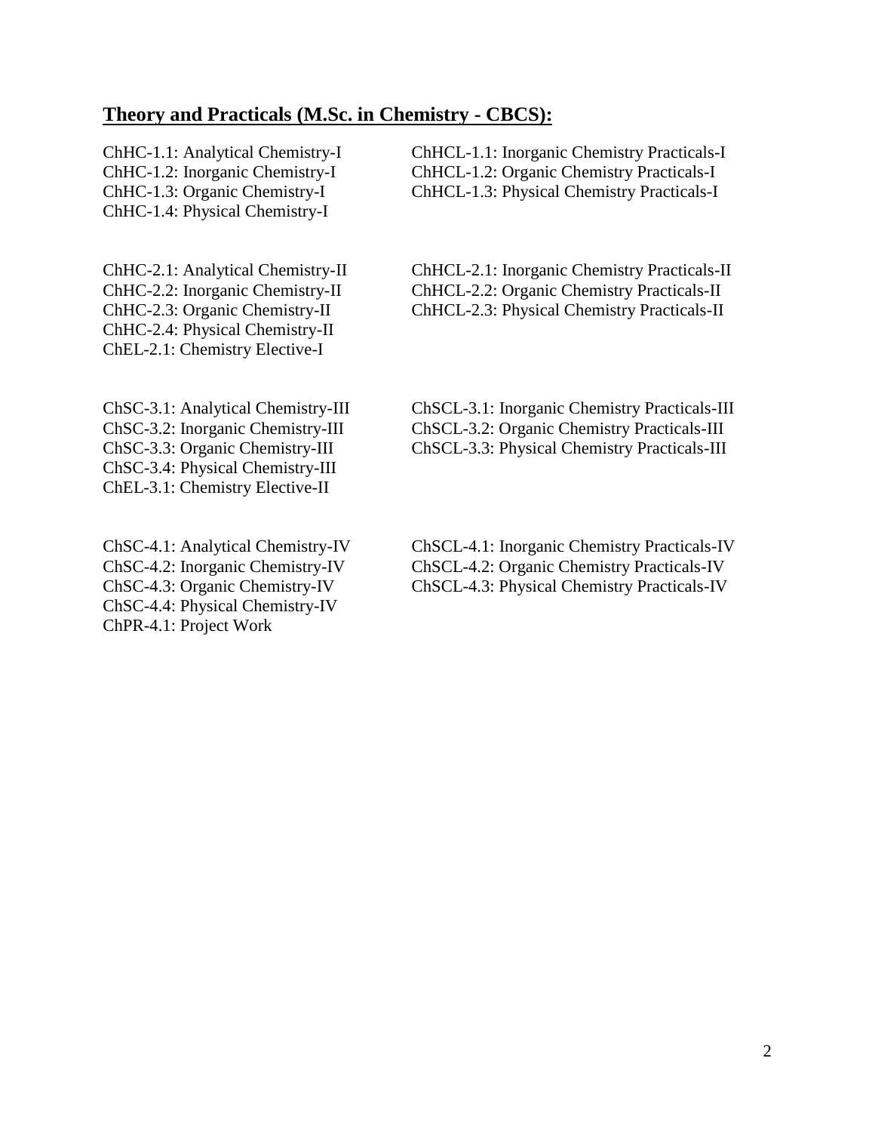## **Theory and Practicals (M.Sc. in Chemistry - CBCS):**

ChHC-1.4: Physical Chemistry-I

ChHC-2.4: Physical Chemistry-II ChEL-2.1: Chemistry Elective-I

ChSC-3.4: Physical Chemistry-III ChEL-3.1: Chemistry Elective-II

ChSC-4.4: Physical Chemistry-IV ChPR-4.1: Project Work

ChHC-1.1: Analytical Chemistry-I ChHCL-1.1: Inorganic Chemistry Practicals-I ChHC-1.2: Inorganic Chemistry-I ChHCL-1.2: Organic Chemistry Practicals-I ChHC-1.3: Organic Chemistry-I ChHCL-1.3: Physical Chemistry Practicals-I

ChHC-2.1: Analytical Chemistry-II ChHCL-2.1: Inorganic Chemistry Practicals-II ChHC-2.2: Inorganic Chemistry-II ChHCL-2.2: Organic Chemistry Practicals-II ChHC-2.3: Organic Chemistry-II ChHCL-2.3: Physical Chemistry Practicals-II

ChSC-3.1: Analytical Chemistry-III ChSCL-3.1: Inorganic Chemistry Practicals-III ChSC-3.2: Inorganic Chemistry-III ChSCL-3.2: Organic Chemistry Practicals-III ChSCL-3.3: Physical Chemistry Practicals-III

ChSC-4.1: Analytical Chemistry-IV ChSCL-4.1: Inorganic Chemistry Practicals-IV ChSC-4.2: Inorganic Chemistry-IV ChSCL-4.2: Organic Chemistry Practicals-IV ChSC-4.3: Organic Chemistry-IV ChSCL-4.3: Physical Chemistry Practicals-IV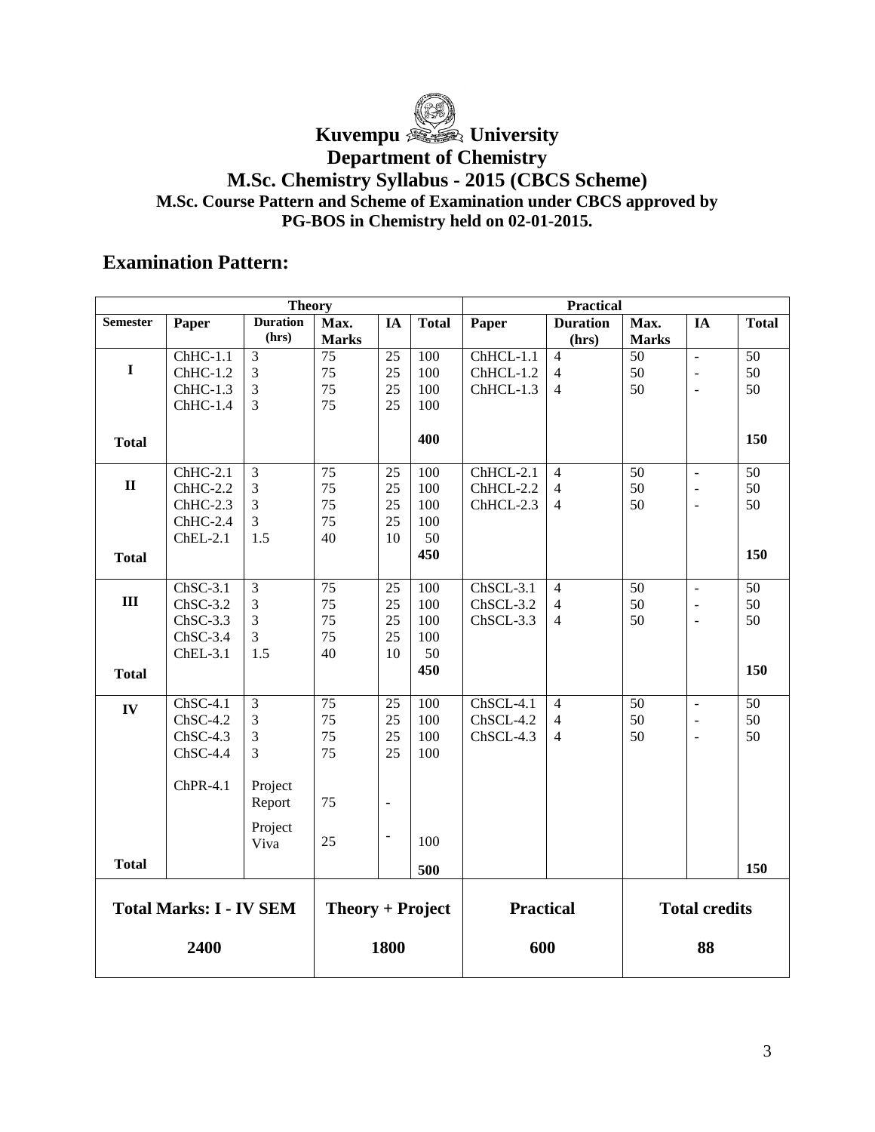Kuvempu *<u>Compuned</u>* University

**Department of Chemistry**

## **M.Sc. Chemistry Syllabus - 2015 (CBCS Scheme) M.Sc. Course Pattern and Scheme of Examination under CBCS approved by PG-BOS in Chemistry held on 02-01-2015.**

# **Examination Pattern:**

| Theory                         |            |                 |                    | <b>Practical</b> |              |                  |                 |              |                          |                 |
|--------------------------------|------------|-----------------|--------------------|------------------|--------------|------------------|-----------------|--------------|--------------------------|-----------------|
| <b>Semester</b>                | Paper      | <b>Duration</b> | Max.               | IA               | <b>Total</b> | Paper            | <b>Duration</b> | Max.         | IA                       | <b>Total</b>    |
|                                |            | (hrs)           | <b>Marks</b>       |                  |              |                  | (hrs)           | <b>Marks</b> |                          |                 |
|                                | $ChHC-1.1$ | $\mathfrak{Z}$  | $\overline{75}$    | 25               | 100          | $ChHCL-1.1$      | $\overline{4}$  | 50           | $\overline{a}$           | $\overline{50}$ |
| $\mathbf I$                    | $ChHC-1.2$ | 3               | 75                 | 25               | 100          | ChHCL-1.2        | $\overline{4}$  | 50           | $\Box$                   | 50              |
|                                | ChHC-1.3   | 3               | 75                 | 25               | 100          | ChHCL-1.3        | $\overline{4}$  | 50           | $\overline{a}$           | 50              |
|                                | $ChHC-1.4$ | 3               | 75                 | 25               | 100          |                  |                 |              |                          |                 |
|                                |            |                 |                    |                  |              |                  |                 |              |                          |                 |
| <b>Total</b>                   |            |                 |                    |                  | 400          |                  |                 |              |                          | 150             |
|                                |            |                 |                    |                  |              |                  |                 |              |                          |                 |
|                                | $ChHC-2.1$ | $\mathfrak{Z}$  | 75                 | 25               | 100          | ChHCL-2.1        | $\overline{4}$  | 50           | $\overline{\phantom{a}}$ | 50              |
| $\mathbf{I}$                   | $ChHC-2.2$ | 3               | 75                 | 25               | 100          | ChHCL-2.2        | $\overline{4}$  | 50           | $\overline{a}$           | 50              |
|                                | $ChHC-2.3$ | 3               | 75                 | 25               | 100          | ChHCL-2.3        | $\overline{4}$  | 50           | $\overline{a}$           | 50              |
|                                | ChHC-2.4   | $\mathfrak{Z}$  | 75                 | 25               | 100          |                  |                 |              |                          |                 |
|                                | $ChEL-2.1$ | 1.5             | 40                 | 10               | 50           |                  |                 |              |                          |                 |
| <b>Total</b>                   |            |                 |                    |                  | 450          |                  |                 |              |                          | 150             |
|                                |            |                 |                    |                  |              |                  |                 |              |                          |                 |
|                                | $ChSC-3.1$ | 3               | 75                 | 25               | 100          | $ChSCL-3.1$      | $\overline{4}$  | 50           | $\bar{\phantom{a}}$      | 50              |
| $\mathbf{III}$                 | $ChSC-3.2$ | 3               | 75                 | 25               | 100          | ChSCL-3.2        | $\overline{4}$  | 50           | $\overline{a}$           | 50              |
|                                | $ChSC-3.3$ | 3               | 75                 | 25               | 100          | ChSCL-3.3        | $\overline{4}$  | 50           | $\overline{a}$           | 50              |
|                                | $ChSC-3.4$ | 3               | 75                 | 25               | 100          |                  |                 |              |                          |                 |
|                                | $ChEL-3.1$ | 1.5             | 40                 | 10               | 50           |                  |                 |              |                          |                 |
| <b>Total</b>                   |            |                 |                    |                  | 450          |                  |                 |              |                          | 150             |
|                                |            |                 |                    |                  |              |                  |                 |              |                          |                 |
| IV                             | $ChSC-4.1$ | 3               | $\overline{75}$    | 25               | 100          | ChSCL-4.1        | $\overline{4}$  | 50           | $\overline{a}$           | 50              |
|                                | $ChSC-4.2$ | 3               | 75                 | 25               | 100          | ChSCL-4.2        | $\overline{4}$  | 50           | $\overline{a}$           | 50              |
|                                | $ChSC-4.3$ | 3               | 75                 | 25               | 100          | ChSCL-4.3        | $\overline{4}$  | 50           | $\blacksquare$           | 50              |
|                                | $ChSC-4.4$ | 3               | 75                 | 25               | 100          |                  |                 |              |                          |                 |
|                                |            |                 |                    |                  |              |                  |                 |              |                          |                 |
|                                | $ChPR-4.1$ | Project         |                    |                  |              |                  |                 |              |                          |                 |
|                                |            | Report          | 75                 | $\overline{a}$   |              |                  |                 |              |                          |                 |
|                                |            | Project         |                    |                  |              |                  |                 |              |                          |                 |
|                                |            | Viva            | 25                 | $\overline{a}$   | 100          |                  |                 |              |                          |                 |
|                                |            |                 |                    |                  |              |                  |                 |              |                          |                 |
| <b>Total</b>                   |            |                 |                    |                  | 500          |                  |                 |              |                          | 150             |
|                                |            |                 |                    |                  |              |                  |                 |              |                          |                 |
| <b>Total Marks: I - IV SEM</b> |            |                 | $Theory + Project$ |                  |              | <b>Practical</b> |                 |              | <b>Total credits</b>     |                 |
|                                |            |                 |                    |                  |              |                  |                 |              |                          |                 |
|                                | 2400       |                 |                    | 1800             |              | 600              |                 |              | 88                       |                 |
|                                |            |                 |                    |                  |              |                  |                 |              |                          |                 |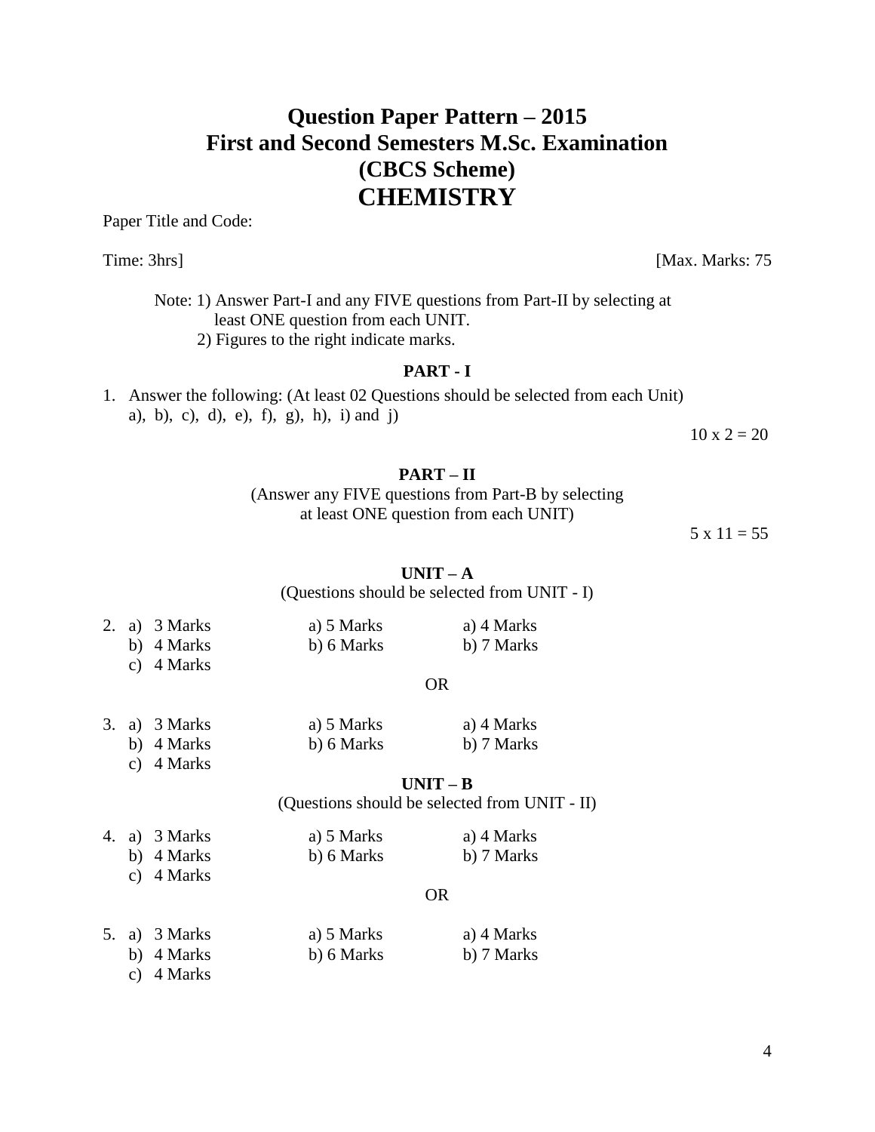# **Question Paper Pattern – 2015 First and Second Semesters M.Sc. Examination (CBCS Scheme) CHEMISTRY**

Paper Title and Code:

Time: 3hrs] [Max. Marks: 75]

Note: 1) Answer Part-I and any FIVE questions from Part-II by selecting at least ONE question from each UNIT. 2) Figures to the right indicate marks.

#### **PART - I**

1. Answer the following: (At least 02 Questions should be selected from each Unit) a), b), c), d), e), f), g), h), i) and j)

 $10 \times 2 = 20$ 

### **PART – II**

(Answer any FIVE questions from Part-B by selecting at least ONE question from each UNIT)

 $5 \times 11 = 55$ 

### $UNIT - A$

(Questions should be selected from UNIT - I)

|  | 2. a) $3 Marks$ | a) 5 Marks | a) 4 Marks |
|--|-----------------|------------|------------|
|  | b) 4 Marks      | b) 6 Marks | b) 7 Marks |

c) 4 Marks

#### OR

|  | 3. a) $3 Marks$ | a) 5 Marks | a) 4 Marks |
|--|-----------------|------------|------------|
|  | b) 4 Marks      | b) 6 Marks | b) 7 Marks |

c) 4 Marks

### **UNIT – B**

(Questions should be selected from UNIT - II)

| 4. a) 3 Marks              | a) 5 Marks | a) 4 Marks |
|----------------------------|------------|------------|
| b) 4 Marks                 | b) 6 Marks | b) 7 Marks |
| $\sqrt{4 \cdot 4 \cdot 4}$ |            |            |

#### OR

|  | 5. a) 3 Marks | a) 5 Marks | a) 4 Marks |
|--|---------------|------------|------------|
|  | b) 4 Marks    | b) 6 Marks | b) 7 Marks |

c) 4 Marks

c) 4 Marks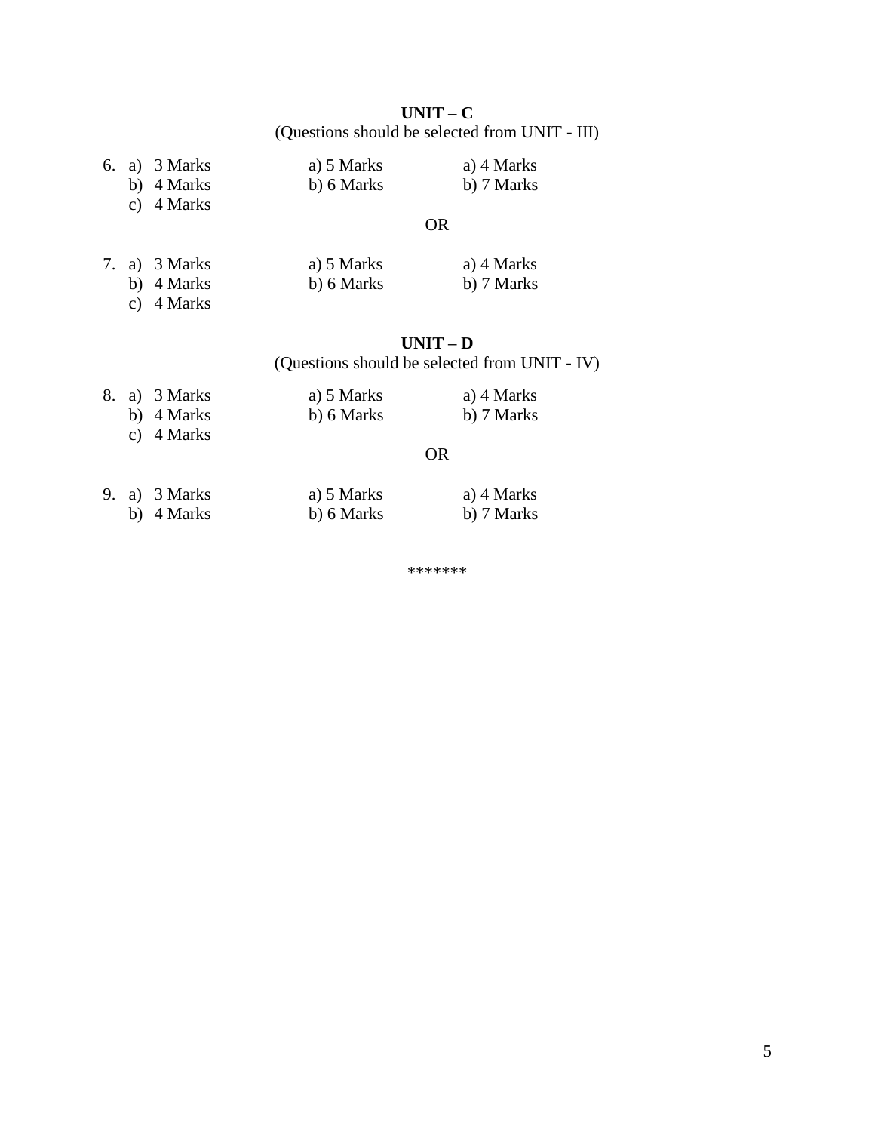**UNIT – C** (Questions should be selected from UNIT - III)

|  | 6. a) $3$ Marks | a) 5 Marks | a) 4 Marks |
|--|-----------------|------------|------------|
|  | b) 4 Marks      | b) 6 Marks | b) 7 Marks |
|  | c) $4$ Marks    |            |            |
|  |                 | OR         |            |

## 7. a) 3 Marks a) 5 Marks a) 4 Marks b) 4 Marks b) 6 Marks b) 7 Marks

c) 4 Marks

# **UNIT – D**

(Questions should be selected from UNIT - IV)

| 8. a) 3 Marks | a) 5 Marks | a) 4 Marks |
|---------------|------------|------------|
| b) 4 Marks    | b) 6 Marks | b) 7 Marks |
| c) 4 Marks    |            |            |

#### OR

|  | 9. a) $3$ Marks | a) 5 Marks | a) 4 Marks |
|--|-----------------|------------|------------|
|  | b) 4 Marks      | b) 6 Marks | b) 7 Marks |

\*\*\*\*\*\*\*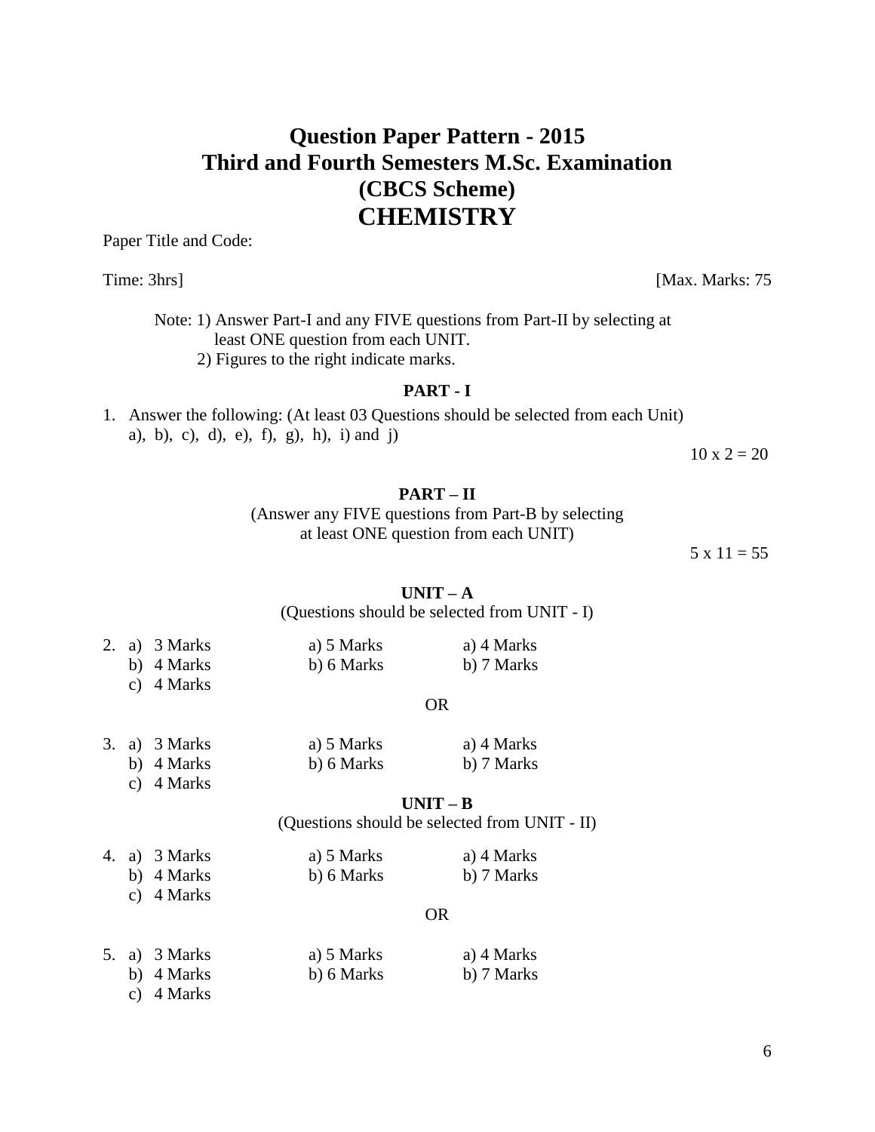# **Question Paper Pattern - 2015 Third and Fourth Semesters M.Sc. Examination (CBCS Scheme) CHEMISTRY**

Paper Title and Code:

Time: 3hrs] [Max. Marks: 75]

Note: 1) Answer Part-I and any FIVE questions from Part-II by selecting at least ONE question from each UNIT. 2) Figures to the right indicate marks.

#### **PART - I**

1. Answer the following: (At least 03 Questions should be selected from each Unit) a), b), c), d), e), f), g), h), i) and j)

 $10 \times 2 = 20$ 

#### **PART – II**

(Answer any FIVE questions from Part-B by selecting at least ONE question from each UNIT)

 $5 \times 11 = 55$ 

 $\mathbf{I} \mathbf{I} \mathbf{N} \mathbf{I} \mathbf{T} - \mathbf{A}$ 

#### (Questions should be selected from UNIT - I)

|  | 2. a) 3 Marks | a) 5 Marks | a) 4 Marks |
|--|---------------|------------|------------|
|  | b) 4 Marks    | b) 6 Marks | b) 7 Marks |
|  | c) $4$ Marks  |            |            |

#### OR

|  | 3. a) 3 Marks | a) 5 Marks | a) 4 Marks |
|--|---------------|------------|------------|
|  | b) 4 Marks    | b) 6 Marks | b) 7 Marks |

c) 4 Marks

#### **UNIT – B**

(Questions should be selected from UNIT - II)

|  | 4. a) 3 Marks | a) 5 Marks | a) 4 Marks |
|--|---------------|------------|------------|
|  | b) 4 Marks    | b) 6 Marks | b) 7 Marks |

c) 4 Marks

#### OR

| 5. a) $3 Marks$ | a) 5 Marks | a) 4 Marks |
|-----------------|------------|------------|
| b) 4 Marks      | b) 6 Marks | b) 7 Marks |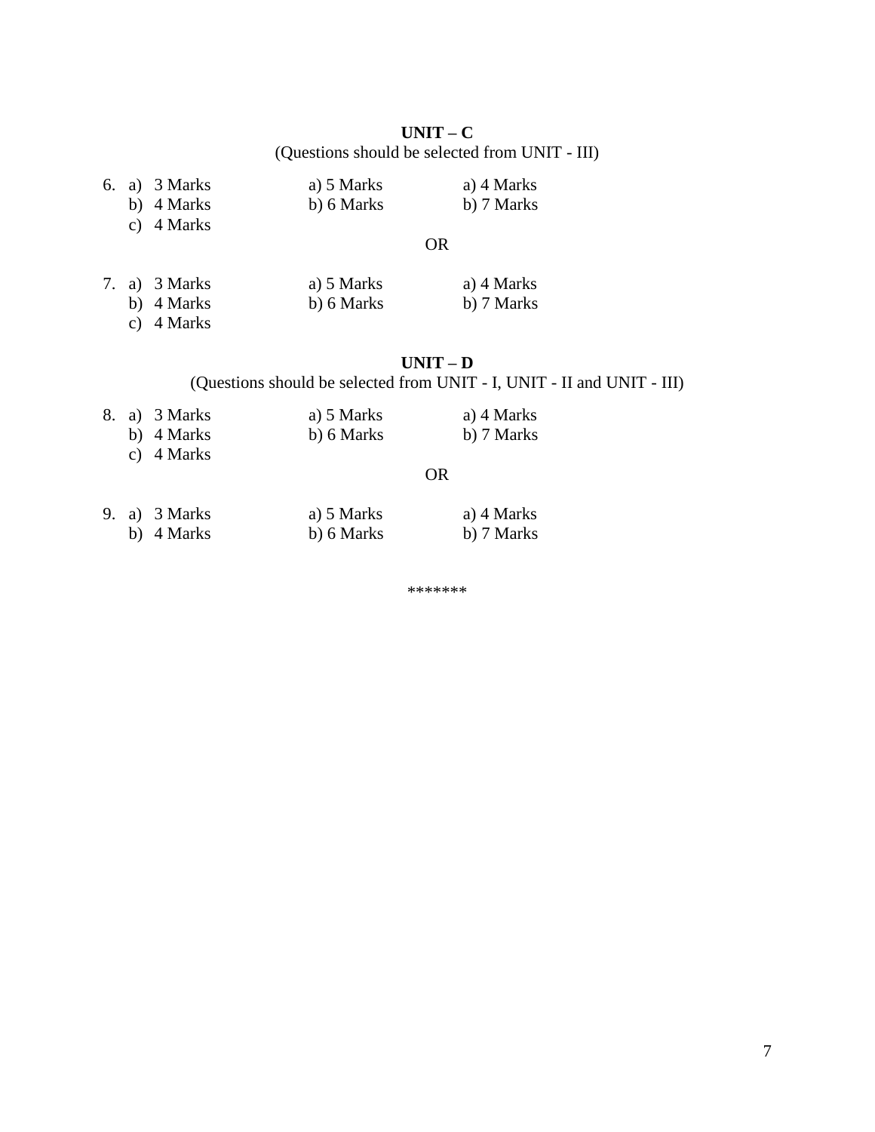**UNIT – C** (Questions should be selected from UNIT - III)

|  | 6. a) 3 Marks | a) 5 Marks | a) 4 Marks |
|--|---------------|------------|------------|
|  | b) 4 Marks    | b) 6 Marks | b) 7 Marks |
|  | c) $4$ Marks  |            |            |

#### OR

| 7. a) 3 Marks | a) 5 Marks | a) 4 Marks |
|---------------|------------|------------|
| b) 4 Marks    | b) 6 Marks | b) 7 Marks |
|               |            |            |

c) 4 Marks

## **UNIT – D**

(Questions should be selected from UNIT - I, UNIT - II and UNIT - III)

|  | 8. a) 3 Marks | a) 5 Marks | a) 4 Marks |
|--|---------------|------------|------------|
|  | b) 4 Marks    | b) 6 Marks | b) 7 Marks |
|  | c) $4$ Marks  |            |            |

### OR

|  | 9. a) $3 Marks$ | a) 5 Marks | a) 4 Marks |
|--|-----------------|------------|------------|
|  | b) 4 Marks      | b) 6 Marks | b) 7 Marks |

\*\*\*\*\*\*\*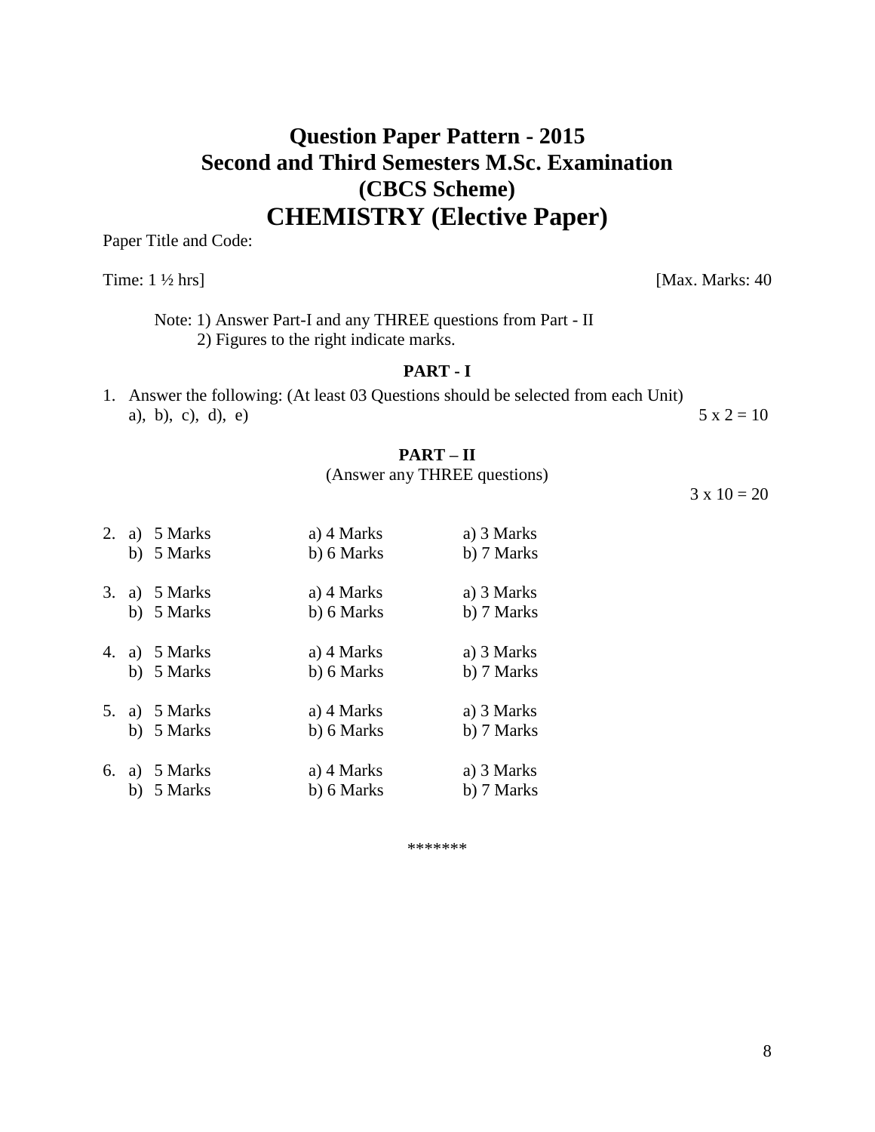# **Question Paper Pattern - 2015 Second and Third Semesters M.Sc. Examination (CBCS Scheme) CHEMISTRY (Elective Paper)**

Paper Title and Code:

Time:  $1 \frac{1}{2}$  hrs] [Max. Marks:  $40$ 

Note: 1) Answer Part-I and any THREE questions from Part - II 2) Figures to the right indicate marks.

### **PART - I**

1. Answer the following: (At least 03 Questions should be selected from each Unit) a), b), c), d), e)  $5 \times 2 = 10$ 

#### **PART – II**

## (Answer any THREE questions)

 $3 \times 10 = 20$ 

| 2. | a) 5 Marks<br>b) 5 Marks | a) 4 Marks<br>b) 6 Marks | a) 3 Marks<br>b) 7 Marks |
|----|--------------------------|--------------------------|--------------------------|
| 3. | a) 5 Marks<br>b) 5 Marks | a) 4 Marks<br>b) 6 Marks | a) 3 Marks<br>b) 7 Marks |
| 4. | a) 5 Marks<br>b) 5 Marks | a) 4 Marks<br>b) 6 Marks | a) 3 Marks<br>b) 7 Marks |
| 5. | a) 5 Marks<br>b) 5 Marks | a) 4 Marks<br>b) 6 Marks | a) 3 Marks<br>b) 7 Marks |
| 6. | a) 5 Marks<br>b) 5 Marks | a) 4 Marks<br>b) 6 Marks | a) 3 Marks<br>b) 7 Marks |

\*\*\*\*\*\*\*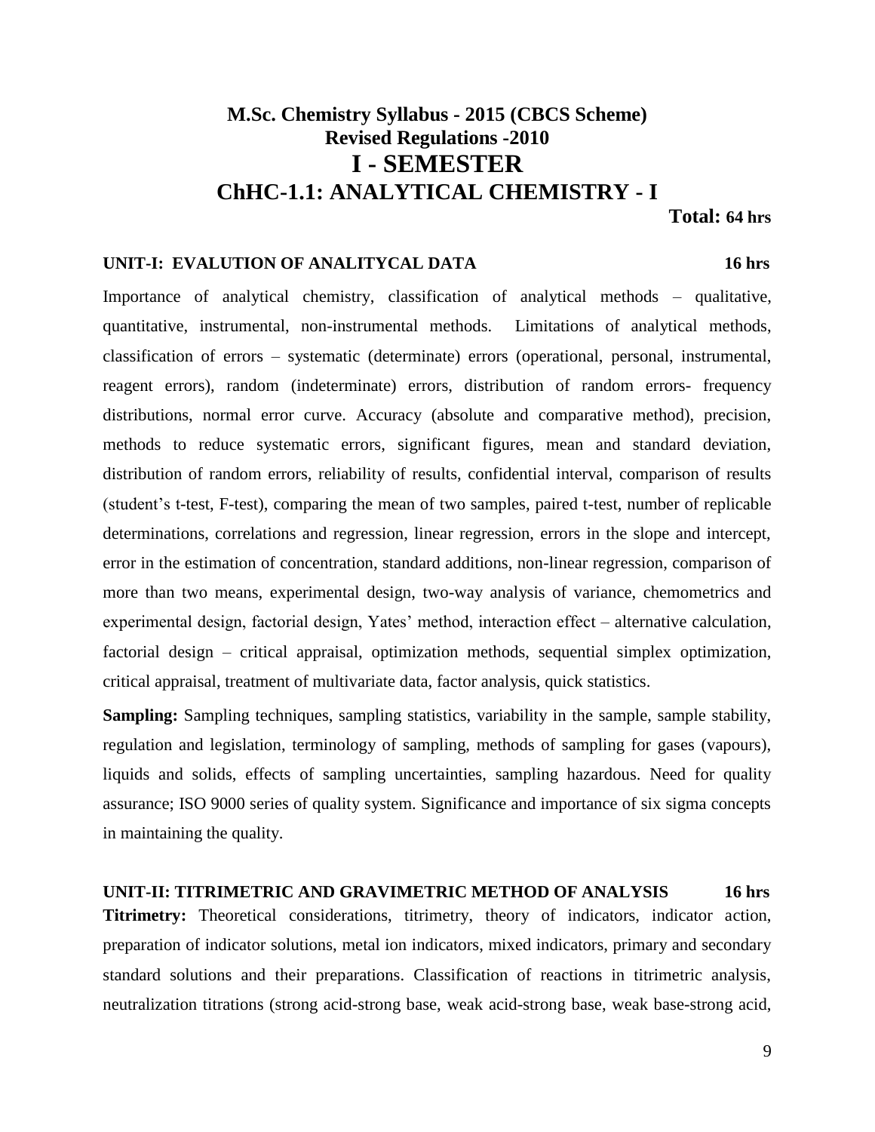# **M.Sc. Chemistry Syllabus - 2015 (CBCS Scheme) Revised Regulations -2010 I - SEMESTER ChHC-1.1: ANALYTICAL CHEMISTRY - I**

#### **Total: 64 hrs**

#### **UNIT-I: EVALUTION OF ANALITYCAL DATA 16 hrs**

Importance of analytical chemistry, classification of analytical methods – qualitative, quantitative, instrumental, non-instrumental methods. Limitations of analytical methods, classification of errors – systematic (determinate) errors (operational, personal, instrumental, reagent errors), random (indeterminate) errors, distribution of random errors- frequency distributions, normal error curve. Accuracy (absolute and comparative method), precision, methods to reduce systematic errors, significant figures, mean and standard deviation, distribution of random errors, reliability of results, confidential interval, comparison of results (student's t-test, F-test), comparing the mean of two samples, paired t-test, number of replicable determinations, correlations and regression, linear regression, errors in the slope and intercept, error in the estimation of concentration, standard additions, non-linear regression, comparison of more than two means, experimental design, two-way analysis of variance, chemometrics and experimental design, factorial design, Yates' method, interaction effect – alternative calculation, factorial design – critical appraisal, optimization methods, sequential simplex optimization, critical appraisal, treatment of multivariate data, factor analysis, quick statistics.

**Sampling:** Sampling techniques, sampling statistics, variability in the sample, sample stability, regulation and legislation, terminology of sampling, methods of sampling for gases (vapours), liquids and solids, effects of sampling uncertainties, sampling hazardous. Need for quality assurance; ISO 9000 series of quality system. Significance and importance of six sigma concepts in maintaining the quality.

# **UNIT-II: TITRIMETRIC AND GRAVIMETRIC METHOD OF ANALYSIS 16 hrs Titrimetry:** Theoretical considerations, titrimetry, theory of indicators, indicator action, preparation of indicator solutions, metal ion indicators, mixed indicators, primary and secondary

standard solutions and their preparations. Classification of reactions in titrimetric analysis, neutralization titrations (strong acid-strong base, weak acid-strong base, weak base-strong acid,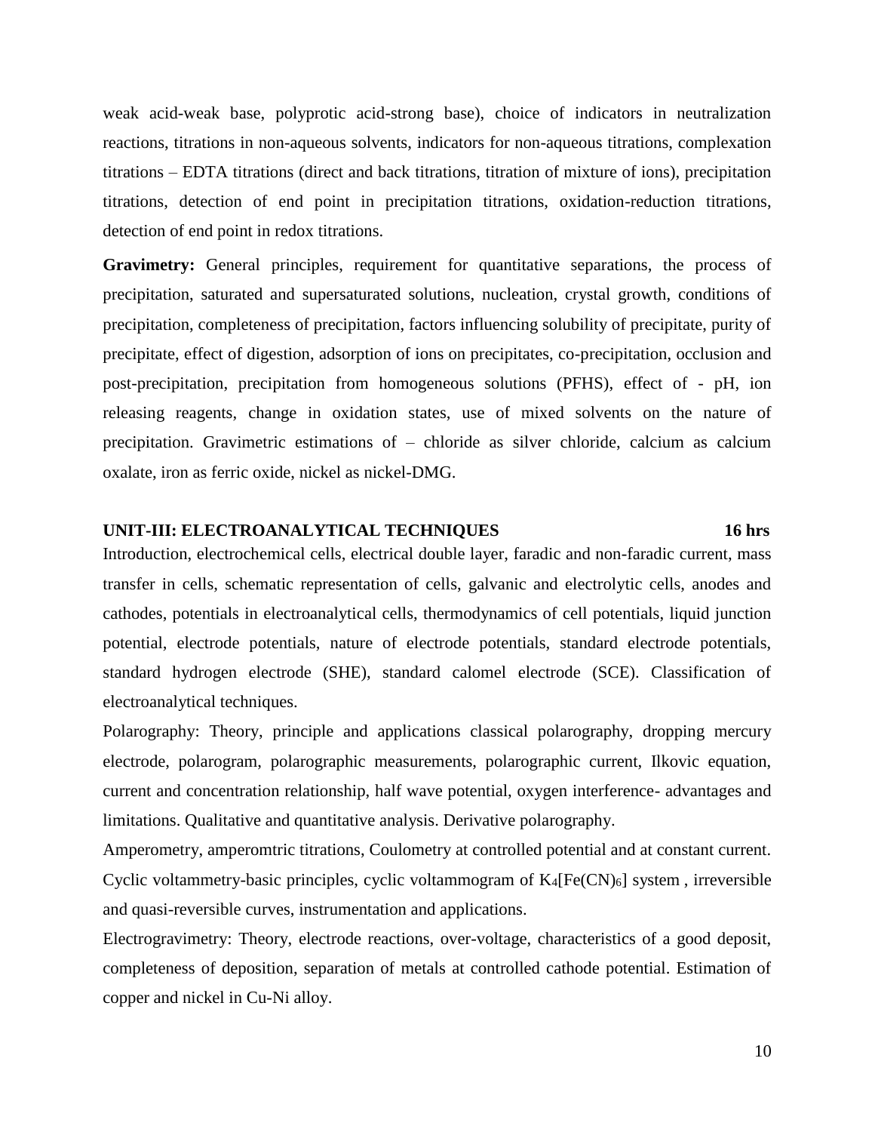weak acid-weak base, polyprotic acid-strong base), choice of indicators in neutralization reactions, titrations in non-aqueous solvents, indicators for non-aqueous titrations, complexation titrations – EDTA titrations (direct and back titrations, titration of mixture of ions), precipitation titrations, detection of end point in precipitation titrations, oxidation-reduction titrations, detection of end point in redox titrations.

**Gravimetry:** General principles, requirement for quantitative separations, the process of precipitation, saturated and supersaturated solutions, nucleation, crystal growth, conditions of precipitation, completeness of precipitation, factors influencing solubility of precipitate, purity of precipitate, effect of digestion, adsorption of ions on precipitates, co-precipitation, occlusion and post-precipitation, precipitation from homogeneous solutions (PFHS), effect of - pH, ion releasing reagents, change in oxidation states, use of mixed solvents on the nature of precipitation. Gravimetric estimations of – chloride as silver chloride, calcium as calcium oxalate, iron as ferric oxide, nickel as nickel-DMG.

#### **UNIT-III: ELECTROANALYTICAL TECHNIQUES 16 hrs**

Introduction, electrochemical cells, electrical double layer, faradic and non-faradic current, mass transfer in cells, schematic representation of cells, galvanic and electrolytic cells, anodes and cathodes, potentials in electroanalytical cells, thermodynamics of cell potentials, liquid junction potential, electrode potentials, nature of electrode potentials, standard electrode potentials, standard hydrogen electrode (SHE), standard calomel electrode (SCE). Classification of electroanalytical techniques.

Polarography: Theory, principle and applications classical polarography, dropping mercury electrode, polarogram, polarographic measurements, polarographic current, Ilkovic equation, current and concentration relationship, half wave potential, oxygen interference- advantages and limitations. Qualitative and quantitative analysis. Derivative polarography.

Amperometry, amperomtric titrations, Coulometry at controlled potential and at constant current. Cyclic voltammetry-basic principles, cyclic voltammogram of  $K_4[Fe(CN)_6]$  system, irreversible and quasi-reversible curves, instrumentation and applications.

Electrogravimetry: Theory, electrode reactions, over-voltage, characteristics of a good deposit, completeness of deposition, separation of metals at controlled cathode potential. Estimation of copper and nickel in Cu-Ni alloy.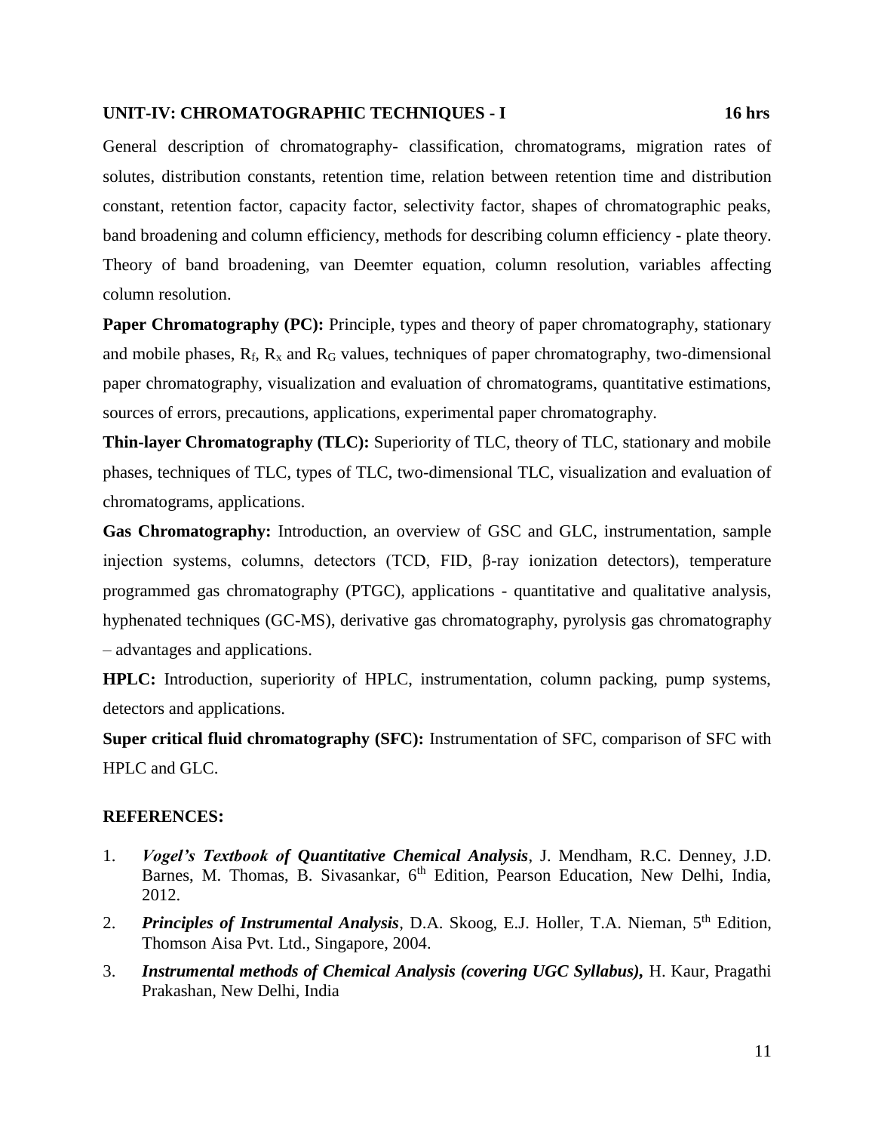#### **UNIT-IV: CHROMATOGRAPHIC TECHNIQUES - I 16 hrs**

General description of chromatography- classification, chromatograms, migration rates of solutes, distribution constants, retention time, relation between retention time and distribution constant, retention factor, capacity factor, selectivity factor, shapes of chromatographic peaks, band broadening and column efficiency, methods for describing column efficiency - plate theory. Theory of band broadening, van Deemter equation, column resolution, variables affecting column resolution.

**Paper Chromatography (PC):** Principle, types and theory of paper chromatography, stationary and mobile phases,  $R_f$ ,  $R_x$  and  $R_G$  values, techniques of paper chromatography, two-dimensional paper chromatography, visualization and evaluation of chromatograms, quantitative estimations, sources of errors, precautions, applications, experimental paper chromatography.

**Thin-layer Chromatography (TLC):** Superiority of TLC, theory of TLC, stationary and mobile phases, techniques of TLC, types of TLC, two-dimensional TLC, visualization and evaluation of chromatograms, applications.

**Gas Chromatography:** Introduction, an overview of GSC and GLC, instrumentation, sample injection systems, columns, detectors (TCD, FID, β-ray ionization detectors), temperature programmed gas chromatography (PTGC), applications - quantitative and qualitative analysis, hyphenated techniques (GC-MS), derivative gas chromatography, pyrolysis gas chromatography – advantages and applications.

**HPLC:** Introduction, superiority of HPLC, instrumentation, column packing, pump systems, detectors and applications.

**Super critical fluid chromatography (SFC):** Instrumentation of SFC, comparison of SFC with HPLC and GLC.

- 1. *Vogel's Textbook of Quantitative Chemical Analysis*, J. Mendham, R.C. Denney, J.D. Barnes, M. Thomas, B. Sivasankar, 6<sup>th</sup> Edition, Pearson Education, New Delhi, India, 2012.
- 2. *Principles of Instrumental Analysis*, D.A. Skoog, E.J. Holler, T.A. Nieman, 5th Edition, Thomson Aisa Pvt. Ltd., Singapore, 2004.
- 3. *Instrumental methods of Chemical Analysis (covering UGC Syllabus),* H. Kaur, Pragathi Prakashan, New Delhi, India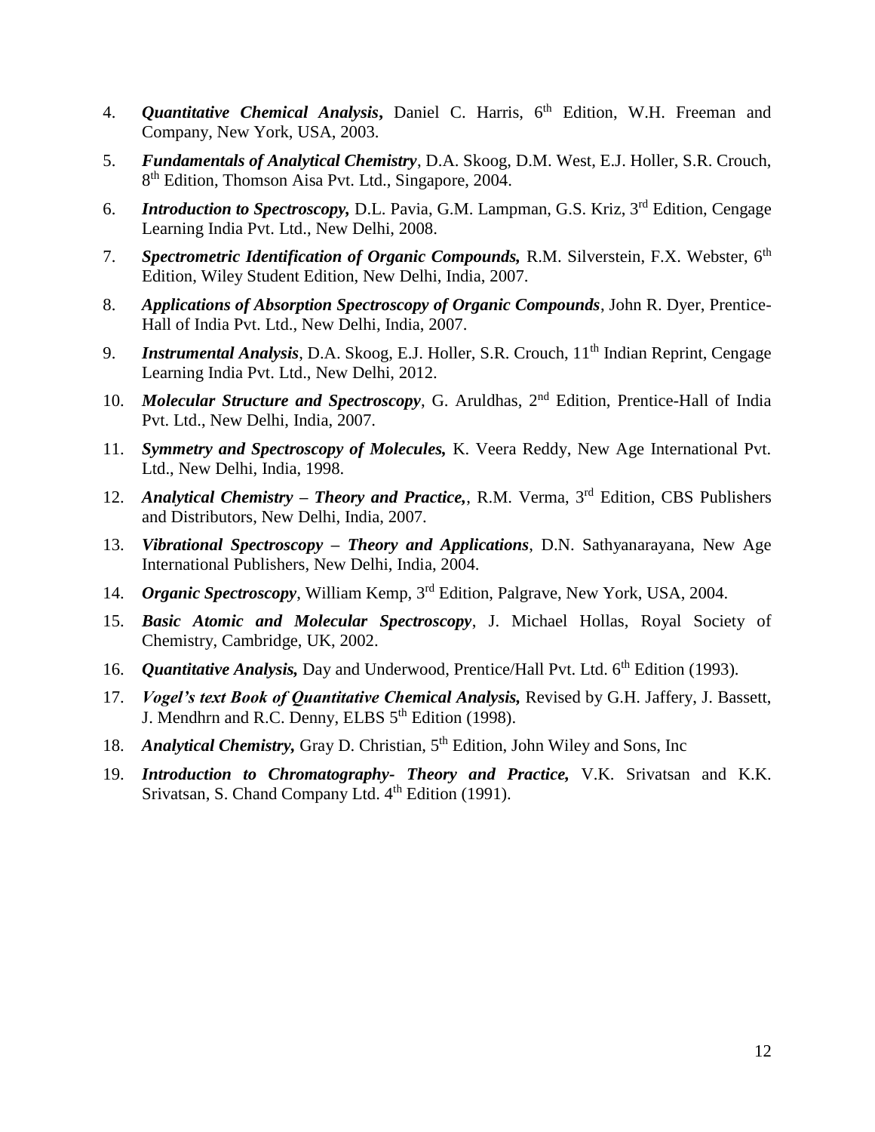- 4. *Quantitative Chemical Analysis***,** Daniel C. Harris, 6th Edition, W.H. Freeman and Company, New York, USA, 2003.
- 5. *Fundamentals of Analytical Chemistry*, D.A. Skoog, D.M. West, E.J. Holler, S.R. Crouch, 8<sup>th</sup> Edition, Thomson Aisa Pvt. Ltd., Singapore, 2004.
- 6. *Introduction to Spectroscopy,* D.L. Pavia, G.M. Lampman, G.S. Kriz, 3rd Edition, Cengage Learning India Pvt. Ltd., New Delhi, 2008.
- 7. *Spectrometric Identification of Organic Compounds*, R.M. Silverstein, F.X. Webster, 6<sup>th</sup> Edition, Wiley Student Edition, New Delhi, India, 2007.
- 8. *Applications of Absorption Spectroscopy of Organic Compounds*, John R. Dyer, Prentice-Hall of India Pvt. Ltd., New Delhi, India, 2007.
- 9. *Instrumental Analysis*, D.A. Skoog, E.J. Holler, S.R. Crouch, 11<sup>th</sup> Indian Reprint, Cengage Learning India Pvt. Ltd., New Delhi, 2012.
- 10. *Molecular Structure and Spectroscopy*, G. Aruldhas, 2<sup>nd</sup> Edition, Prentice-Hall of India Pvt. Ltd., New Delhi, India, 2007.
- 11. *Symmetry and Spectroscopy of Molecules,* K. Veera Reddy, New Age International Pvt. Ltd., New Delhi, India, 1998.
- 12. *Analytical Chemistry – Theory and Practice,*, R.M. Verma, 3rd Edition, CBS Publishers and Distributors, New Delhi, India, 2007.
- 13. *Vibrational Spectroscopy – Theory and Applications*, D.N. Sathyanarayana, New Age International Publishers, New Delhi, India, 2004.
- 14. *Organic Spectroscopy*, William Kemp, 3rd Edition, Palgrave, New York, USA, 2004.
- 15. *Basic Atomic and Molecular Spectroscopy*, J. Michael Hollas, Royal Society of Chemistry, Cambridge, UK, 2002.
- 16. *Quantitative Analysis*, Day and Underwood, Prentice/Hall Pvt. Ltd. 6<sup>th</sup> Edition (1993).
- 17. *Vogel's text Book of Quantitative Chemical Analysis,* Revised by G.H. Jaffery, J. Bassett, J. Mendhrn and R.C. Denny, ELBS 5<sup>th</sup> Edition (1998).
- 18. *Analytical Chemistry*, Gray D. Christian, 5<sup>th</sup> Edition, John Wiley and Sons, Inc
- 19. *Introduction to Chromatography- Theory and Practice,* V.K. Srivatsan and K.K. Srivatsan, S. Chand Company Ltd. 4<sup>th</sup> Edition (1991).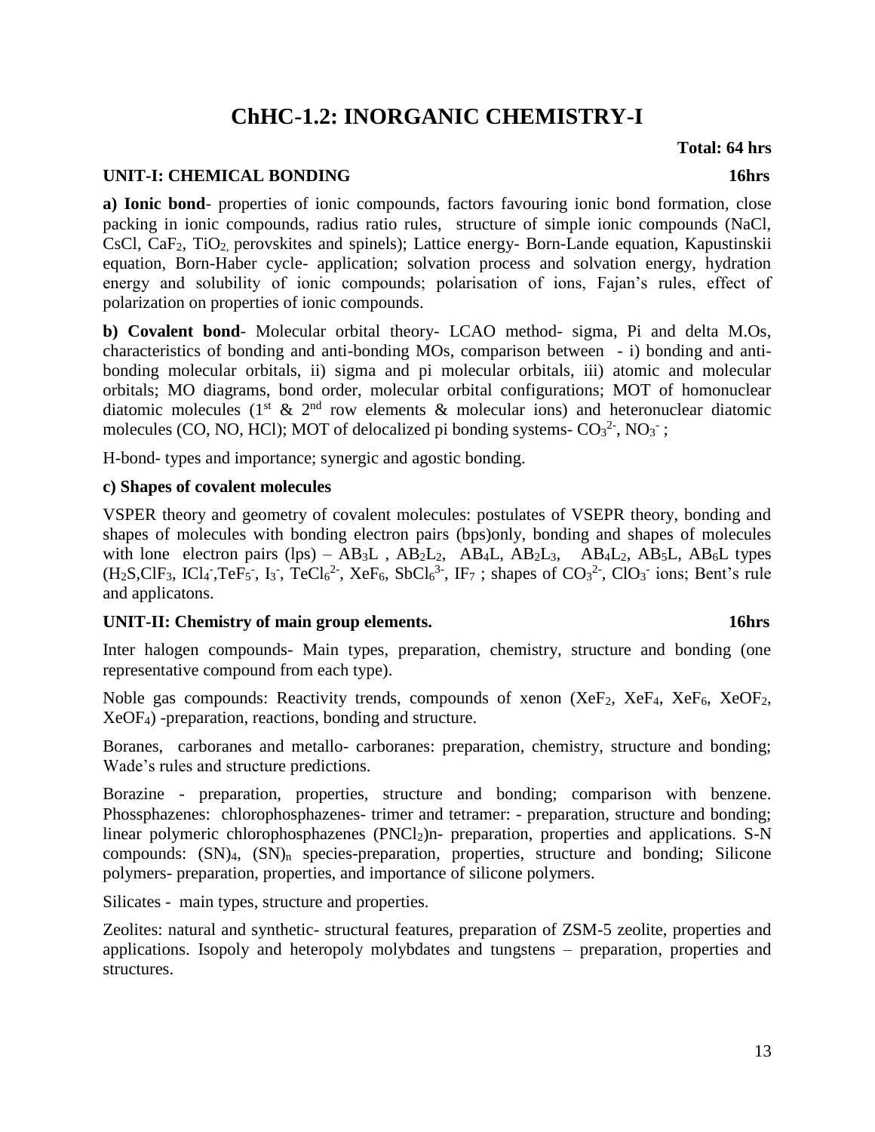# **ChHC-1.2: INORGANIC CHEMISTRY-I**

#### **UNIT-I: CHEMICAL BONDING 16hrs** 16hrs

**a) Ionic bond**- properties of ionic compounds, factors favouring ionic bond formation, close packing in ionic compounds, radius ratio rules, structure of simple ionic compounds (NaCl, CsCl, CaF<sub>2</sub>, TiO<sub>2</sub> perovskites and spinels); Lattice energy- Born-Lande equation, Kapustinskii equation, Born-Haber cycle- application; solvation process and solvation energy, hydration energy and solubility of ionic compounds; polarisation of ions, Fajan's rules, effect of polarization on properties of ionic compounds.

**b) Covalent bond**- Molecular orbital theory- LCAO method- sigma, Pi and delta M.Os, characteristics of bonding and anti-bonding MOs, comparison between - i) bonding and antibonding molecular orbitals, ii) sigma and pi molecular orbitals, iii) atomic and molecular orbitals; MO diagrams, bond order, molecular orbital configurations; MOT of homonuclear diatomic molecules ( $1<sup>st</sup> \& 2<sup>nd</sup>$  row elements  $\&$  molecular ions) and heteronuclear diatomic molecules (CO, NO, HCl); MOT of delocalized pi bonding systems- $CO<sub>3</sub><sup>2</sup>$ , NO<sub>3</sub><sup>-</sup>;

H-bond- types and importance; synergic and agostic bonding.

#### **c) Shapes of covalent molecules**

VSPER theory and geometry of covalent molecules: postulates of VSEPR theory, bonding and shapes of molecules with bonding electron pairs (bps)only, bonding and shapes of molecules with lone electron pairs (lps) –  $AB_3L$ ,  $AB_2L_2$ ,  $AB_4L$ ,  $AB_2L_3$ ,  $AB_4L_2$ ,  $AB_5L$ ,  $AB_6L$  types  $(H<sub>2</sub>S, ClF<sub>3</sub>, ICl<sub>4</sub>, TeF<sub>5</sub>$ , I<sub>3</sub>, TeCl<sub>6</sub><sup>2</sup>, XeF<sub>6</sub>, SbCl<sub>6</sub><sup>3</sup>, IF<sub>7</sub>; shapes of CO<sub>3</sub><sup>2</sup>, ClO<sub>3</sub><sup>-</sup> ions; Bent's rule and applicatons.

#### **UNIT-II: Chemistry of main group elements. 16hrs**

Inter halogen compounds- Main types, preparation, chemistry, structure and bonding (one representative compound from each type).

Noble gas compounds: Reactivity trends, compounds of xenon  $(XeF_2, XeF_4, XeF_6, XeOF_2, XeF_4)$ XeOF4) -preparation, reactions, bonding and structure.

Boranes, carboranes and metallo- carboranes: preparation, chemistry, structure and bonding; Wade's rules and structure predictions.

Borazine - preparation, properties, structure and bonding; comparison with benzene. Phossphazenes: chlorophosphazenes- trimer and tetramer: - preparation, structure and bonding; linear polymeric chlorophosphazenes ( $PNCl<sub>2</sub>$ )n- preparation, properties and applications. S-N compounds:  $(SN)<sub>4</sub>$ ,  $(SN)<sub>n</sub>$  species-preparation, properties, structure and bonding; Silicone polymers- preparation, properties, and importance of silicone polymers.

Silicates - main types, structure and properties.

Zeolites: natural and synthetic- structural features, preparation of ZSM-5 zeolite, properties and applications. Isopoly and heteropoly molybdates and tungstens – preparation, properties and structures.

### **Total: 64 hrs**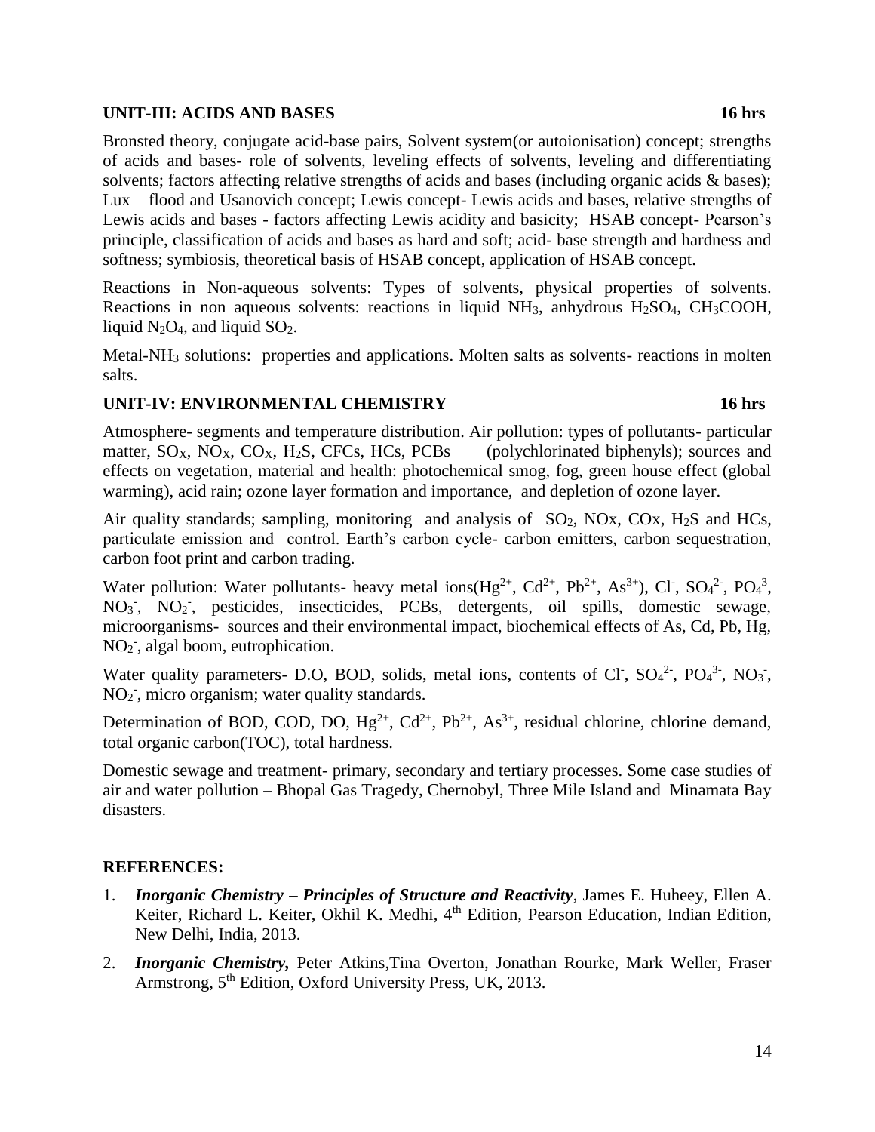#### **UNIT-III: ACIDS AND BASES 16 hrs**

Bronsted theory, conjugate acid-base pairs, Solvent system(or autoionisation) concept; strengths of acids and bases- role of solvents, leveling effects of solvents, leveling and differentiating solvents; factors affecting relative strengths of acids and bases (including organic acids & bases); Lux – flood and Usanovich concept; Lewis concept- Lewis acids and bases, relative strengths of Lewis acids and bases - factors affecting Lewis acidity and basicity; HSAB concept- Pearson's principle, classification of acids and bases as hard and soft; acid- base strength and hardness and softness; symbiosis, theoretical basis of HSAB concept, application of HSAB concept.

Reactions in Non-aqueous solvents: Types of solvents, physical properties of solvents. Reactions in non aqueous solvents: reactions in liquid  $NH_3$ , anhydrous  $H_2SO_4$ , CH<sub>3</sub>COOH, liquid  $N_2O_4$ , and liquid  $SO_2$ .

Metal-NH<sup>3</sup> solutions: properties and applications. Molten salts as solvents- reactions in molten salts.

### **UNIT-IV: ENVIRONMENTAL CHEMISTRY 16 hrs**

Atmosphere- segments and temperature distribution. Air pollution: types of pollutants- particular matter,  $SO_{X}$ ,  $NO_{X}$ ,  $CO_{X}$ ,  $H_{2}S$ ,  $CFCs$ ,  $HCs$ ,  $PCBs$  (polychlorinated biphenyls); sources and effects on vegetation, material and health: photochemical smog, fog, green house effect (global warming), acid rain; ozone layer formation and importance, and depletion of ozone layer.

Air quality standards; sampling, monitoring and analysis of  $SO_2$ , NOx, COx, H<sub>2</sub>S and HCs, particulate emission and control. Earth's carbon cycle- carbon emitters, carbon sequestration, carbon foot print and carbon trading.

Water pollution: Water pollutants- heavy metal ions( $Hg^{2+}$ ,  $Cd^{2+}$ ,  $Pb^{2+}$ , As<sup>3+</sup>), Cl<sup>-</sup>, SO<sub>4</sub><sup>2-</sup>, PO<sub>4</sub><sup>3</sup>, NO<sub>3</sub><sup>-</sup>, NO<sub>2</sub><sup>-</sup>, pesticides, insecticides, PCBs, detergents, oil spills, domestic sewage, microorganisms- sources and their environmental impact, biochemical effects of As, Cd, Pb, Hg, NO<sub>2</sub><sup>-</sup>, algal boom, eutrophication.

Water quality parameters- D.O, BOD, solids, metal ions, contents of Cl<sup>-</sup>, SO<sub>4</sub><sup>2-</sup>, PO<sub>4</sub><sup>3-</sup>, NO<sub>3</sub><sup>-</sup>, NO<sub>2</sub><sup>-</sup>, micro organism; water quality standards.

Determination of BOD, COD, DO,  $Hg^{2+}$ ,  $Cd^{2+}$ ,  $Pb^{2+}$ ,  $As^{3+}$ , residual chlorine, chlorine demand, total organic carbon(TOC), total hardness.

Domestic sewage and treatment- primary, secondary and tertiary processes. Some case studies of air and water pollution – Bhopal Gas Tragedy, Chernobyl, Three Mile Island and Minamata Bay disasters.

- 1. *Inorganic Chemistry – Principles of Structure and Reactivity*, James E. Huheey, Ellen A. Keiter, Richard L. Keiter, Okhil K. Medhi, 4<sup>th</sup> Edition, Pearson Education, Indian Edition, New Delhi, India, 2013.
- 2. *Inorganic Chemistry,* Peter Atkins,Tina Overton, Jonathan Rourke, Mark Weller, Fraser Armstrong, 5<sup>th</sup> Edition, Oxford University Press, UK, 2013.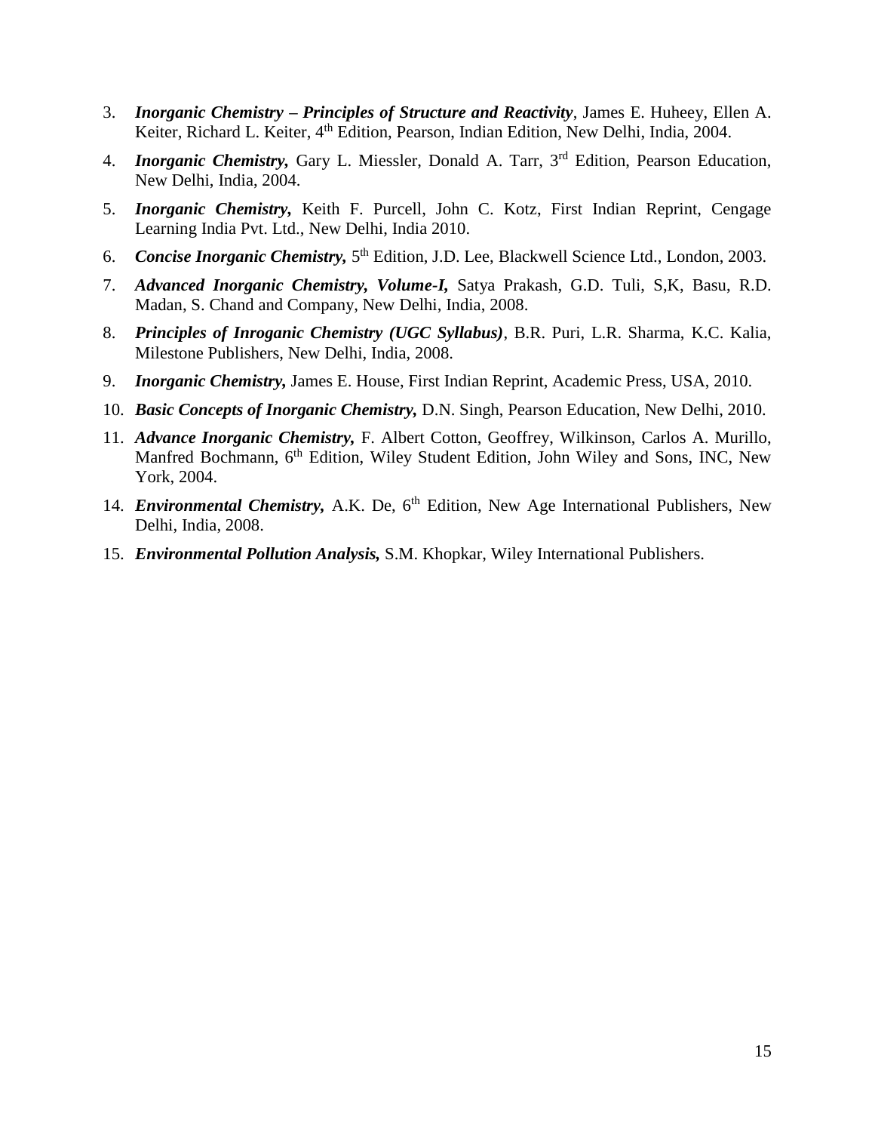- 3. *Inorganic Chemistry – Principles of Structure and Reactivity*, James E. Huheey, Ellen A. Keiter, Richard L. Keiter, 4<sup>th</sup> Edition, Pearson, Indian Edition, New Delhi, India, 2004.
- 4. *Inorganic Chemistry,* Gary L. Miessler, Donald A. Tarr, 3rd Edition, Pearson Education, New Delhi, India, 2004.
- 5. *Inorganic Chemistry,* Keith F. Purcell, John C. Kotz, First Indian Reprint, Cengage Learning India Pvt. Ltd., New Delhi, India 2010.
- 6. **Concise Inorganic Chemistry,** 5<sup>th</sup> Edition, J.D. Lee, Blackwell Science Ltd., London, 2003.
- 7. *Advanced Inorganic Chemistry, Volume-I,* Satya Prakash, G.D. Tuli, S,K, Basu, R.D. Madan, S. Chand and Company, New Delhi, India, 2008.
- 8. *Principles of Inroganic Chemistry (UGC Syllabus)*, B.R. Puri, L.R. Sharma, K.C. Kalia, Milestone Publishers, New Delhi, India, 2008.
- 9. *Inorganic Chemistry,* James E. House, First Indian Reprint, Academic Press, USA, 2010.
- 10. *Basic Concepts of Inorganic Chemistry,* D.N. Singh, Pearson Education, New Delhi, 2010.
- 11. *Advance Inorganic Chemistry,* F. Albert Cotton, Geoffrey, Wilkinson, Carlos A. Murillo, Manfred Bochmann, 6<sup>th</sup> Edition, Wiley Student Edition, John Wiley and Sons, INC, New York, 2004.
- 14. *Environmental Chemistry*, A.K. De, 6<sup>th</sup> Edition, New Age International Publishers, New Delhi, India, 2008.
- 15. *Environmental Pollution Analysis,* S.M. Khopkar, Wiley International Publishers.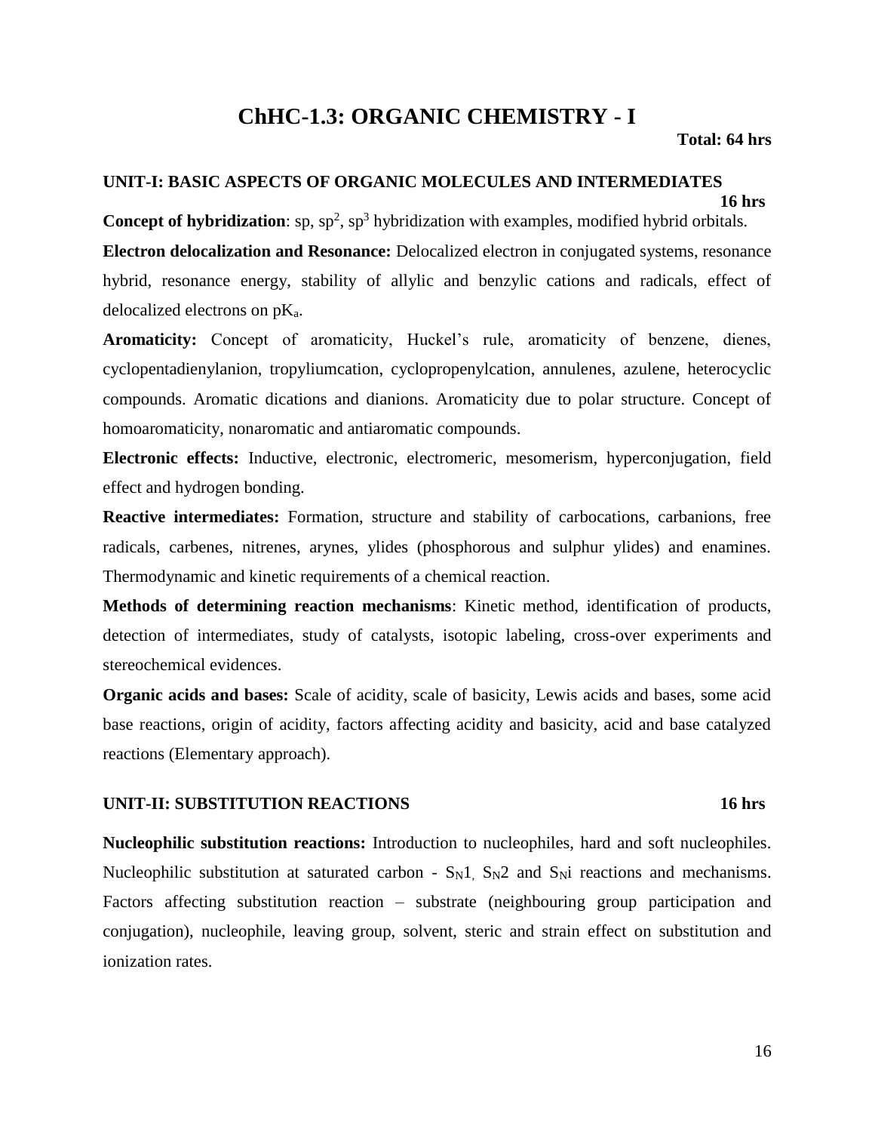# **ChHC-1.3: ORGANIC CHEMISTRY - I**

#### **Total: 64 hrs**

### **UNIT-I: BASIC ASPECTS OF ORGANIC MOLECULES AND INTERMEDIATES**

#### **16 hrs**

**Concept of hybridization**:  $sp$ ,  $sp^2$ ,  $sp^3$  hybridization with examples, modified hybrid orbitals. **Electron delocalization and Resonance:** Delocalized electron in conjugated systems, resonance hybrid, resonance energy, stability of allylic and benzylic cations and radicals, effect of delocalized electrons on pKa.

**Aromaticity:** Concept of aromaticity, Huckel's rule, aromaticity of benzene, dienes, cyclopentadienylanion, tropyliumcation, cyclopropenylcation, annulenes, azulene, heterocyclic compounds. Aromatic dications and dianions. Aromaticity due to polar structure. Concept of homoaromaticity, nonaromatic and antiaromatic compounds.

**Electronic effects:** Inductive, electronic, electromeric, mesomerism, hyperconjugation, field effect and hydrogen bonding.

**Reactive intermediates:** Formation, structure and stability of carbocations, carbanions, free radicals, carbenes, nitrenes, arynes, ylides (phosphorous and sulphur ylides) and enamines. Thermodynamic and kinetic requirements of a chemical reaction.

**Methods of determining reaction mechanisms**: Kinetic method, identification of products, detection of intermediates, study of catalysts, isotopic labeling, cross-over experiments and stereochemical evidences.

**Organic acids and bases:** Scale of acidity, scale of basicity, Lewis acids and bases, some acid base reactions, origin of acidity, factors affecting acidity and basicity, acid and base catalyzed reactions (Elementary approach).

#### **UNIT-II: SUBSTITUTION REACTIONS 16 hrs**

**Nucleophilic substitution reactions:** Introduction to nucleophiles, hard and soft nucleophiles. Nucleophilic substitution at saturated carbon -  $S_N1$ ,  $S_N2$  and  $S_Ni$  reactions and mechanisms. Factors affecting substitution reaction – substrate (neighbouring group participation and conjugation), nucleophile, leaving group, solvent, steric and strain effect on substitution and ionization rates.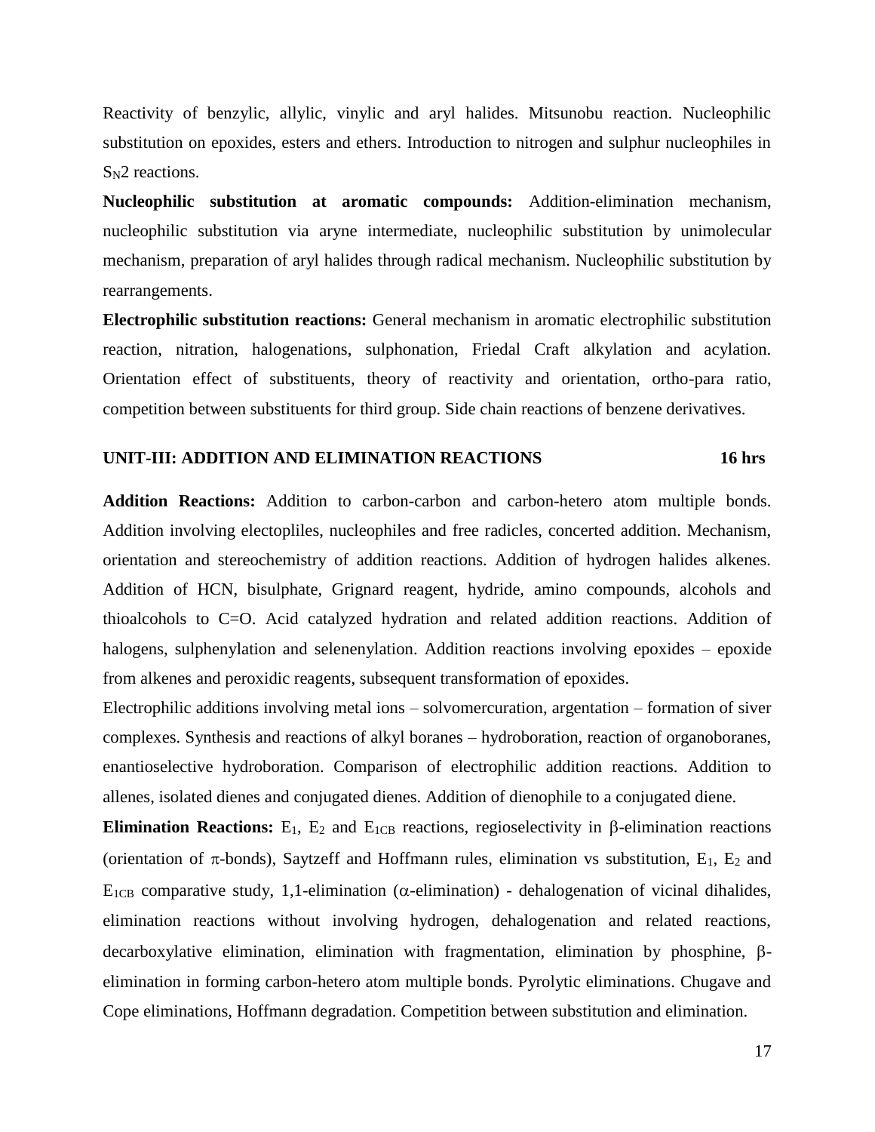Reactivity of benzylic, allylic, vinylic and aryl halides. Mitsunobu reaction. Nucleophilic substitution on epoxides, esters and ethers. Introduction to nitrogen and sulphur nucleophiles in S<sub>N</sub>2 reactions.

**Nucleophilic substitution at aromatic compounds:** Addition-elimination mechanism, nucleophilic substitution via aryne intermediate, nucleophilic substitution by unimolecular mechanism, preparation of aryl halides through radical mechanism. Nucleophilic substitution by rearrangements.

**Electrophilic substitution reactions:** General mechanism in aromatic electrophilic substitution reaction, nitration, halogenations, sulphonation, Friedal Craft alkylation and acylation. Orientation effect of substituents, theory of reactivity and orientation, ortho-para ratio, competition between substituents for third group. Side chain reactions of benzene derivatives.

#### **UNIT-III: ADDITION AND ELIMINATION REACTIONS 16 hrs**

**Addition Reactions:** Addition to carbon-carbon and carbon-hetero atom multiple bonds. Addition involving electopliles, nucleophiles and free radicles, concerted addition. Mechanism, orientation and stereochemistry of addition reactions. Addition of hydrogen halides alkenes. Addition of HCN, bisulphate, Grignard reagent, hydride, amino compounds, alcohols and thioalcohols to C=O. Acid catalyzed hydration and related addition reactions. Addition of halogens, sulphenylation and selenenylation. Addition reactions involving epoxides – epoxide from alkenes and peroxidic reagents, subsequent transformation of epoxides.

Electrophilic additions involving metal ions – solvomercuration, argentation – formation of siver complexes. Synthesis and reactions of alkyl boranes – hydroboration, reaction of organoboranes, enantioselective hydroboration. Comparison of electrophilic addition reactions. Addition to allenes, isolated dienes and conjugated dienes. Addition of dienophile to a conjugated diene.

**Elimination Reactions:**  $E_1$ ,  $E_2$  and  $E_{1CB}$  reactions, regioselectivity in  $\beta$ -elimination reactions (orientation of  $\pi$ -bonds), Saytzeff and Hoffmann rules, elimination vs substitution, E<sub>1</sub>, E<sub>2</sub> and  $E_{1CB}$  comparative study, 1,1-elimination ( $\alpha$ -elimination) - dehalogenation of vicinal dihalides, elimination reactions without involving hydrogen, dehalogenation and related reactions,  $decarboxy lattice elimination, elimination with fragmentation, elimination by phosphine,  $\beta$$ elimination in forming carbon-hetero atom multiple bonds. Pyrolytic eliminations. Chugave and Cope eliminations, Hoffmann degradation. Competition between substitution and elimination.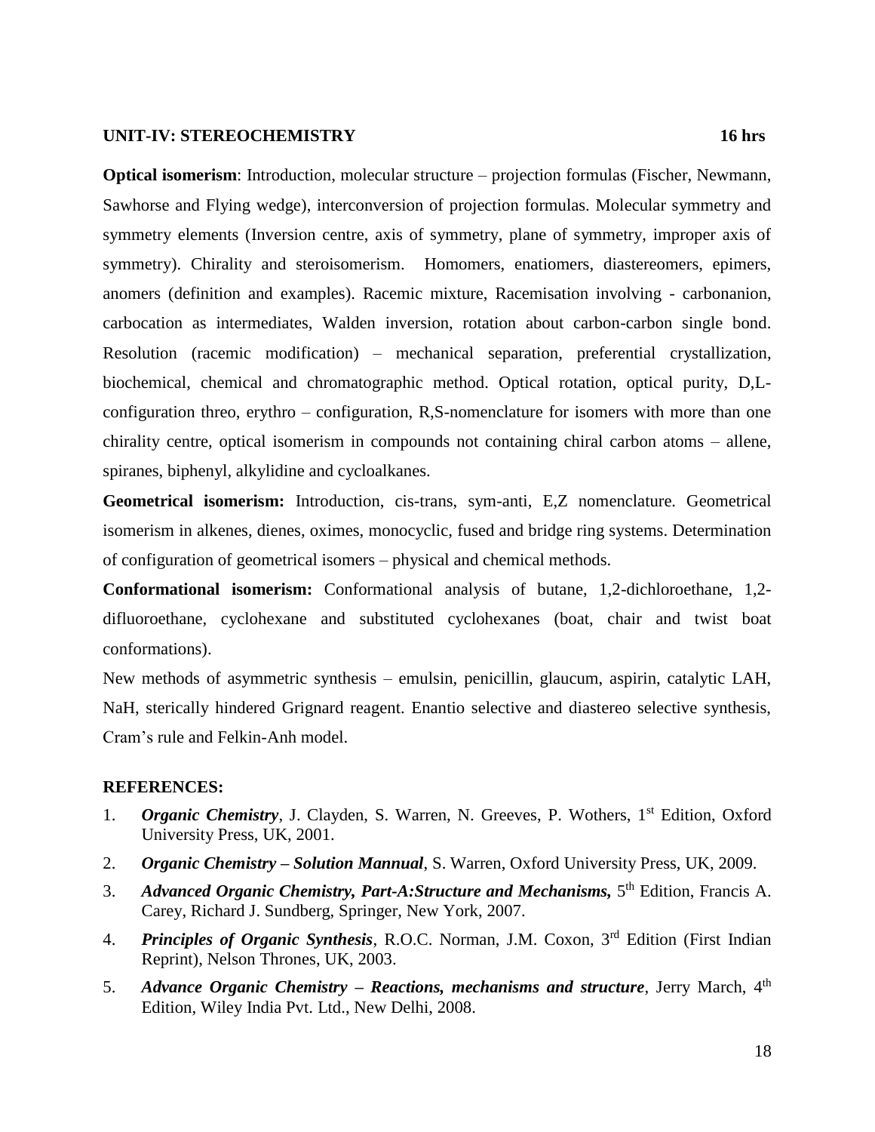#### **UNIT-IV: STEREOCHEMISTRY 16 hrs**

**Optical isomerism**: Introduction, molecular structure – projection formulas (Fischer, Newmann, Sawhorse and Flying wedge), interconversion of projection formulas. Molecular symmetry and symmetry elements (Inversion centre, axis of symmetry, plane of symmetry, improper axis of symmetry). Chirality and steroisomerism. Homomers, enatiomers, diastereomers, epimers, anomers (definition and examples). Racemic mixture, Racemisation involving - carbonanion, carbocation as intermediates, Walden inversion, rotation about carbon-carbon single bond. Resolution (racemic modification) – mechanical separation, preferential crystallization, biochemical, chemical and chromatographic method. Optical rotation, optical purity, D,Lconfiguration threo, erythro – configuration, R,S-nomenclature for isomers with more than one chirality centre, optical isomerism in compounds not containing chiral carbon atoms – allene, spiranes, biphenyl, alkylidine and cycloalkanes.

**Geometrical isomerism:** Introduction, cis-trans, sym-anti, E,Z nomenclature. Geometrical isomerism in alkenes, dienes, oximes, monocyclic, fused and bridge ring systems. Determination of configuration of geometrical isomers – physical and chemical methods.

**Conformational isomerism:** Conformational analysis of butane, 1,2-dichloroethane, 1,2 difluoroethane, cyclohexane and substituted cyclohexanes (boat, chair and twist boat conformations).

New methods of asymmetric synthesis – emulsin, penicillin, glaucum, aspirin, catalytic LAH, NaH, sterically hindered Grignard reagent. Enantio selective and diastereo selective synthesis, Cram's rule and Felkin-Anh model.

- 1. **Organic Chemistry**, J. Clayden, S. Warren, N. Greeves, P. Wothers, 1<sup>st</sup> Edition, Oxford University Press, UK, 2001.
- 2. *Organic Chemistry – Solution Mannual*, S. Warren, Oxford University Press, UK, 2009.
- 3. Advanced Organic Chemistry, Part-A: Structure and Mechanisms, 5<sup>th</sup> Edition, Francis A. Carey, Richard J. Sundberg, Springer, New York, 2007.
- 4. *Principles of Organic Synthesis*, R.O.C. Norman, J.M. Coxon, 3rd Edition (First Indian Reprint), Nelson Thrones, UK, 2003.
- 5. *Advance Organic Chemistry – Reactions, mechanisms and structure*, Jerry March, 4th Edition, Wiley India Pvt. Ltd., New Delhi, 2008.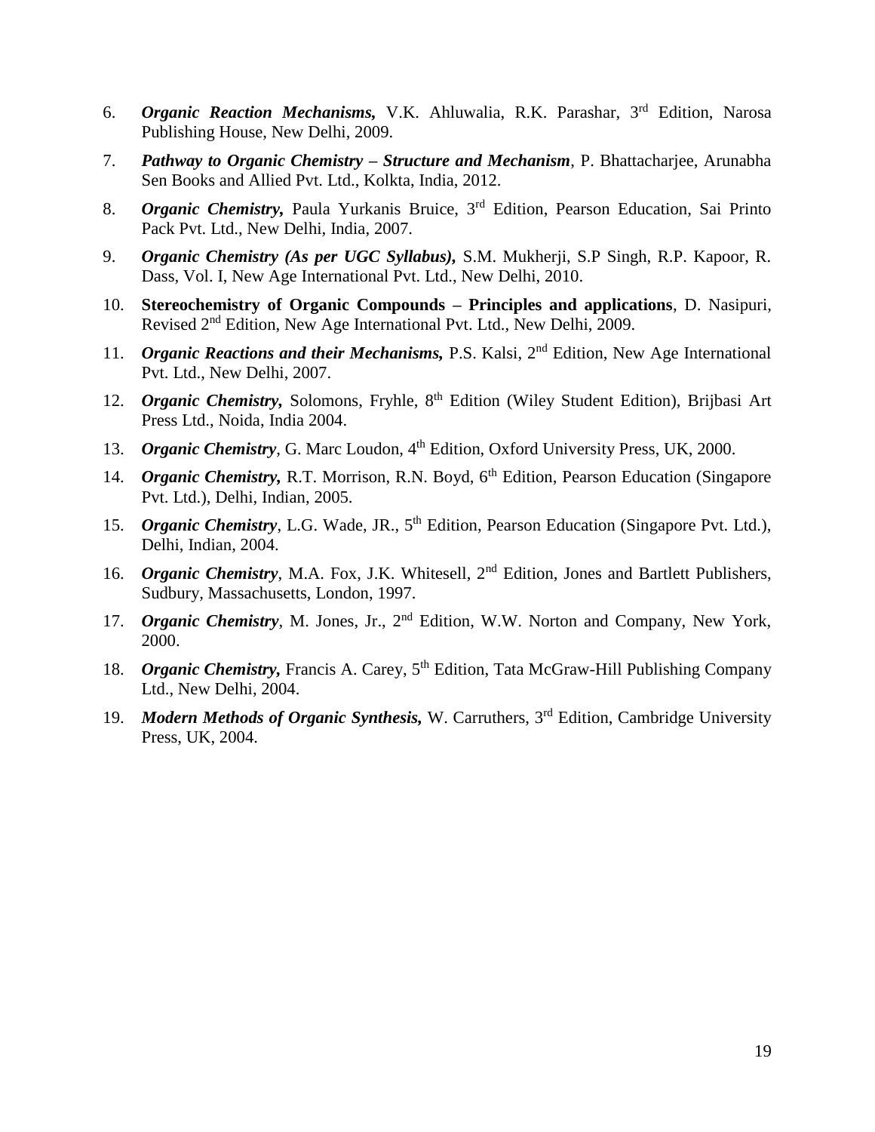- 6. *Organic Reaction Mechanisms,* V.K. Ahluwalia, R.K. Parashar, 3rd Edition, Narosa Publishing House, New Delhi, 2009.
- 7. *Pathway to Organic Chemistry – Structure and Mechanism*, P. Bhattacharjee, Arunabha Sen Books and Allied Pvt. Ltd., Kolkta, India, 2012.
- 8. *Organic Chemistry,* Paula Yurkanis Bruice, 3rd Edition, Pearson Education, Sai Printo Pack Pvt. Ltd., New Delhi, India, 2007.
- 9. *Organic Chemistry (As per UGC Syllabus),* S.M. Mukherji, S.P Singh, R.P. Kapoor, R. Dass, Vol. I, New Age International Pvt. Ltd., New Delhi, 2010.
- 10. **Stereochemistry of Organic Compounds – Principles and applications**, D. Nasipuri, Revised 2nd Edition, New Age International Pvt. Ltd., New Delhi, 2009.
- 11. *Organic Reactions and their Mechanisms,* P.S. Kalsi, 2nd Edition, New Age International Pvt. Ltd., New Delhi, 2007.
- 12. *Organic Chemistry*, Solomons, Fryhle, 8<sup>th</sup> Edition (Wiley Student Edition), Brijbasi Art Press Ltd., Noida, India 2004.
- 13. *Organic Chemistry*, G. Marc Loudon, 4<sup>th</sup> Edition, Oxford University Press, UK, 2000.
- 14. *Organic Chemistry*, R.T. Morrison, R.N. Boyd, 6<sup>th</sup> Edition, Pearson Education (Singapore) Pvt. Ltd.), Delhi, Indian, 2005.
- 15. *Organic Chemistry*, L.G. Wade, JR., 5<sup>th</sup> Edition, Pearson Education (Singapore Pvt. Ltd.), Delhi, Indian, 2004.
- 16. *Organic Chemistry*, M.A. Fox, J.K. Whitesell, 2<sup>nd</sup> Edition, Jones and Bartlett Publishers, Sudbury, Massachusetts, London, 1997.
- 17. *Organic Chemistry*, M. Jones, Jr., 2nd Edition, W.W. Norton and Company, New York, 2000.
- 18. *Organic Chemistry*, Francis A. Carey, 5<sup>th</sup> Edition, Tata McGraw-Hill Publishing Company Ltd., New Delhi, 2004.
- 19. *Modern Methods of Organic Synthesis,* W. Carruthers, 3rd Edition, Cambridge University Press, UK, 2004.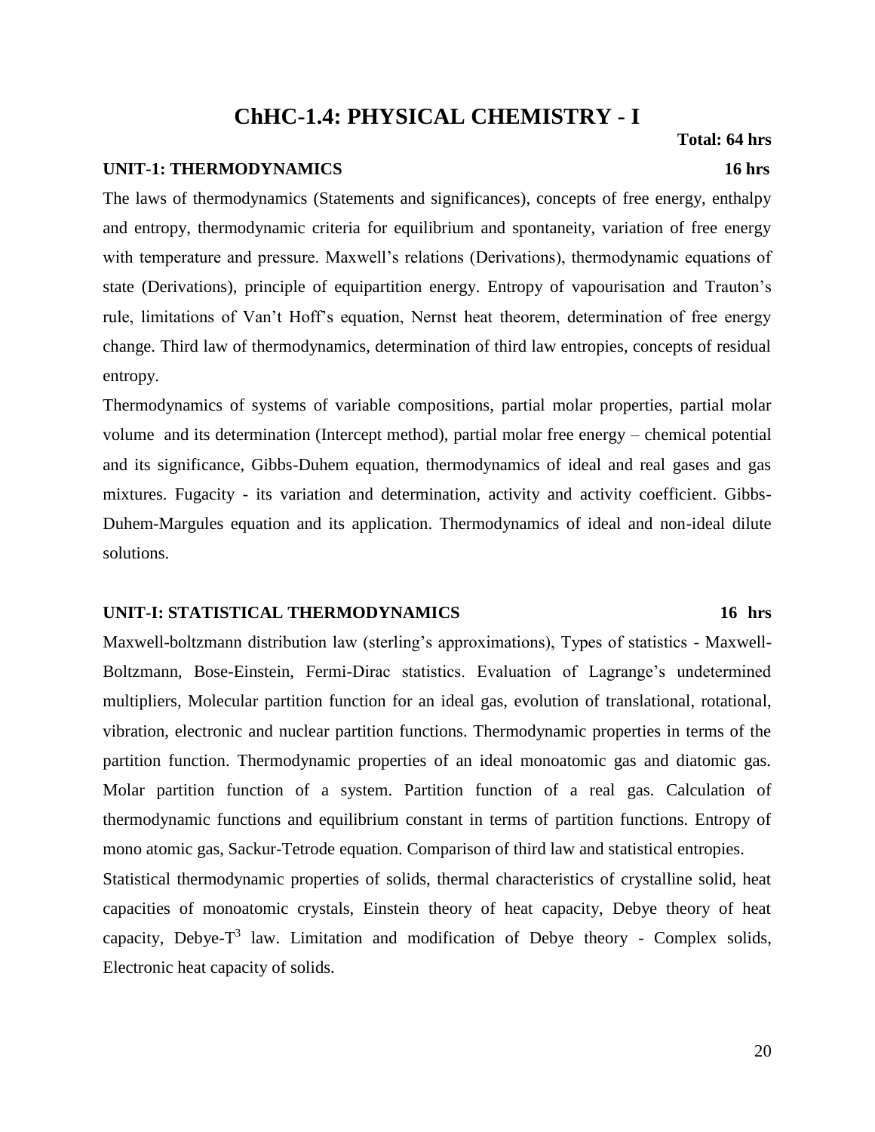# **ChHC-1.4: PHYSICAL CHEMISTRY - I**

#### **UNIT-1: THERMODYNAMICS 16 hrs**

The laws of thermodynamics (Statements and significances), concepts of free energy, enthalpy and entropy, thermodynamic criteria for equilibrium and spontaneity, variation of free energy with temperature and pressure. Maxwell's relations (Derivations), thermodynamic equations of state (Derivations), principle of equipartition energy. Entropy of vapourisation and Trauton's rule, limitations of Van't Hoff's equation, Nernst heat theorem, determination of free energy change. Third law of thermodynamics, determination of third law entropies, concepts of residual entropy.

Thermodynamics of systems of variable compositions, partial molar properties, partial molar volume and its determination (Intercept method), partial molar free energy – chemical potential and its significance, Gibbs-Duhem equation, thermodynamics of ideal and real gases and gas mixtures. Fugacity - its variation and determination, activity and activity coefficient. Gibbs-Duhem-Margules equation and its application. Thermodynamics of ideal and non-ideal dilute solutions.

#### **UNIT-I: STATISTICAL THERMODYNAMICS 16 hrs**

Maxwell-boltzmann distribution law (sterling's approximations), Types of statistics - Maxwell-Boltzmann, Bose-Einstein, Fermi-Dirac statistics. Evaluation of Lagrange's undetermined multipliers, Molecular partition function for an ideal gas, evolution of translational, rotational, vibration, electronic and nuclear partition functions. Thermodynamic properties in terms of the partition function. Thermodynamic properties of an ideal monoatomic gas and diatomic gas. Molar partition function of a system. Partition function of a real gas. Calculation of thermodynamic functions and equilibrium constant in terms of partition functions. Entropy of mono atomic gas, Sackur-Tetrode equation. Comparison of third law and statistical entropies.

Statistical thermodynamic properties of solids, thermal characteristics of crystalline solid, heat capacities of monoatomic crystals, Einstein theory of heat capacity, Debye theory of heat capacity, Debye- $T^3$  law. Limitation and modification of Debye theory - Complex solids, Electronic heat capacity of solids.

 **Total: 64 hrs**

#### 20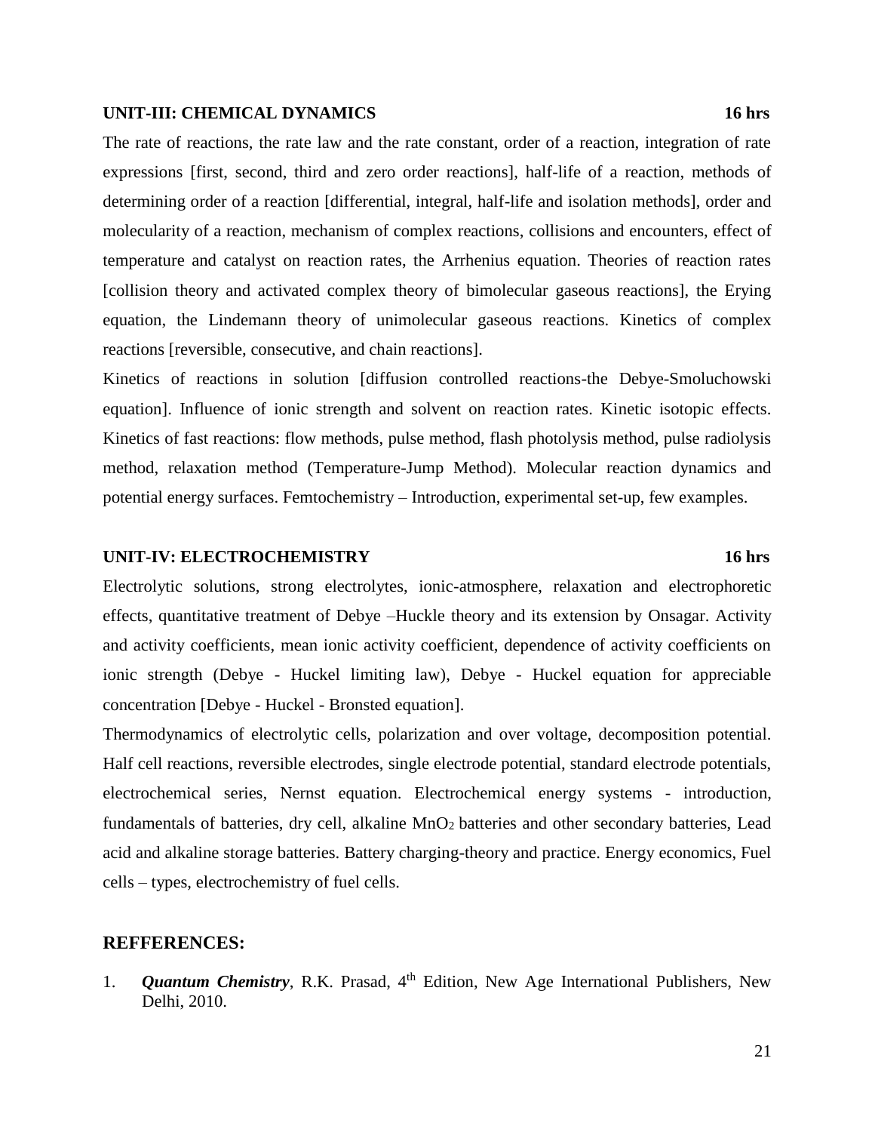#### **UNIT-III: CHEMICAL DYNAMICS 16 hrs**

The rate of reactions, the rate law and the rate constant, order of a reaction, integration of rate expressions [first, second, third and zero order reactions], half-life of a reaction, methods of determining order of a reaction [differential, integral, half-life and isolation methods], order and molecularity of a reaction, mechanism of complex reactions, collisions and encounters, effect of temperature and catalyst on reaction rates, the Arrhenius equation. Theories of reaction rates [collision theory and activated complex theory of bimolecular gaseous reactions], the Erying equation, the Lindemann theory of unimolecular gaseous reactions. Kinetics of complex reactions [reversible, consecutive, and chain reactions].

Kinetics of reactions in solution [diffusion controlled reactions-the Debye-Smoluchowski equation]. Influence of ionic strength and solvent on reaction rates. Kinetic isotopic effects. Kinetics of fast reactions: flow methods, pulse method, flash photolysis method, pulse radiolysis method, relaxation method (Temperature-Jump Method). Molecular reaction dynamics and potential energy surfaces. Femtochemistry – Introduction, experimental set-up, few examples.

#### **UNIT-IV: ELECTROCHEMISTRY 16 hrs**

Electrolytic solutions, strong electrolytes, ionic-atmosphere, relaxation and electrophoretic effects, quantitative treatment of Debye –Huckle theory and its extension by Onsagar. Activity and activity coefficients, mean ionic activity coefficient, dependence of activity coefficients on ionic strength (Debye - Huckel limiting law), Debye - Huckel equation for appreciable concentration [Debye - Huckel - Bronsted equation].

Thermodynamics of electrolytic cells, polarization and over voltage, decomposition potential. Half cell reactions, reversible electrodes, single electrode potential, standard electrode potentials, electrochemical series, Nernst equation. Electrochemical energy systems - introduction, fundamentals of batteries, dry cell, alkaline MnO<sub>2</sub> batteries and other secondary batteries, Lead acid and alkaline storage batteries. Battery charging-theory and practice. Energy economics, Fuel cells – types, electrochemistry of fuel cells.

#### **REFFERENCES:**

1. *Quantum Chemistry*, R.K. Prasad, 4<sup>th</sup> Edition, New Age International Publishers, New Delhi, 2010.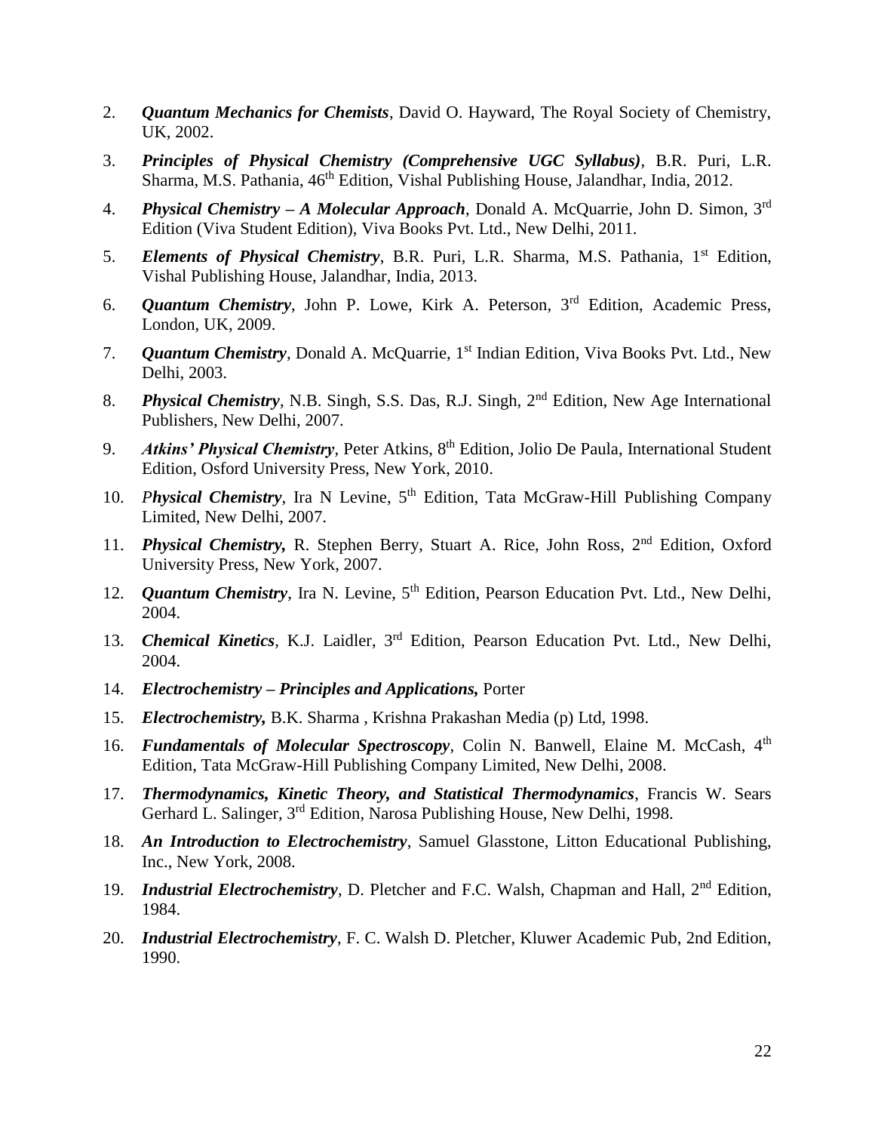- 2. *Quantum Mechanics for Chemists*, David O. Hayward, The Royal Society of Chemistry, UK, 2002.
- 3. *Principles of Physical Chemistry (Comprehensive UGC Syllabus)*, B.R. Puri, L.R. Sharma, M.S. Pathania, 46<sup>th</sup> Edition, Vishal Publishing House, Jalandhar, India, 2012.
- 4. *Physical Chemistry – A Molecular Approach*, Donald A. McQuarrie, John D. Simon, 3rd Edition (Viva Student Edition), Viva Books Pvt. Ltd., New Delhi, 2011.
- 5. *Elements of Physical Chemistry*, B.R. Puri, L.R. Sharma, M.S. Pathania, 1<sup>st</sup> Edition, Vishal Publishing House, Jalandhar, India, 2013.
- 6. *Quantum Chemistry*, John P. Lowe, Kirk A. Peterson, 3rd Edition, Academic Press, London, UK, 2009.
- 7. **Quantum Chemistry**, Donald A. McQuarrie, 1<sup>st</sup> Indian Edition, Viva Books Pvt. Ltd., New Delhi, 2003.
- 8. *Physical Chemistry*, N.B. Singh, S.S. Das, R.J. Singh, 2nd Edition, New Age International Publishers, New Delhi, 2007.
- 9. *Atkins' Physical Chemistry*, Peter Atkins, 8<sup>th</sup> Edition, Jolio De Paula, International Student Edition, Osford University Press, New York, 2010.
- 10. *Physical Chemistry*, Ira N Levine, 5th Edition, Tata McGraw-Hill Publishing Company Limited, New Delhi, 2007.
- 11. *Physical Chemistry*, R. Stephen Berry, Stuart A. Rice, John Ross, 2<sup>nd</sup> Edition, Oxford University Press, New York, 2007.
- 12. *Quantum Chemistry*, Ira N. Levine, 5<sup>th</sup> Edition, Pearson Education Pvt. Ltd., New Delhi, 2004.
- 13. *Chemical Kinetics,* K.J. Laidler, 3rd Edition, Pearson Education Pvt. Ltd., New Delhi, 2004.
- 14. *Electrochemistry – Principles and Applications,* Porter
- 15. *Electrochemistry,* B.K. Sharma , Krishna Prakashan Media (p) Ltd, 1998.
- 16. **Fundamentals of Molecular Spectroscopy**, Colin N. Banwell, Elaine M. McCash, 4<sup>th</sup> Edition, Tata McGraw-Hill Publishing Company Limited, New Delhi, 2008.
- 17. *Thermodynamics, Kinetic Theory, and Statistical Thermodynamics*, Francis W. Sears Gerhard L. Salinger, 3rd Edition, Narosa Publishing House, New Delhi, 1998.
- 18. *An Introduction to Electrochemistry*, Samuel Glasstone, Litton Educational Publishing, Inc., New York, 2008.
- 19. *Industrial Electrochemistry*, D. Pletcher and F.C. Walsh, Chapman and Hall, 2nd Edition, 1984.
- 20. *Industrial Electrochemistry*, F. C. Walsh D. Pletcher, Kluwer Academic Pub, 2nd Edition, 1990.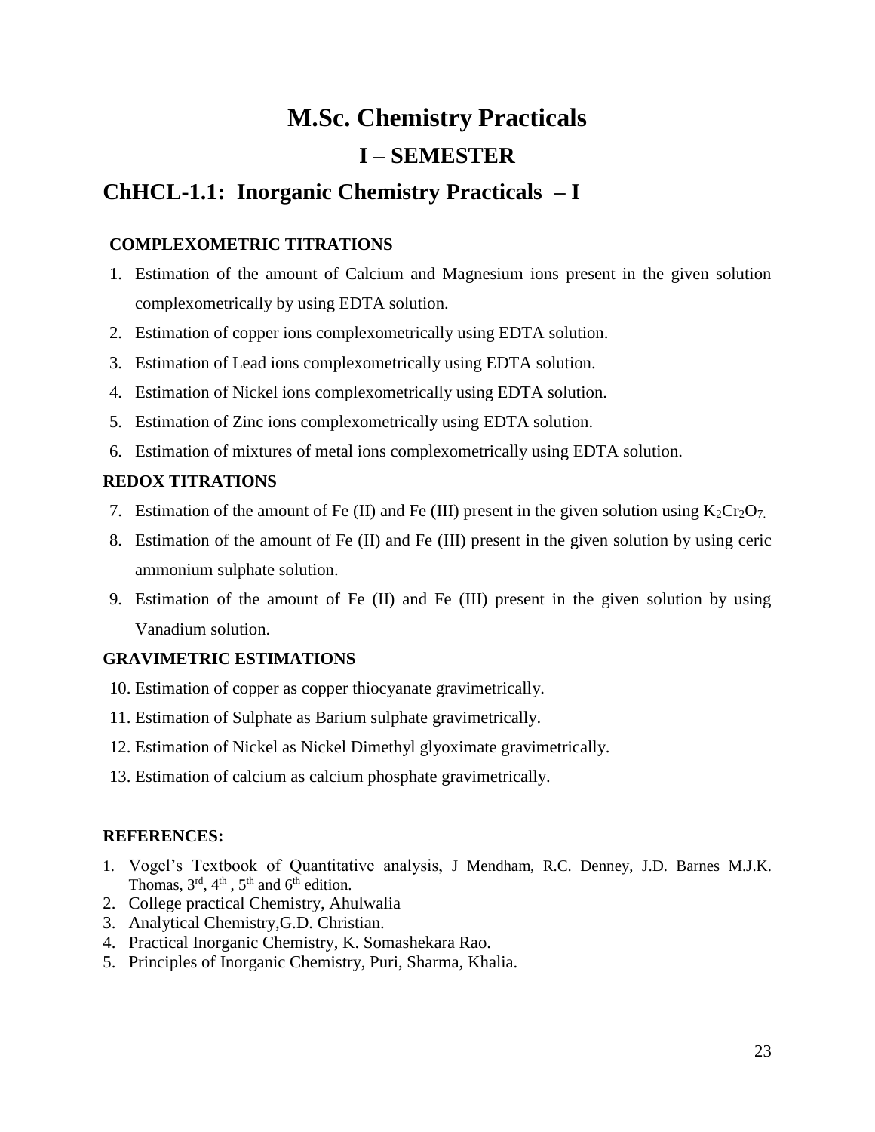# **M.Sc. Chemistry Practicals I – SEMESTER**

# **ChHCL-1.1: Inorganic Chemistry Practicals – I**

## **COMPLEXOMETRIC TITRATIONS**

- 1. Estimation of the amount of Calcium and Magnesium ions present in the given solution complexometrically by using EDTA solution.
- 2. Estimation of copper ions complexometrically using EDTA solution.
- 3. Estimation of Lead ions complexometrically using EDTA solution.
- 4. Estimation of Nickel ions complexometrically using EDTA solution.
- 5. Estimation of Zinc ions complexometrically using EDTA solution.
- 6. Estimation of mixtures of metal ions complexometrically using EDTA solution.

## **REDOX TITRATIONS**

- 7. Estimation of the amount of Fe (II) and Fe (III) present in the given solution using  $K_2Cr_2O_7$ .
- 8. Estimation of the amount of Fe (II) and Fe (III) present in the given solution by using ceric ammonium sulphate solution.
- 9. Estimation of the amount of Fe (II) and Fe (III) present in the given solution by using Vanadium solution.

## **GRAVIMETRIC ESTIMATIONS**

- 10. Estimation of copper as copper thiocyanate gravimetrically.
- 11. Estimation of Sulphate as Barium sulphate gravimetrically.
- 12. Estimation of Nickel as Nickel Dimethyl glyoximate gravimetrically.
- 13. Estimation of calcium as calcium phosphate gravimetrically.

- 1. Vogel's Textbook of Quantitative analysis, J Mendham, R.C. Denney, J.D. Barnes M.J.K. Thomas,  $3<sup>rd</sup>$ ,  $4<sup>th</sup>$ ,  $5<sup>th</sup>$  and  $6<sup>th</sup>$  edition.
- 2. College practical Chemistry, Ahulwalia
- 3. Analytical Chemistry,G.D. Christian.
- 4. Practical Inorganic Chemistry, K. Somashekara Rao.
- 5. Principles of Inorganic Chemistry, Puri, Sharma, Khalia.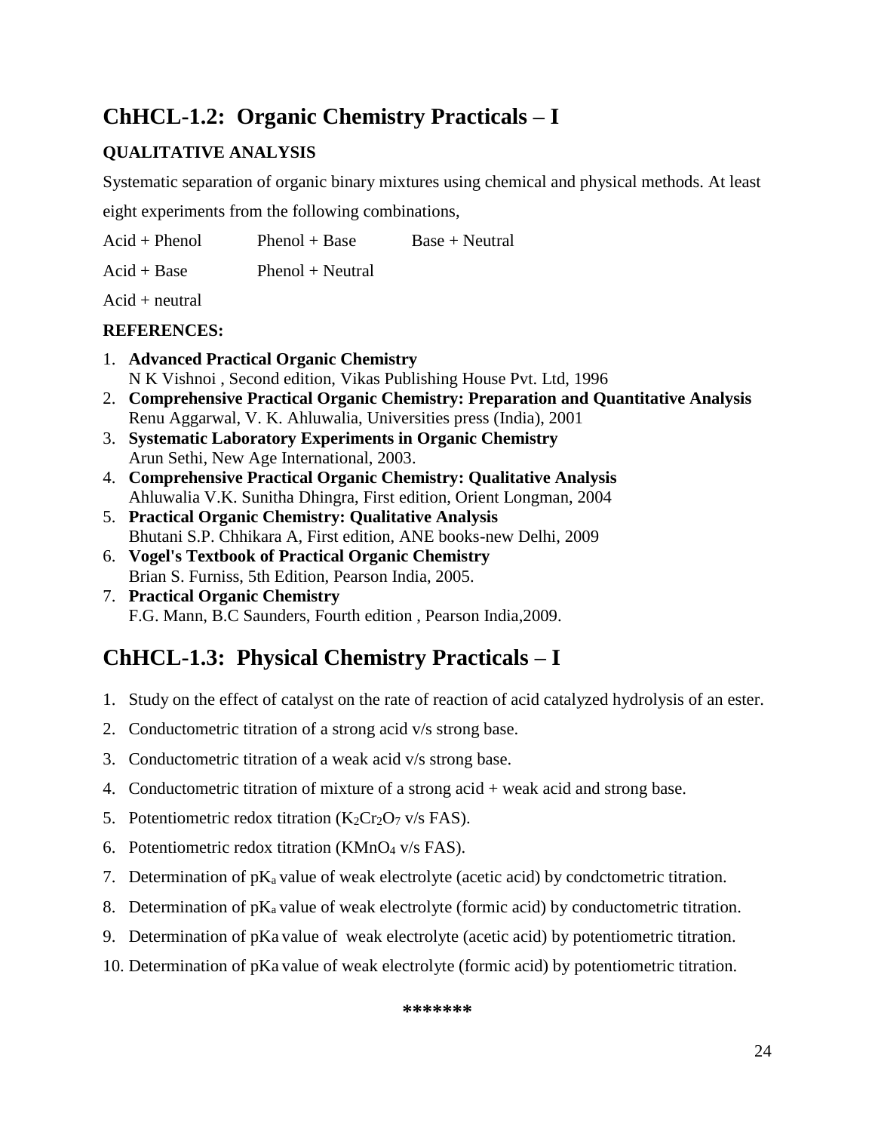# **ChHCL-1.2: Organic Chemistry Practicals – I**

## **QUALITATIVE ANALYSIS**

Systematic separation of organic binary mixtures using chemical and physical methods. At least

eight experiments from the following combinations,

 $Acid + Phenol$  Phenol + Base Base + Neutral

 $Acid + Base$  Phenol + Neutral

 $Acid + neutral$ 

## **REFERENCES:**

- 1. **Advanced Practical Organic Chemistry** N K Vishnoi , Second edition, Vikas Publishing House Pvt. Ltd, 1996
- 2. **Comprehensive Practical Organic Chemistry: Preparation and Quantitative Analysis** Renu Aggarwal, V. K. Ahluwalia, Universities press (India), 2001
- 3. **Systematic Laboratory Experiments in Organic Chemistry** Arun Sethi, New Age International, 2003.
- 4. **Comprehensive Practical Organic Chemistry: Qualitative Analysis** Ahluwalia V.K. Sunitha Dhingra, First edition, Orient Longman, 2004
- 5. **Practical Organic Chemistry: Qualitative Analysis** Bhutani S.P. Chhikara A, First edition, ANE books-new Delhi, 2009
- 6. **Vogel's Textbook of Practical Organic Chemistry** Brian S. Furniss, 5th Edition, Pearson India, 2005.
- 7. **Practical Organic Chemistry**  F.G. Mann, B.C Saunders, Fourth edition , Pearson India,2009.

# **ChHCL-1.3: Physical Chemistry Practicals – I**

- 1. Study on the effect of catalyst on the rate of reaction of acid catalyzed hydrolysis of an ester.
- 2. Conductometric titration of a strong acid v/s strong base.
- 3. Conductometric titration of a weak acid v/s strong base.
- 4. Conductometric titration of mixture of a strong acid + weak acid and strong base.
- 5. Potentiometric redox titration  $(K_2Cr_2O_7$  v/s FAS).
- 6. Potentiometric redox titration ( $KMnO<sub>4</sub>$  v/s FAS).
- 7. Determination of  $pK_a$  value of weak electrolyte (acetic acid) by condctometric titration.
- 8. Determination of  $pK_a$  value of weak electrolyte (formic acid) by conductometric titration.
- 9. Determination of pKa value of weak electrolyte (acetic acid) by potentiometric titration.
- 10. Determination of pKa value of weak electrolyte (formic acid) by potentiometric titration.

**\*\*\*\*\*\*\***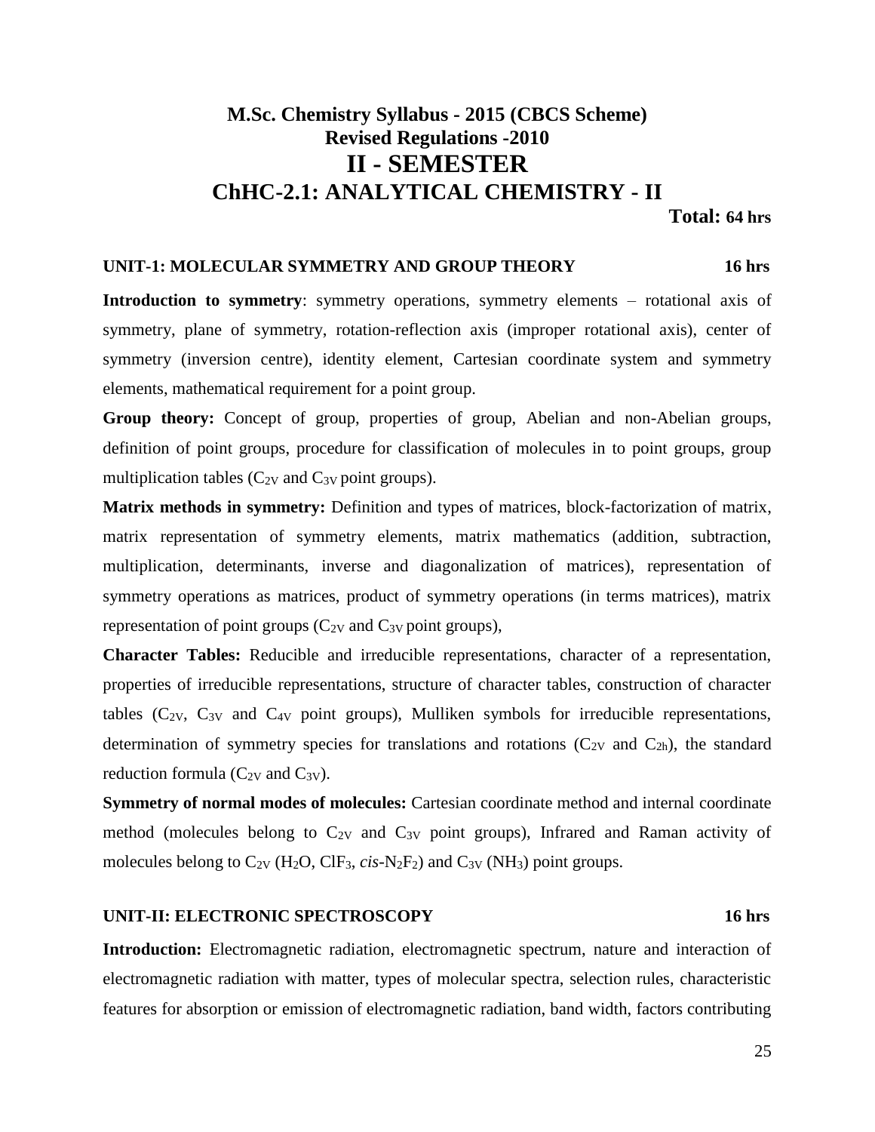# **M.Sc. Chemistry Syllabus - 2015 (CBCS Scheme) Revised Regulations -2010 II - SEMESTER ChHC-2.1: ANALYTICAL CHEMISTRY - II**

**Total: 64 hrs**

#### **UNIT-1: MOLECULAR SYMMETRY AND GROUP THEORY 16 hrs**

**Introduction to symmetry**: symmetry operations, symmetry elements – rotational axis of symmetry, plane of symmetry, rotation-reflection axis (improper rotational axis), center of symmetry (inversion centre), identity element, Cartesian coordinate system and symmetry elements, mathematical requirement for a point group.

**Group theory:** Concept of group, properties of group, Abelian and non-Abelian groups, definition of point groups, procedure for classification of molecules in to point groups, group multiplication tables  $(C_{2V}$  and  $C_{3V}$  point groups).

**Matrix methods in symmetry:** Definition and types of matrices, block-factorization of matrix, matrix representation of symmetry elements, matrix mathematics (addition, subtraction, multiplication, determinants, inverse and diagonalization of matrices), representation of symmetry operations as matrices, product of symmetry operations (in terms matrices), matrix representation of point groups  $(C_{2V}$  and  $C_{3V}$  point groups),

**Character Tables:** Reducible and irreducible representations, character of a representation, properties of irreducible representations, structure of character tables, construction of character tables  $(C_{2V}, C_{3V})$  and  $C_{4V}$  point groups), Mulliken symbols for irreducible representations, determination of symmetry species for translations and rotations  $(C_{2V}$  and  $C_{2h}$ ), the standard reduction formula  $(C_{2V}$  and  $C_{3V}$ ).

**Symmetry of normal modes of molecules:** Cartesian coordinate method and internal coordinate method (molecules belong to  $C_{2V}$  and  $C_{3V}$  point groups), Infrared and Raman activity of molecules belong to  $C_{2V}$  (H<sub>2</sub>O, ClF<sub>3</sub>, *cis*-N<sub>2</sub>F<sub>2</sub>) and  $C_{3V}$  (NH<sub>3</sub>) point groups.

#### **UNIT-II: ELECTRONIC SPECTROSCOPY 16 hrs**

# **Introduction:** Electromagnetic radiation, electromagnetic spectrum, nature and interaction of electromagnetic radiation with matter, types of molecular spectra, selection rules, characteristic features for absorption or emission of electromagnetic radiation, band width, factors contributing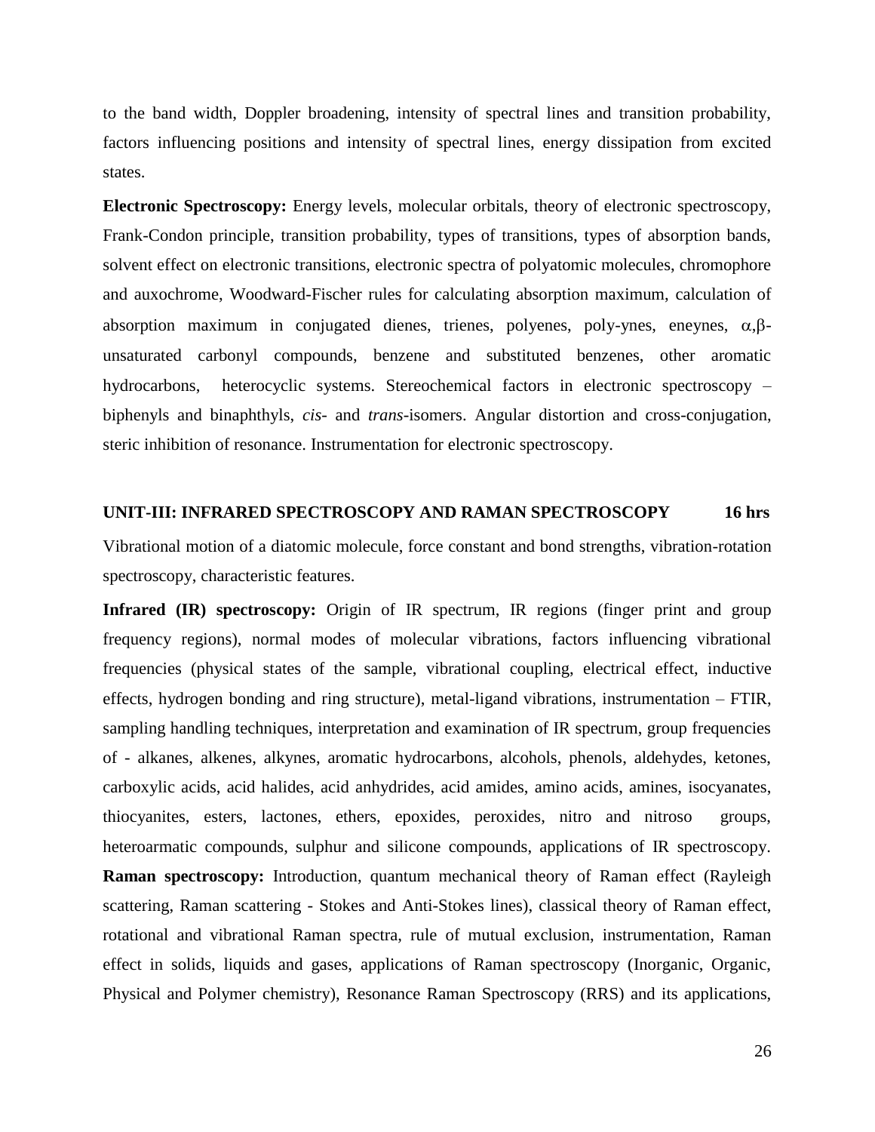to the band width, Doppler broadening, intensity of spectral lines and transition probability, factors influencing positions and intensity of spectral lines, energy dissipation from excited states.

**Electronic Spectroscopy:** Energy levels, molecular orbitals, theory of electronic spectroscopy, Frank-Condon principle, transition probability, types of transitions, types of absorption bands, solvent effect on electronic transitions, electronic spectra of polyatomic molecules, chromophore and auxochrome, Woodward-Fischer rules for calculating absorption maximum, calculation of absorption maximum in conjugated dienes, trienes, polyenes, poly-ynes, eneynes,  $\alpha, \beta$ unsaturated carbonyl compounds, benzene and substituted benzenes, other aromatic hydrocarbons, heterocyclic systems. Stereochemical factors in electronic spectroscopy – biphenyls and binaphthyls, *cis-* and *trans*-isomers. Angular distortion and cross-conjugation, steric inhibition of resonance. Instrumentation for electronic spectroscopy.

#### **UNIT-III: INFRARED SPECTROSCOPY AND RAMAN SPECTROSCOPY 16 hrs**

Vibrational motion of a diatomic molecule, force constant and bond strengths, vibration-rotation spectroscopy, characteristic features.

**Infrared (IR) spectroscopy:** Origin of IR spectrum, IR regions (finger print and group frequency regions), normal modes of molecular vibrations, factors influencing vibrational frequencies (physical states of the sample, vibrational coupling, electrical effect, inductive effects, hydrogen bonding and ring structure), metal-ligand vibrations, instrumentation – FTIR, sampling handling techniques, interpretation and examination of IR spectrum, group frequencies of - alkanes, alkenes, alkynes, aromatic hydrocarbons, alcohols, phenols, aldehydes, ketones, carboxylic acids, acid halides, acid anhydrides, acid amides, amino acids, amines, isocyanates, thiocyanites, esters, lactones, ethers, epoxides, peroxides, nitro and nitroso groups, heteroarmatic compounds, sulphur and silicone compounds, applications of IR spectroscopy. **Raman spectroscopy:** Introduction, quantum mechanical theory of Raman effect (Rayleigh scattering, Raman scattering - Stokes and Anti-Stokes lines), classical theory of Raman effect, rotational and vibrational Raman spectra, rule of mutual exclusion, instrumentation, Raman effect in solids, liquids and gases, applications of Raman spectroscopy (Inorganic, Organic, Physical and Polymer chemistry), Resonance Raman Spectroscopy (RRS) and its applications,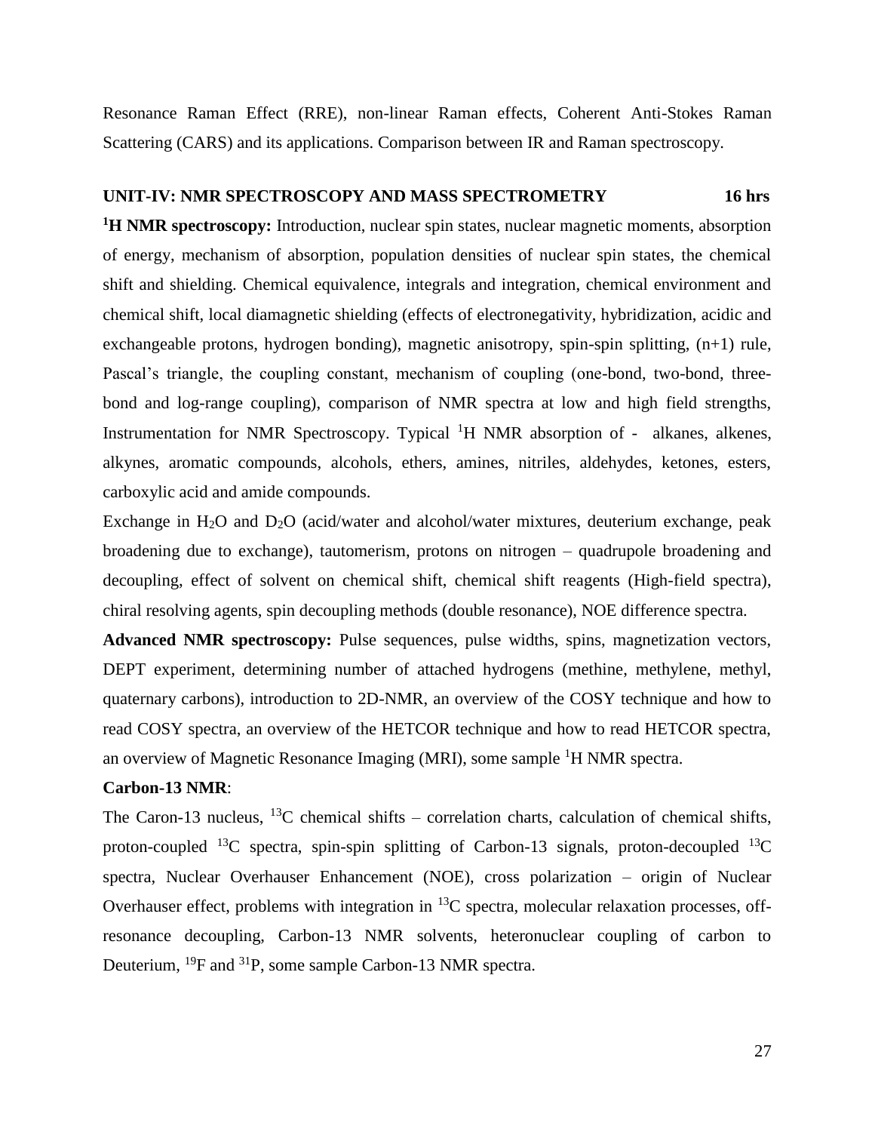Resonance Raman Effect (RRE), non-linear Raman effects, Coherent Anti-Stokes Raman Scattering (CARS) and its applications. Comparison between IR and Raman spectroscopy.

#### **UNIT-IV: NMR SPECTROSCOPY AND MASS SPECTROMETRY 16 hrs**

**<sup>1</sup>H NMR spectroscopy:** Introduction, nuclear spin states, nuclear magnetic moments, absorption of energy, mechanism of absorption, population densities of nuclear spin states, the chemical shift and shielding. Chemical equivalence, integrals and integration, chemical environment and chemical shift, local diamagnetic shielding (effects of electronegativity, hybridization, acidic and exchangeable protons, hydrogen bonding), magnetic anisotropy, spin-spin splitting, (n+1) rule, Pascal's triangle, the coupling constant, mechanism of coupling (one-bond, two-bond, threebond and log-range coupling), comparison of NMR spectra at low and high field strengths, Instrumentation for NMR Spectroscopy. Typical <sup>1</sup>H NMR absorption of - alkanes, alkenes, alkynes, aromatic compounds, alcohols, ethers, amines, nitriles, aldehydes, ketones, esters, carboxylic acid and amide compounds.

Exchange in  $H_2O$  and  $D_2O$  (acid/water and alcohol/water mixtures, deuterium exchange, peak broadening due to exchange), tautomerism, protons on nitrogen – quadrupole broadening and decoupling, effect of solvent on chemical shift, chemical shift reagents (High-field spectra), chiral resolving agents, spin decoupling methods (double resonance), NOE difference spectra.

**Advanced NMR spectroscopy:** Pulse sequences, pulse widths, spins, magnetization vectors, DEPT experiment, determining number of attached hydrogens (methine, methylene, methyl, quaternary carbons), introduction to 2D-NMR, an overview of the COSY technique and how to read COSY spectra, an overview of the HETCOR technique and how to read HETCOR spectra, an overview of Magnetic Resonance Imaging (MRI), some sample <sup>1</sup>H NMR spectra.

#### **Carbon-13 NMR**:

The Caron-13 nucleus,  $^{13}$ C chemical shifts – correlation charts, calculation of chemical shifts, proton-coupled  ${}^{13}C$  spectra, spin-spin splitting of Carbon-13 signals, proton-decoupled  ${}^{13}C$ spectra, Nuclear Overhauser Enhancement (NOE), cross polarization – origin of Nuclear Overhauser effect, problems with integration in  ${}^{13}C$  spectra, molecular relaxation processes, offresonance decoupling, Carbon-13 NMR solvents, heteronuclear coupling of carbon to Deuterium, <sup>19</sup>F and <sup>31</sup>P, some sample Carbon-13 NMR spectra.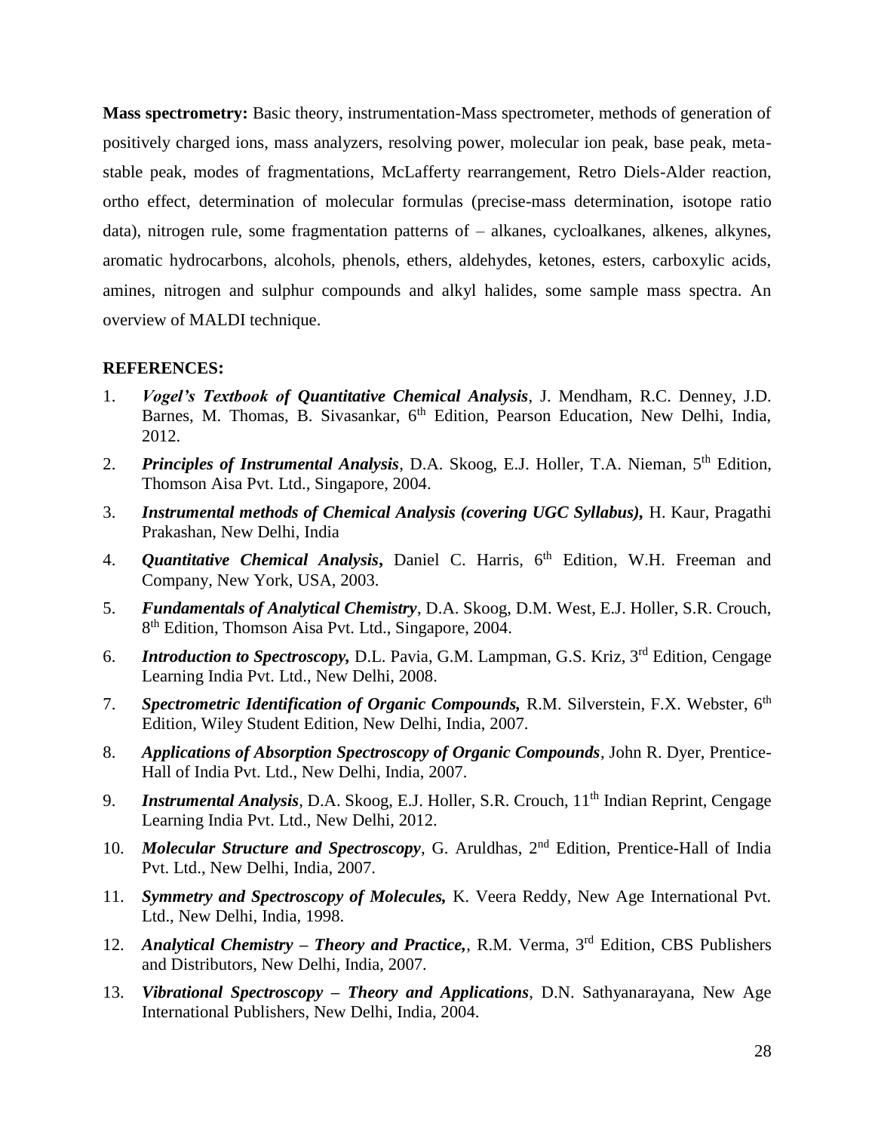**Mass spectrometry:** Basic theory, instrumentation-Mass spectrometer, methods of generation of positively charged ions, mass analyzers, resolving power, molecular ion peak, base peak, metastable peak, modes of fragmentations, McLafferty rearrangement, Retro Diels-Alder reaction, ortho effect, determination of molecular formulas (precise-mass determination, isotope ratio data), nitrogen rule, some fragmentation patterns of – alkanes, cycloalkanes, alkenes, alkynes, aromatic hydrocarbons, alcohols, phenols, ethers, aldehydes, ketones, esters, carboxylic acids, amines, nitrogen and sulphur compounds and alkyl halides, some sample mass spectra. An overview of MALDI technique.

- 1. *Vogel's Textbook of Quantitative Chemical Analysis*, J. Mendham, R.C. Denney, J.D. Barnes, M. Thomas, B. Sivasankar, 6<sup>th</sup> Edition, Pearson Education, New Delhi, India, 2012.
- 2. *Principles of Instrumental Analysis*, D.A. Skoog, E.J. Holler, T.A. Nieman, 5th Edition, Thomson Aisa Pvt. Ltd., Singapore, 2004.
- 3. *Instrumental methods of Chemical Analysis (covering UGC Syllabus),* H. Kaur, Pragathi Prakashan, New Delhi, India
- 4. *Quantitative Chemical Analysis***,** Daniel C. Harris, 6th Edition, W.H. Freeman and Company, New York, USA, 2003.
- 5. *Fundamentals of Analytical Chemistry*, D.A. Skoog, D.M. West, E.J. Holler, S.R. Crouch, 8<sup>th</sup> Edition, Thomson Aisa Pvt. Ltd., Singapore, 2004.
- 6. *Introduction to Spectroscopy,* D.L. Pavia, G.M. Lampman, G.S. Kriz, 3rd Edition, Cengage Learning India Pvt. Ltd., New Delhi, 2008.
- 7. *Spectrometric Identification of Organic Compounds,* R.M. Silverstein, F.X. Webster, 6th Edition, Wiley Student Edition, New Delhi, India, 2007.
- 8. *Applications of Absorption Spectroscopy of Organic Compounds*, John R. Dyer, Prentice-Hall of India Pvt. Ltd., New Delhi, India, 2007.
- 9. *Instrumental Analysis*, D.A. Skoog, E.J. Holler, S.R. Crouch, 11<sup>th</sup> Indian Reprint, Cengage Learning India Pvt. Ltd., New Delhi, 2012.
- 10. *Molecular Structure and Spectroscopy*, G. Aruldhas, 2<sup>nd</sup> Edition, Prentice-Hall of India Pvt. Ltd., New Delhi, India, 2007.
- 11. *Symmetry and Spectroscopy of Molecules,* K. Veera Reddy, New Age International Pvt. Ltd., New Delhi, India, 1998.
- 12. *Analytical Chemistry – Theory and Practice,*, R.M. Verma, 3rd Edition, CBS Publishers and Distributors, New Delhi, India, 2007.
- 13. *Vibrational Spectroscopy – Theory and Applications*, D.N. Sathyanarayana, New Age International Publishers, New Delhi, India, 2004.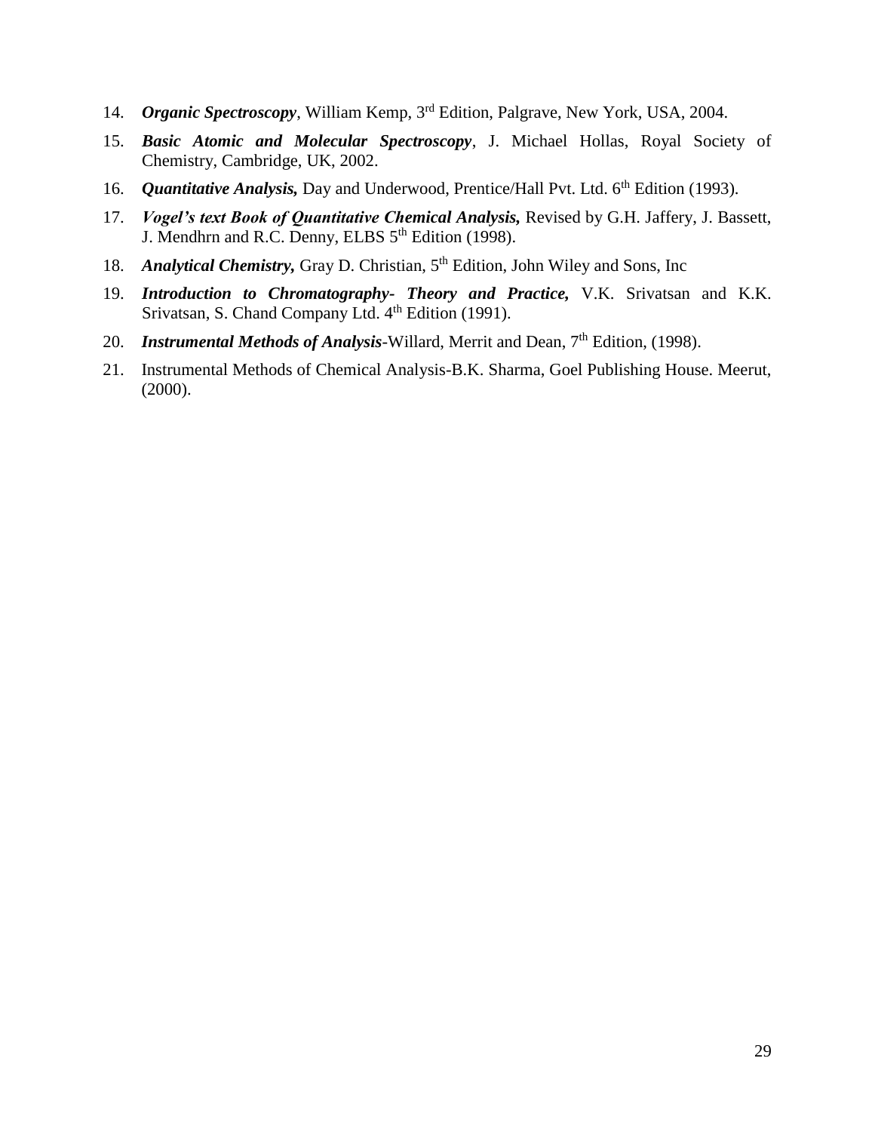- 14. *Organic Spectroscopy*, William Kemp, 3rd Edition, Palgrave, New York, USA, 2004.
- 15. *Basic Atomic and Molecular Spectroscopy*, J. Michael Hollas, Royal Society of Chemistry, Cambridge, UK, 2002.
- 16. *Quantitative Analysis*, Day and Underwood, Prentice/Hall Pvt. Ltd. 6<sup>th</sup> Edition (1993).
- 17. *Vogel's text Book of Quantitative Chemical Analysis,* Revised by G.H. Jaffery, J. Bassett, J. Mendhrn and R.C. Denny, ELBS 5<sup>th</sup> Edition (1998).
- 18. *Analytical Chemistry*, Gray D. Christian, 5<sup>th</sup> Edition, John Wiley and Sons, Inc
- 19. *Introduction to Chromatography- Theory and Practice,* V.K. Srivatsan and K.K. Srivatsan, S. Chand Company Ltd. 4<sup>th</sup> Edition (1991).
- 20. *Instrumental Methods of Analysis*-Willard, Merrit and Dean, 7<sup>th</sup> Edition, (1998).
- 21. Instrumental Methods of Chemical Analysis-B.K. Sharma, Goel Publishing House. Meerut, (2000).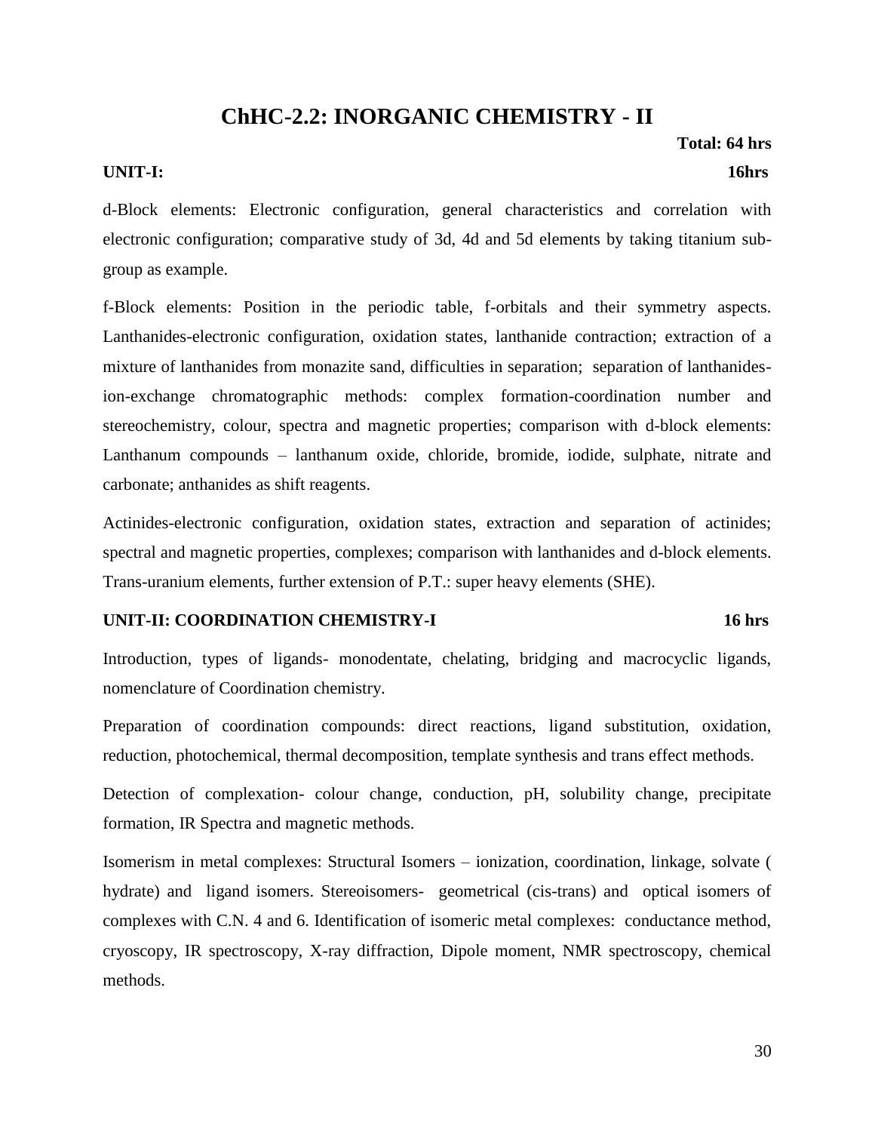# **ChHC-2.2: INORGANIC CHEMISTRY - II**

#### **UNIT-I: 16hrs**

 **Total: 64 hrs**

d-Block elements: Electronic configuration, general characteristics and correlation with electronic configuration; comparative study of 3d, 4d and 5d elements by taking titanium subgroup as example.

f-Block elements: Position in the periodic table, f-orbitals and their symmetry aspects. Lanthanides-electronic configuration, oxidation states, lanthanide contraction; extraction of a mixture of lanthanides from monazite sand, difficulties in separation; separation of lanthanidesion-exchange chromatographic methods: complex formation-coordination number and stereochemistry, colour, spectra and magnetic properties; comparison with d-block elements: Lanthanum compounds – lanthanum oxide, chloride, bromide, iodide, sulphate, nitrate and carbonate; anthanides as shift reagents.

Actinides-electronic configuration, oxidation states, extraction and separation of actinides; spectral and magnetic properties, complexes; comparison with lanthanides and d-block elements. Trans-uranium elements, further extension of P.T.: super heavy elements (SHE).

#### **UNIT-II: COORDINATION CHEMISTRY-I 16 hrs**

Introduction, types of ligands- monodentate, chelating, bridging and macrocyclic ligands, nomenclature of Coordination chemistry.

Preparation of coordination compounds: direct reactions, ligand substitution, oxidation, reduction, photochemical, thermal decomposition, template synthesis and trans effect methods.

Detection of complexation- colour change, conduction, pH, solubility change, precipitate formation, IR Spectra and magnetic methods.

Isomerism in metal complexes: Structural Isomers – ionization, coordination, linkage, solvate ( hydrate) and ligand isomers. Stereoisomers- geometrical (cis-trans) and optical isomers of complexes with C.N. 4 and 6. Identification of isomeric metal complexes: conductance method, cryoscopy, IR spectroscopy, X-ray diffraction, Dipole moment, NMR spectroscopy, chemical methods.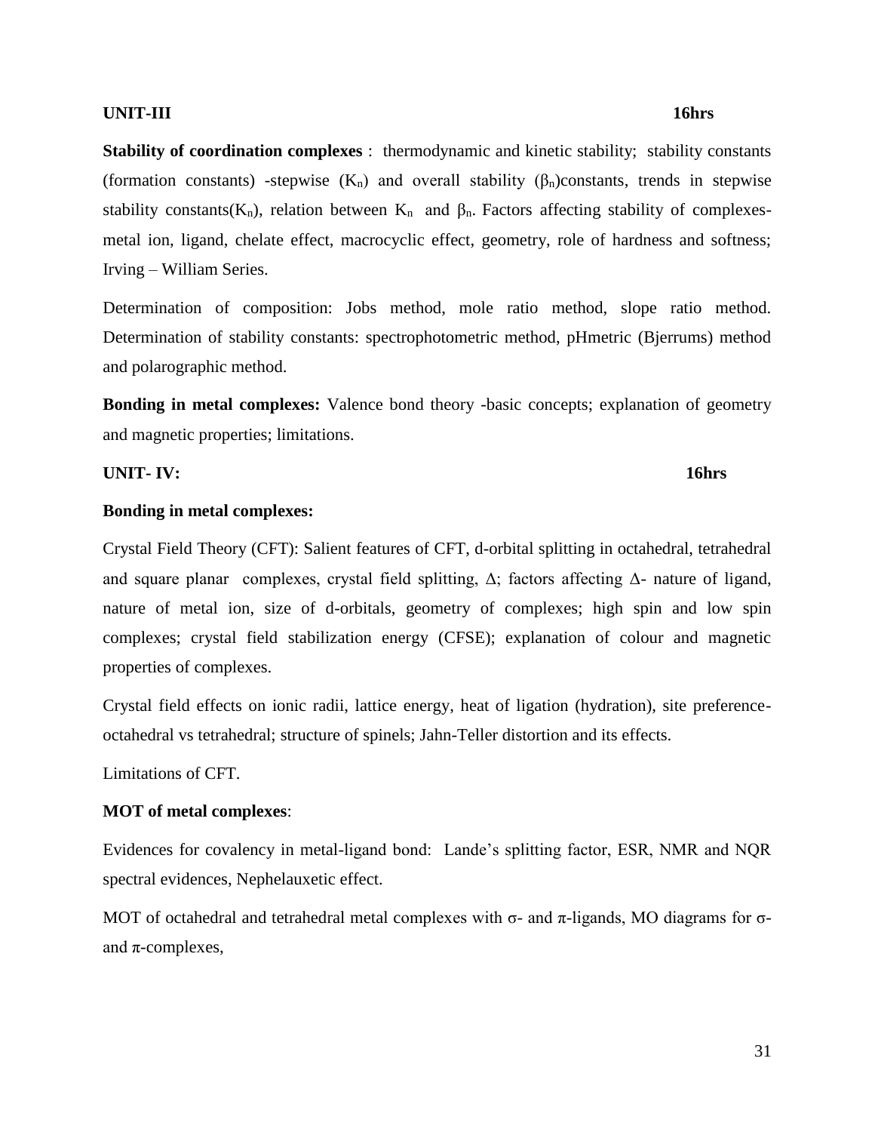#### **UNIT-III** 16hrs

**Stability of coordination complexes** : thermodynamic and kinetic stability; stability constants (formation constants) -stepwise  $(K_n)$  and overall stability  $(\beta_n)$ constants, trends in stepwise stability constants( $K_n$ ), relation between  $K_n$  and  $\beta_n$ . Factors affecting stability of complexesmetal ion, ligand, chelate effect, macrocyclic effect, geometry, role of hardness and softness; Irving – William Series.

Determination of composition: Jobs method, mole ratio method, slope ratio method. Determination of stability constants: spectrophotometric method, pHmetric (Bjerrums) method and polarographic method.

**Bonding in metal complexes:** Valence bond theory -basic concepts; explanation of geometry and magnetic properties; limitations.

**UNIT- IV: 16hrs**

#### **Bonding in metal complexes:**

Crystal Field Theory (CFT): Salient features of CFT, d-orbital splitting in octahedral, tetrahedral and square planar complexes, crystal field splitting,  $\Delta$ ; factors affecting  $\Delta$ - nature of ligand, nature of metal ion, size of d-orbitals, geometry of complexes; high spin and low spin complexes; crystal field stabilization energy (CFSE); explanation of colour and magnetic properties of complexes.

Crystal field effects on ionic radii, lattice energy, heat of ligation (hydration), site preferenceoctahedral vs tetrahedral; structure of spinels; Jahn-Teller distortion and its effects.

Limitations of CFT.

#### **MOT of metal complexes**:

Evidences for covalency in metal-ligand bond: Lande's splitting factor, ESR, NMR and NQR spectral evidences, Nephelauxetic effect.

MOT of octahedral and tetrahedral metal complexes with  $\sigma$ - and  $\pi$ -ligands, MO diagrams for  $\sigma$ and  $\pi$ -complexes,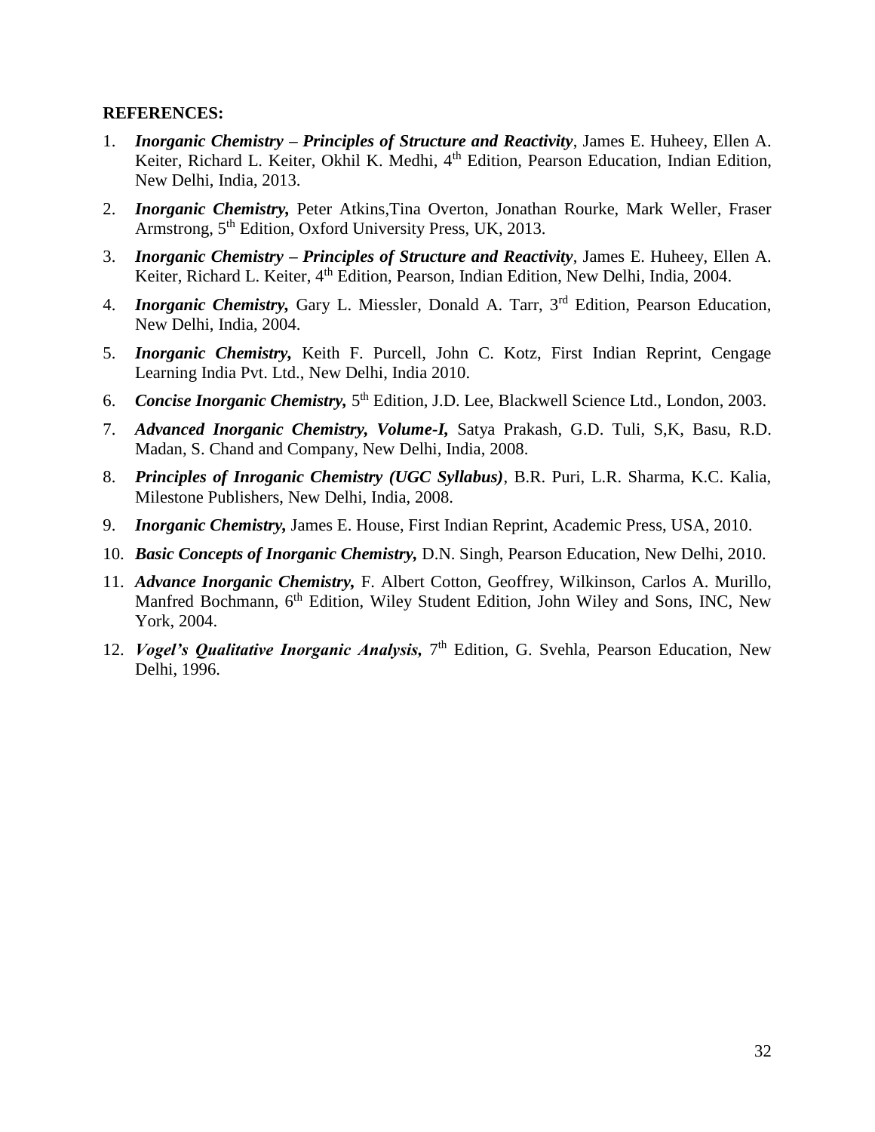- 1. *Inorganic Chemistry – Principles of Structure and Reactivity*, James E. Huheey, Ellen A. Keiter, Richard L. Keiter, Okhil K. Medhi, 4<sup>th</sup> Edition, Pearson Education, Indian Edition, New Delhi, India, 2013.
- 2. *Inorganic Chemistry,* Peter Atkins,Tina Overton, Jonathan Rourke, Mark Weller, Fraser Armstrong, 5<sup>th</sup> Edition, Oxford University Press, UK, 2013.
- 3. *Inorganic Chemistry – Principles of Structure and Reactivity*, James E. Huheey, Ellen A. Keiter, Richard L. Keiter, 4th Edition, Pearson, Indian Edition, New Delhi, India, 2004.
- 4. *Inorganic Chemistry*, Gary L. Miessler, Donald A. Tarr, 3<sup>rd</sup> Edition, Pearson Education, New Delhi, India, 2004.
- 5. *Inorganic Chemistry,* Keith F. Purcell, John C. Kotz, First Indian Reprint, Cengage Learning India Pvt. Ltd., New Delhi, India 2010.
- 6. Concise Inorganic Chemistry, 5<sup>th</sup> Edition, J.D. Lee, Blackwell Science Ltd., London, 2003.
- 7. *Advanced Inorganic Chemistry, Volume-I,* Satya Prakash, G.D. Tuli, S,K, Basu, R.D. Madan, S. Chand and Company, New Delhi, India, 2008.
- 8. *Principles of Inroganic Chemistry (UGC Syllabus)*, B.R. Puri, L.R. Sharma, K.C. Kalia, Milestone Publishers, New Delhi, India, 2008.
- 9. *Inorganic Chemistry,* James E. House, First Indian Reprint, Academic Press, USA, 2010.
- 10. *Basic Concepts of Inorganic Chemistry,* D.N. Singh, Pearson Education, New Delhi, 2010.
- 11. *Advance Inorganic Chemistry,* F. Albert Cotton, Geoffrey, Wilkinson, Carlos A. Murillo, Manfred Bochmann, 6<sup>th</sup> Edition, Wiley Student Edition, John Wiley and Sons, INC, New York, 2004.
- 12. *Vogel's Qualitative Inorganic Analysis*, 7<sup>th</sup> Edition, G. Svehla, Pearson Education, New Delhi, 1996.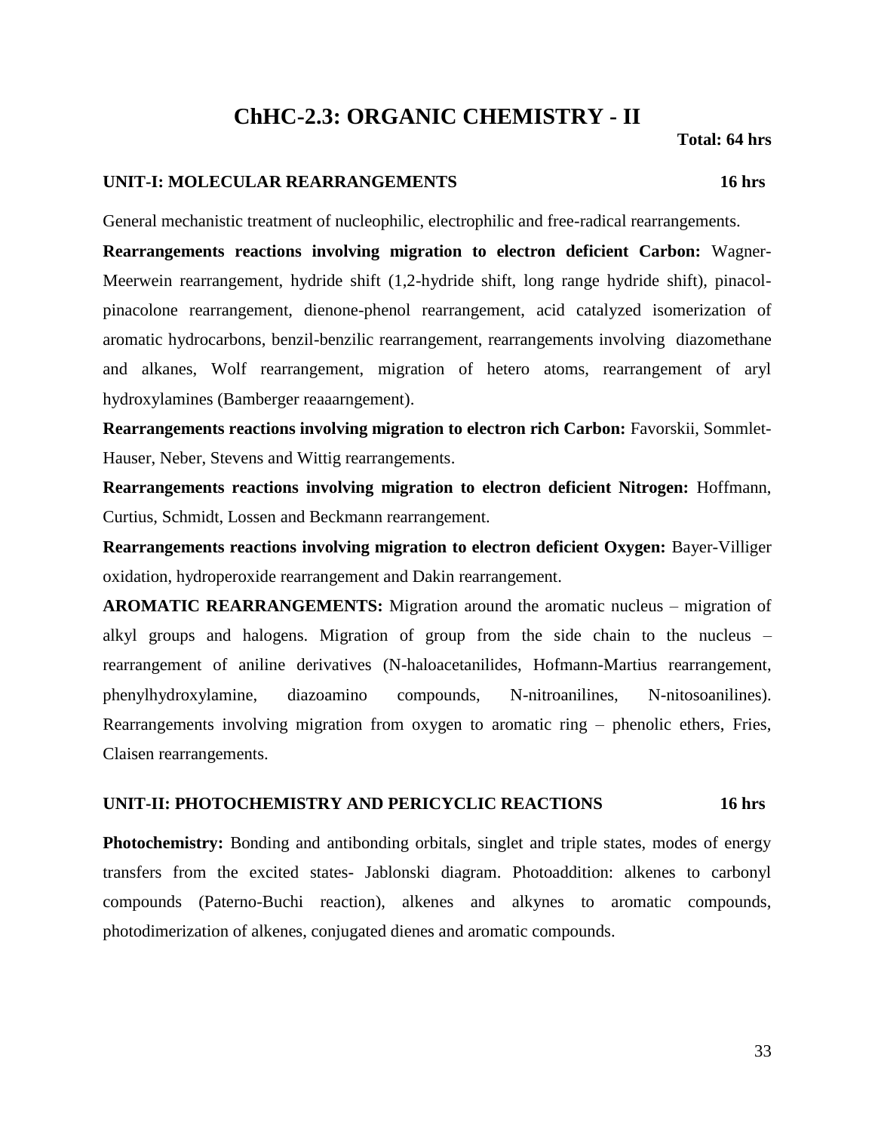# **ChHC-2.3: ORGANIC CHEMISTRY - II**

 **Total: 64 hrs**

#### **UNIT-I: MOLECULAR REARRANGEMENTS 16 hrs**

General mechanistic treatment of nucleophilic, electrophilic and free-radical rearrangements.

**Rearrangements reactions involving migration to electron deficient Carbon:** Wagner-Meerwein rearrangement, hydride shift (1,2-hydride shift, long range hydride shift), pinacolpinacolone rearrangement, dienone-phenol rearrangement, acid catalyzed isomerization of aromatic hydrocarbons, benzil-benzilic rearrangement, rearrangements involving diazomethane and alkanes, Wolf rearrangement, migration of hetero atoms, rearrangement of aryl hydroxylamines (Bamberger reaaarngement).

**Rearrangements reactions involving migration to electron rich Carbon:** Favorskii, Sommlet-Hauser, Neber, Stevens and Wittig rearrangements.

**Rearrangements reactions involving migration to electron deficient Nitrogen:** Hoffmann, Curtius, Schmidt, Lossen and Beckmann rearrangement.

**Rearrangements reactions involving migration to electron deficient Oxygen:** Bayer-Villiger oxidation, hydroperoxide rearrangement and Dakin rearrangement.

**AROMATIC REARRANGEMENTS:** Migration around the aromatic nucleus – migration of alkyl groups and halogens. Migration of group from the side chain to the nucleus – rearrangement of aniline derivatives (N-haloacetanilides, Hofmann-Martius rearrangement, phenylhydroxylamine, diazoamino compounds, N-nitroanilines, N-nitosoanilines). Rearrangements involving migration from oxygen to aromatic ring – phenolic ethers, Fries, Claisen rearrangements.

#### **UNIT-II: PHOTOCHEMISTRY AND PERICYCLIC REACTIONS 16 hrs**

**Photochemistry:** Bonding and antibonding orbitals, singlet and triple states, modes of energy transfers from the excited states- Jablonski diagram. Photoaddition: alkenes to carbonyl compounds (Paterno-Buchi reaction), alkenes and alkynes to aromatic compounds, photodimerization of alkenes, conjugated dienes and aromatic compounds.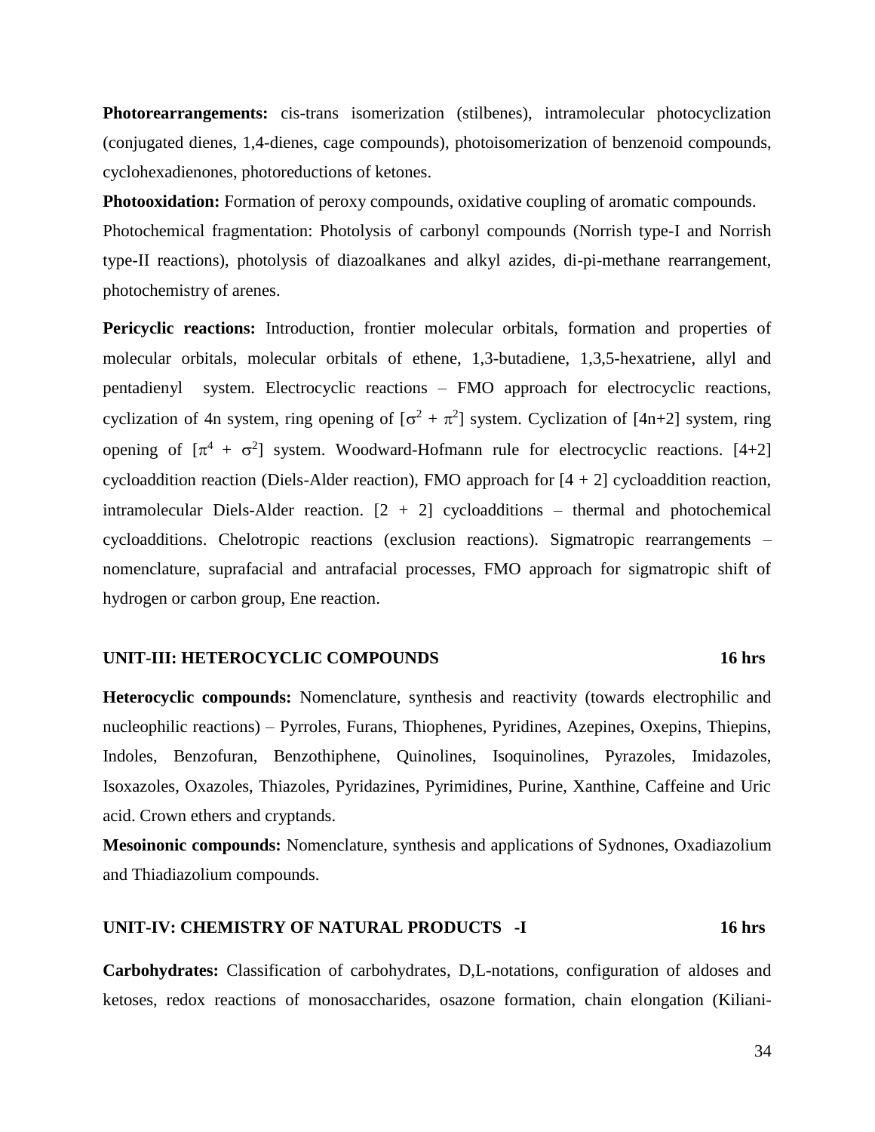**Photorearrangements:** cis-trans isomerization (stilbenes), intramolecular photocyclization (conjugated dienes, 1,4-dienes, cage compounds), photoisomerization of benzenoid compounds, cyclohexadienones, photoreductions of ketones.

**Photooxidation:** Formation of peroxy compounds, oxidative coupling of aromatic compounds. Photochemical fragmentation: Photolysis of carbonyl compounds (Norrish type-I and Norrish type-II reactions), photolysis of diazoalkanes and alkyl azides, di-pi-methane rearrangement, photochemistry of arenes.

Pericyclic reactions: Introduction, frontier molecular orbitals, formation and properties of molecular orbitals, molecular orbitals of ethene, 1,3-butadiene, 1,3,5-hexatriene, allyl and pentadienyl system. Electrocyclic reactions – FMO approach for electrocyclic reactions, cyclization of 4n system, ring opening of  $[\sigma^2 + \pi^2]$  system. Cyclization of [4n+2] system, ring opening of  $[\pi^4 + \sigma^2]$  system. Woodward-Hofmann rule for electrocyclic reactions. [4+2] cycloaddition reaction (Diels-Alder reaction), FMO approach for  $[4 + 2]$  cycloaddition reaction, intramolecular Diels-Alder reaction.  $[2 + 2]$  cycloadditions – thermal and photochemical cycloadditions. Chelotropic reactions (exclusion reactions). Sigmatropic rearrangements – nomenclature, suprafacial and antrafacial processes, FMO approach for sigmatropic shift of hydrogen or carbon group, Ene reaction.

#### **UNIT-III: HETEROCYCLIC COMPOUNDS 16 hrs**

**Heterocyclic compounds:** Nomenclature, synthesis and reactivity (towards electrophilic and nucleophilic reactions) – Pyrroles, Furans, Thiophenes, Pyridines, Azepines, Oxepins, Thiepins, Indoles, Benzofuran, Benzothiphene, Quinolines, Isoquinolines, Pyrazoles, Imidazoles, Isoxazoles, Oxazoles, Thiazoles, Pyridazines, Pyrimidines, Purine, Xanthine, Caffeine and Uric acid. Crown ethers and cryptands.

**Mesoinonic compounds:** Nomenclature, synthesis and applications of Sydnones, Oxadiazolium and Thiadiazolium compounds.

#### **UNIT-IV: CHEMISTRY OF NATURAL PRODUCTS -I 16 hrs**

**Carbohydrates:** Classification of carbohydrates, D,L-notations, configuration of aldoses and ketoses, redox reactions of monosaccharides, osazone formation, chain elongation (Kiliani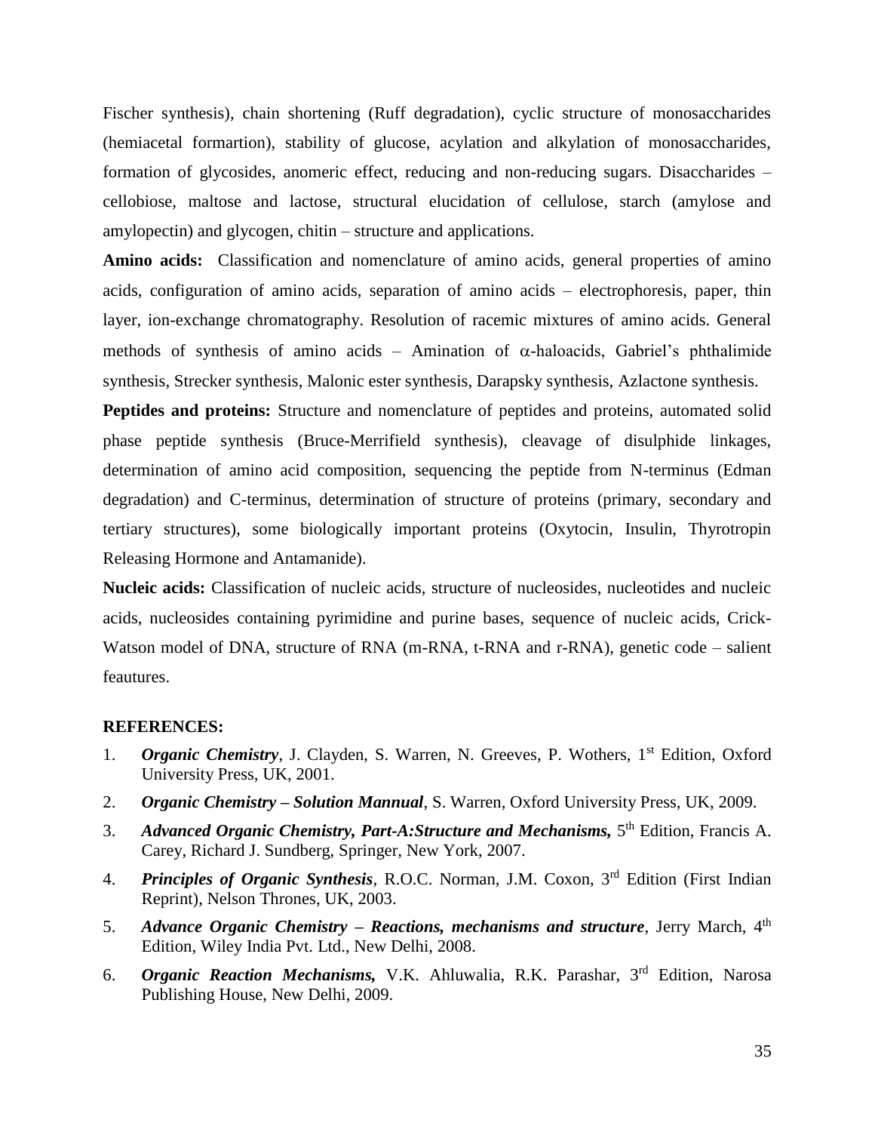Fischer synthesis), chain shortening (Ruff degradation), cyclic structure of monosaccharides (hemiacetal formartion), stability of glucose, acylation and alkylation of monosaccharides, formation of glycosides, anomeric effect, reducing and non-reducing sugars. Disaccharides – cellobiose, maltose and lactose, structural elucidation of cellulose, starch (amylose and amylopectin) and glycogen, chitin – structure and applications.

Amino acids: Classification and nomenclature of amino acids, general properties of amino acids, configuration of amino acids, separation of amino acids – electrophoresis, paper, thin layer, ion-exchange chromatography. Resolution of racemic mixtures of amino acids. General methods of synthesis of amino acids – Amination of  $\alpha$ -haloacids, Gabriel's phthalimide synthesis, Strecker synthesis, Malonic ester synthesis, Darapsky synthesis, Azlactone synthesis.

**Peptides and proteins:** Structure and nomenclature of peptides and proteins, automated solid phase peptide synthesis (Bruce-Merrifield synthesis), cleavage of disulphide linkages, determination of amino acid composition, sequencing the peptide from N-terminus (Edman degradation) and C-terminus, determination of structure of proteins (primary, secondary and tertiary structures), some biologically important proteins (Oxytocin, Insulin, Thyrotropin Releasing Hormone and Antamanide).

**Nucleic acids:** Classification of nucleic acids, structure of nucleosides, nucleotides and nucleic acids, nucleosides containing pyrimidine and purine bases, sequence of nucleic acids, Crick-Watson model of DNA, structure of RNA (m-RNA, t-RNA and r-RNA), genetic code – salient feautures.

- 1. **Organic Chemistry**, J. Clayden, S. Warren, N. Greeves, P. Wothers, 1<sup>st</sup> Edition, Oxford University Press, UK, 2001.
- 2. *Organic Chemistry – Solution Mannual*, S. Warren, Oxford University Press, UK, 2009.
- 3. Advanced Organic Chemistry, Part-A: Structure and Mechanisms, 5<sup>th</sup> Edition, Francis A. Carey, Richard J. Sundberg, Springer, New York, 2007.
- 4. *Principles of Organic Synthesis*, R.O.C. Norman, J.M. Coxon, 3rd Edition (First Indian Reprint), Nelson Thrones, UK, 2003.
- 5. *Advance Organic Chemistry – Reactions, mechanisms and structure*, Jerry March, 4th Edition, Wiley India Pvt. Ltd., New Delhi, 2008.
- 6. *Organic Reaction Mechanisms,* V.K. Ahluwalia, R.K. Parashar, 3rd Edition, Narosa Publishing House, New Delhi, 2009.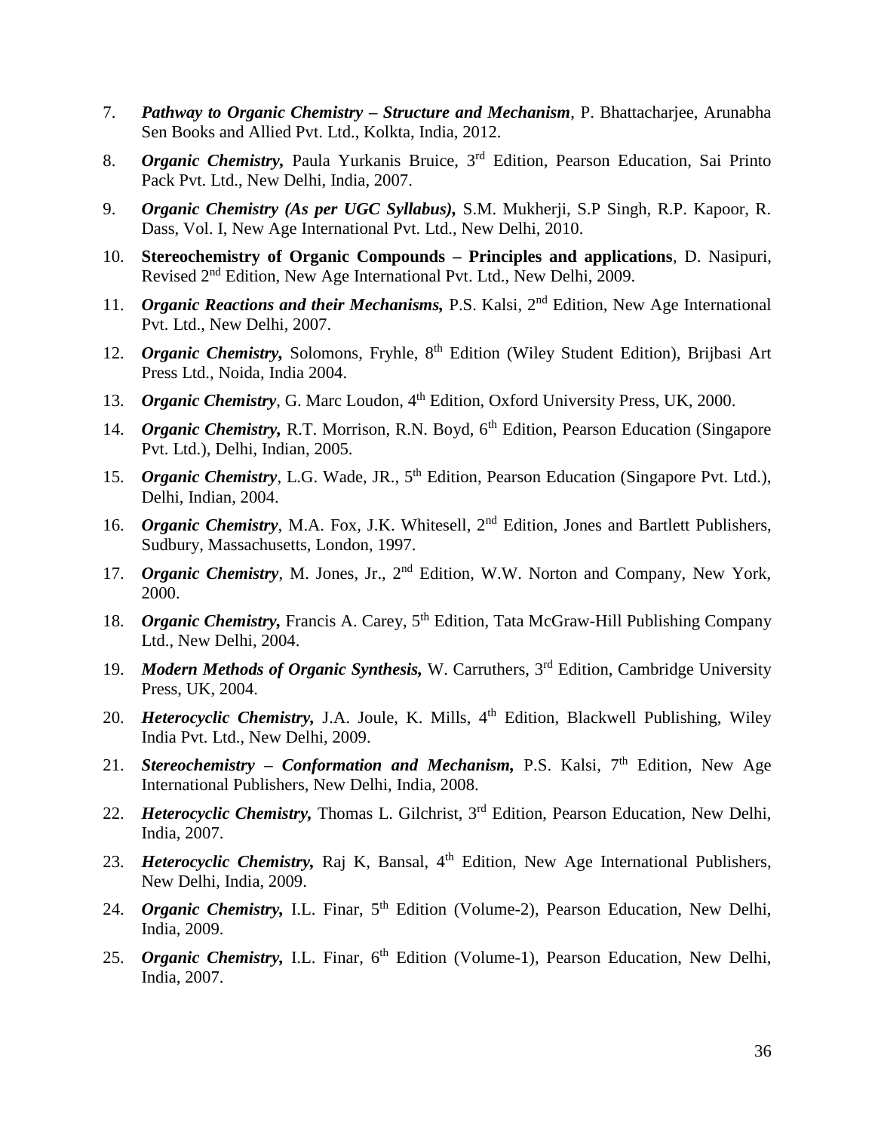- 7. *Pathway to Organic Chemistry – Structure and Mechanism*, P. Bhattacharjee, Arunabha Sen Books and Allied Pvt. Ltd., Kolkta, India, 2012.
- 8. *Organic Chemistry,* Paula Yurkanis Bruice, 3rd Edition, Pearson Education, Sai Printo Pack Pvt. Ltd., New Delhi, India, 2007.
- 9. *Organic Chemistry (As per UGC Syllabus),* S.M. Mukherji, S.P Singh, R.P. Kapoor, R. Dass, Vol. I, New Age International Pvt. Ltd., New Delhi, 2010.
- 10. **Stereochemistry of Organic Compounds – Principles and applications**, D. Nasipuri, Revised 2nd Edition, New Age International Pvt. Ltd., New Delhi, 2009.
- 11. *Organic Reactions and their Mechanisms,* P.S. Kalsi, 2nd Edition, New Age International Pvt. Ltd., New Delhi, 2007.
- 12. *Organic Chemistry*, Solomons, Fryhle, 8<sup>th</sup> Edition (Wiley Student Edition), Brijbasi Art Press Ltd., Noida, India 2004.
- 13. *Organic Chemistry*, G. Marc Loudon, 4<sup>th</sup> Edition, Oxford University Press, UK, 2000.
- 14. *Organic Chemistry*, R.T. Morrison, R.N. Boyd, 6<sup>th</sup> Edition, Pearson Education (Singapore Pvt. Ltd.), Delhi, Indian, 2005.
- 15. *Organic Chemistry*, L.G. Wade, JR., 5<sup>th</sup> Edition, Pearson Education (Singapore Pvt. Ltd.), Delhi, Indian, 2004.
- 16. *Organic Chemistry*, M.A. Fox, J.K. Whitesell, 2<sup>nd</sup> Edition, Jones and Bartlett Publishers, Sudbury, Massachusetts, London, 1997.
- 17. *Organic Chemistry*, M. Jones, Jr., 2nd Edition, W.W. Norton and Company, New York, 2000.
- 18. *Organic Chemistry*, Francis A. Carey, 5<sup>th</sup> Edition, Tata McGraw-Hill Publishing Company Ltd., New Delhi, 2004.
- 19. *Modern Methods of Organic Synthesis*, W. Carruthers, 3<sup>rd</sup> Edition, Cambridge University Press, UK, 2004.
- 20. *Heterocyclic Chemistry*, J.A. Joule, K. Mills, 4<sup>th</sup> Edition, Blackwell Publishing, Wiley India Pvt. Ltd., New Delhi, 2009.
- 21. *Stereochemistry Conformation and Mechanism*, P.S. Kalsi, 7<sup>th</sup> Edition, New Age International Publishers, New Delhi, India, 2008.
- 22. *Heterocyclic Chemistry*, Thomas L. Gilchrist, 3<sup>rd</sup> Edition, Pearson Education, New Delhi, India, 2007.
- 23. *Heterocyclic Chemistry*, Raj K, Bansal, 4<sup>th</sup> Edition, New Age International Publishers, New Delhi, India, 2009.
- 24. *Organic Chemistry*, I.L. Finar, 5<sup>th</sup> Edition (Volume-2), Pearson Education, New Delhi, India, 2009.
- 25. *Organic Chemistry*, I.L. Finar, 6<sup>th</sup> Edition (Volume-1), Pearson Education, New Delhi, India, 2007.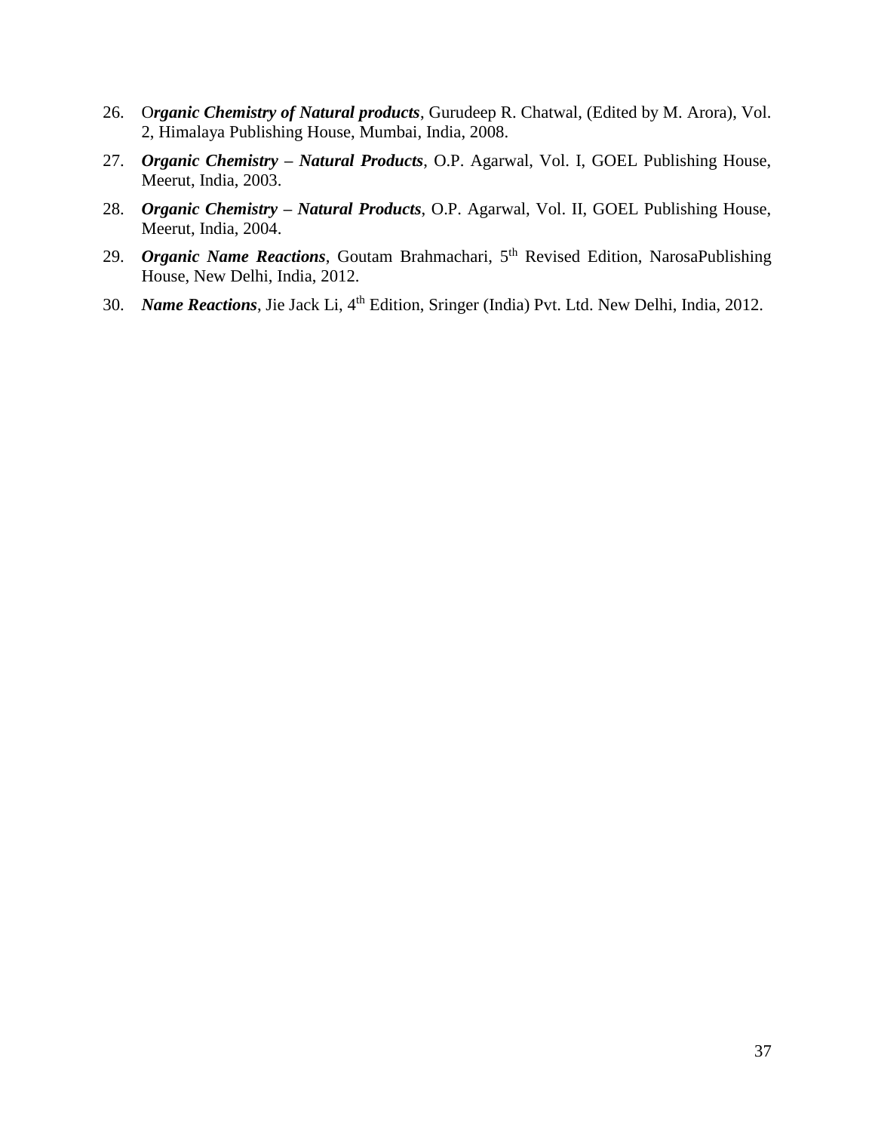- 26. O*rganic Chemistry of Natural products*, Gurudeep R. Chatwal, (Edited by M. Arora), Vol. 2, Himalaya Publishing House, Mumbai, India, 2008.
- 27. *Organic Chemistry – Natural Products*, O.P. Agarwal, Vol. I, GOEL Publishing House, Meerut, India, 2003.
- 28. *Organic Chemistry – Natural Products*, O.P. Agarwal, Vol. II, GOEL Publishing House, Meerut, India, 2004.
- 29. *Organic Name Reactions*, Goutam Brahmachari, 5<sup>th</sup> Revised Edition, NarosaPublishing House, New Delhi, India, 2012.
- 30. *Name Reactions*, Jie Jack Li, 4<sup>th</sup> Edition, Sringer (India) Pvt. Ltd. New Delhi, India, 2012.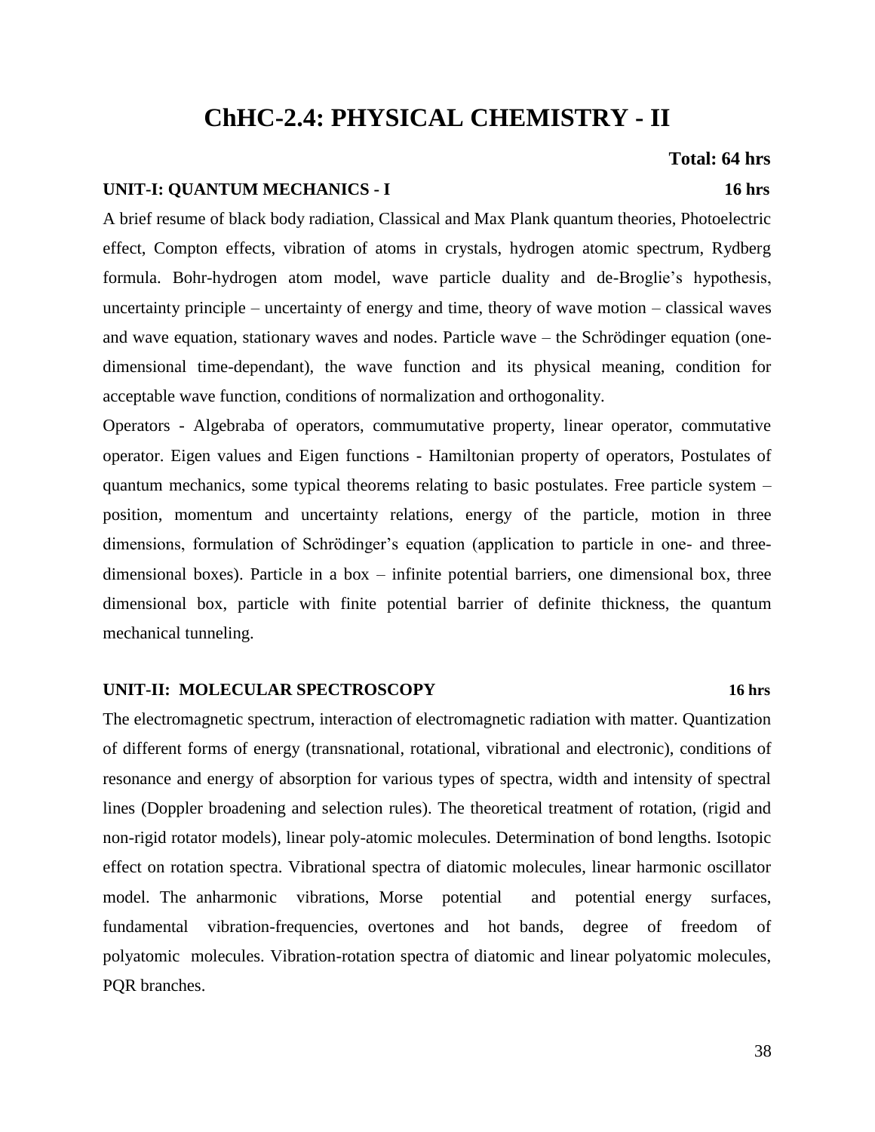# **ChHC-2.4: PHYSICAL CHEMISTRY - II**

### **Total: 64 hrs**

### **UNIT-I: QUANTUM MECHANICS - I 16 hrs**

A brief resume of black body radiation, Classical and Max Plank quantum theories, Photoelectric effect, Compton effects, vibration of atoms in crystals, hydrogen atomic spectrum, Rydberg formula. Bohr-hydrogen atom model, wave particle duality and de-Broglie's hypothesis, uncertainty principle – uncertainty of energy and time, theory of wave motion – classical waves and wave equation, stationary waves and nodes. Particle wave – the Schrödinger equation (onedimensional time-dependant), the wave function and its physical meaning, condition for acceptable wave function, conditions of normalization and orthogonality.

Operators - Algebraba of operators, commumutative property, linear operator, commutative operator. Eigen values and Eigen functions - Hamiltonian property of operators, Postulates of quantum mechanics, some typical theorems relating to basic postulates. Free particle system – position, momentum and uncertainty relations, energy of the particle, motion in three dimensions, formulation of Schrödinger's equation (application to particle in one- and threedimensional boxes). Particle in a box – infinite potential barriers, one dimensional box, three dimensional box, particle with finite potential barrier of definite thickness, the quantum mechanical tunneling.

#### **UNIT-II: MOLECULAR SPECTROSCOPY 16 hrs**

The electromagnetic spectrum, interaction of electromagnetic radiation with matter. Quantization of different forms of energy (transnational, rotational, vibrational and electronic), conditions of resonance and energy of absorption for various types of spectra, width and intensity of spectral lines (Doppler broadening and selection rules). The theoretical treatment of rotation, (rigid and non-rigid rotator models), linear poly-atomic molecules. Determination of bond lengths. Isotopic effect on rotation spectra. Vibrational spectra of diatomic molecules, linear harmonic oscillator model. The anharmonic vibrations, Morse potential and potential energy surfaces, fundamental vibration-frequencies, overtones and hot bands, degree of freedom of polyatomic molecules. Vibration-rotation spectra of diatomic and linear polyatomic molecules, PQR branches.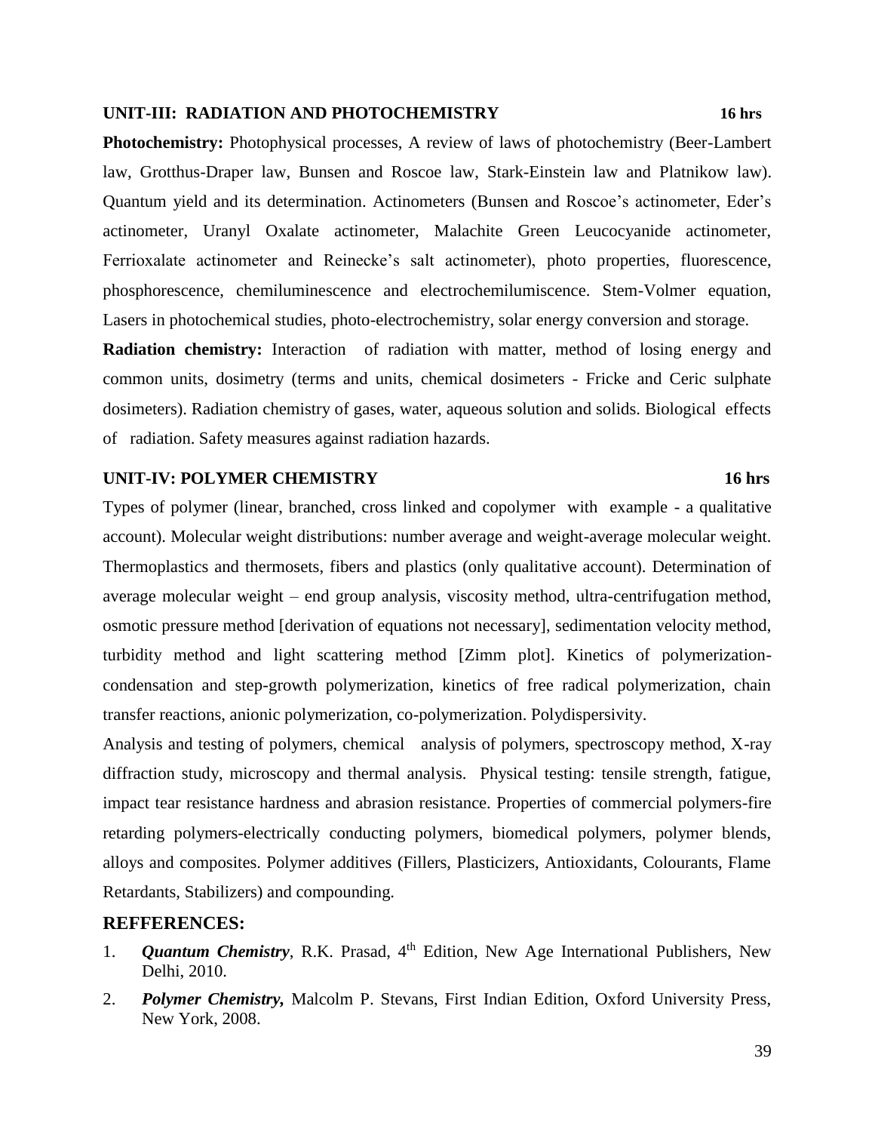#### **UNIT-III: RADIATION AND PHOTOCHEMISTRY 16 hrs**

**Photochemistry:** Photophysical processes, A review of laws of photochemistry (Beer-Lambert law, Grotthus-Draper law, Bunsen and Roscoe law, Stark-Einstein law and Platnikow law). Quantum yield and its determination. Actinometers (Bunsen and Roscoe's actinometer, Eder's actinometer, Uranyl Oxalate actinometer, Malachite Green Leucocyanide actinometer, Ferrioxalate actinometer and Reinecke's salt actinometer), photo properties, fluorescence, phosphorescence, chemiluminescence and electrochemilumiscence. Stem-Volmer equation, Lasers in photochemical studies, photo-electrochemistry, solar energy conversion and storage.

**Radiation chemistry:** Interaction of radiation with matter, method of losing energy and common units, dosimetry (terms and units, chemical dosimeters - Fricke and Ceric sulphate dosimeters). Radiation chemistry of gases, water, aqueous solution and solids. Biological effects of radiation. Safety measures against radiation hazards.

#### **UNIT-IV: POLYMER CHEMISTRY 16 hrs**

Types of polymer (linear, branched, cross linked and copolymer with example - a qualitative account). Molecular weight distributions: number average and weight-average molecular weight. Thermoplastics and thermosets, fibers and plastics (only qualitative account). Determination of average molecular weight – end group analysis, viscosity method, ultra-centrifugation method, osmotic pressure method [derivation of equations not necessary], sedimentation velocity method, turbidity method and light scattering method [Zimm plot]. Kinetics of polymerizationcondensation and step-growth polymerization, kinetics of free radical polymerization, chain transfer reactions, anionic polymerization, co-polymerization. Polydispersivity.

Analysis and testing of polymers, chemical analysis of polymers, spectroscopy method, X-ray diffraction study, microscopy and thermal analysis. Physical testing: tensile strength, fatigue, impact tear resistance hardness and abrasion resistance. Properties of commercial polymers-fire retarding polymers-electrically conducting polymers, biomedical polymers, polymer blends, alloys and composites. Polymer additives (Fillers, Plasticizers, Antioxidants, Colourants, Flame Retardants, Stabilizers) and compounding.

- 1. *Quantum Chemistry*, R.K. Prasad, 4<sup>th</sup> Edition, New Age International Publishers, New Delhi, 2010.
- 2. *Polymer Chemistry,* Malcolm P. Stevans, First Indian Edition, Oxford University Press, New York, 2008.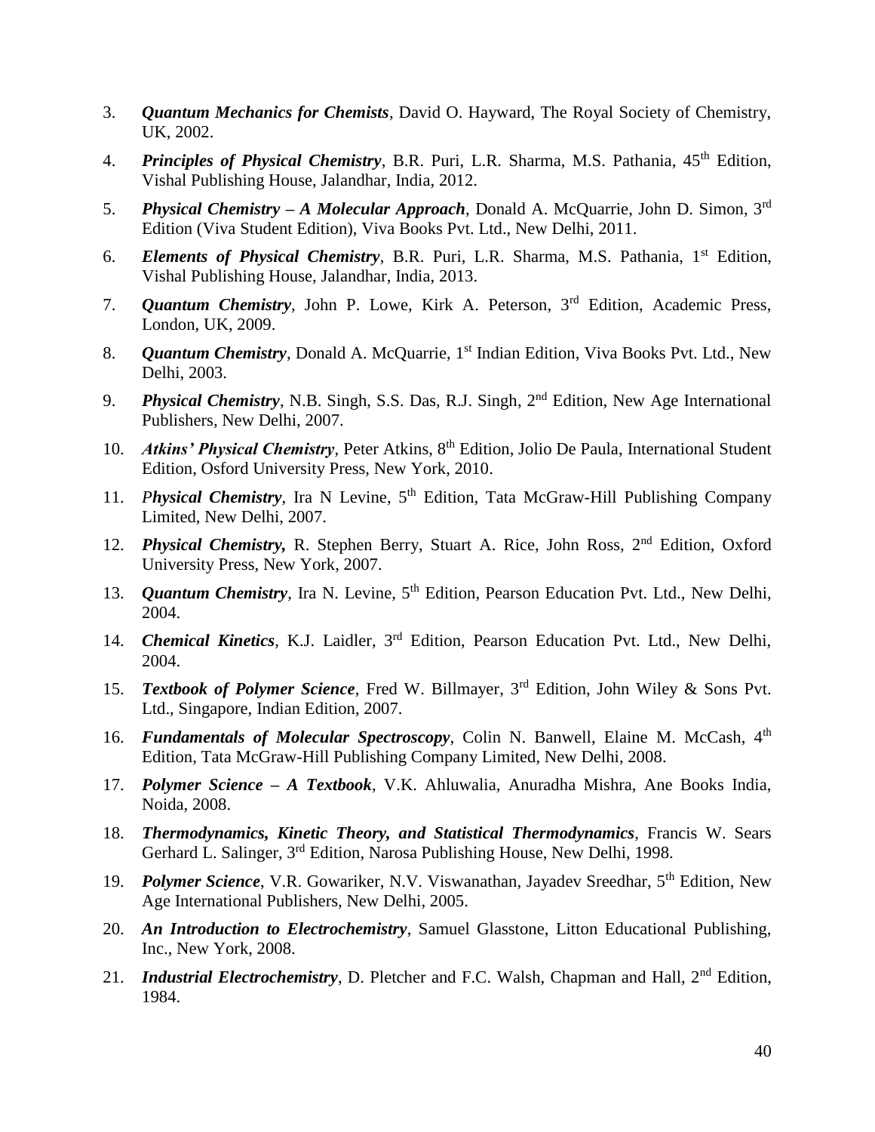- 3. *Quantum Mechanics for Chemists*, David O. Hayward, The Royal Society of Chemistry, UK, 2002.
- 4. *Principles of Physical Chemistry*, B.R. Puri, L.R. Sharma, M.S. Pathania, 45<sup>th</sup> Edition, Vishal Publishing House, Jalandhar, India, 2012.
- 5. *Physical Chemistry – A Molecular Approach*, Donald A. McQuarrie, John D. Simon, 3rd Edition (Viva Student Edition), Viva Books Pvt. Ltd., New Delhi, 2011.
- 6. *Elements of Physical Chemistry*, B.R. Puri, L.R. Sharma, M.S. Pathania, 1<sup>st</sup> Edition, Vishal Publishing House, Jalandhar, India, 2013.
- 7. *Quantum Chemistry*, John P. Lowe, Kirk A. Peterson, 3rd Edition, Academic Press, London, UK, 2009.
- 8. *Quantum Chemistry*, Donald A. McQuarrie, 1<sup>st</sup> Indian Edition, Viva Books Pvt. Ltd., New Delhi, 2003.
- 9. *Physical Chemistry*, N.B. Singh, S.S. Das, R.J. Singh, 2nd Edition, New Age International Publishers, New Delhi, 2007.
- 10. *Atkins' Physical Chemistry*, Peter Atkins, 8<sup>th</sup> Edition, Jolio De Paula, International Student Edition, Osford University Press, New York, 2010.
- 11. *Physical Chemistry*, Ira N Levine, 5th Edition, Tata McGraw-Hill Publishing Company Limited, New Delhi, 2007.
- 12. *Physical Chemistry*, R. Stephen Berry, Stuart A. Rice, John Ross, 2<sup>nd</sup> Edition, Oxford University Press, New York, 2007.
- 13. *Quantum Chemistry*, Ira N. Levine, 5<sup>th</sup> Edition, Pearson Education Pvt. Ltd., New Delhi, 2004.
- 14. *Chemical Kinetics,* K.J. Laidler, 3rd Edition, Pearson Education Pvt. Ltd., New Delhi, 2004.
- 15. *Textbook of Polymer Science*, Fred W. Billmayer, 3rd Edition, John Wiley & Sons Pvt. Ltd., Singapore, Indian Edition, 2007.
- 16. **Fundamentals of Molecular Spectroscopy**, Colin N. Banwell, Elaine M. McCash, 4<sup>th</sup> Edition, Tata McGraw-Hill Publishing Company Limited, New Delhi, 2008.
- 17. *Polymer Science – A Textbook*, V.K. Ahluwalia, Anuradha Mishra, Ane Books India, Noida, 2008.
- 18. *Thermodynamics, Kinetic Theory, and Statistical Thermodynamics*, Francis W. Sears Gerhard L. Salinger, 3rd Edition, Narosa Publishing House, New Delhi, 1998.
- 19. *Polymer Science*, V.R. Gowariker, N.V. Viswanathan, Jayadev Sreedhar, 5<sup>th</sup> Edition, New Age International Publishers, New Delhi, 2005.
- 20. *An Introduction to Electrochemistry*, Samuel Glasstone, Litton Educational Publishing, Inc., New York, 2008.
- 21. *Industrial Electrochemistry*, D. Pletcher and F.C. Walsh, Chapman and Hall, 2<sup>nd</sup> Edition, 1984.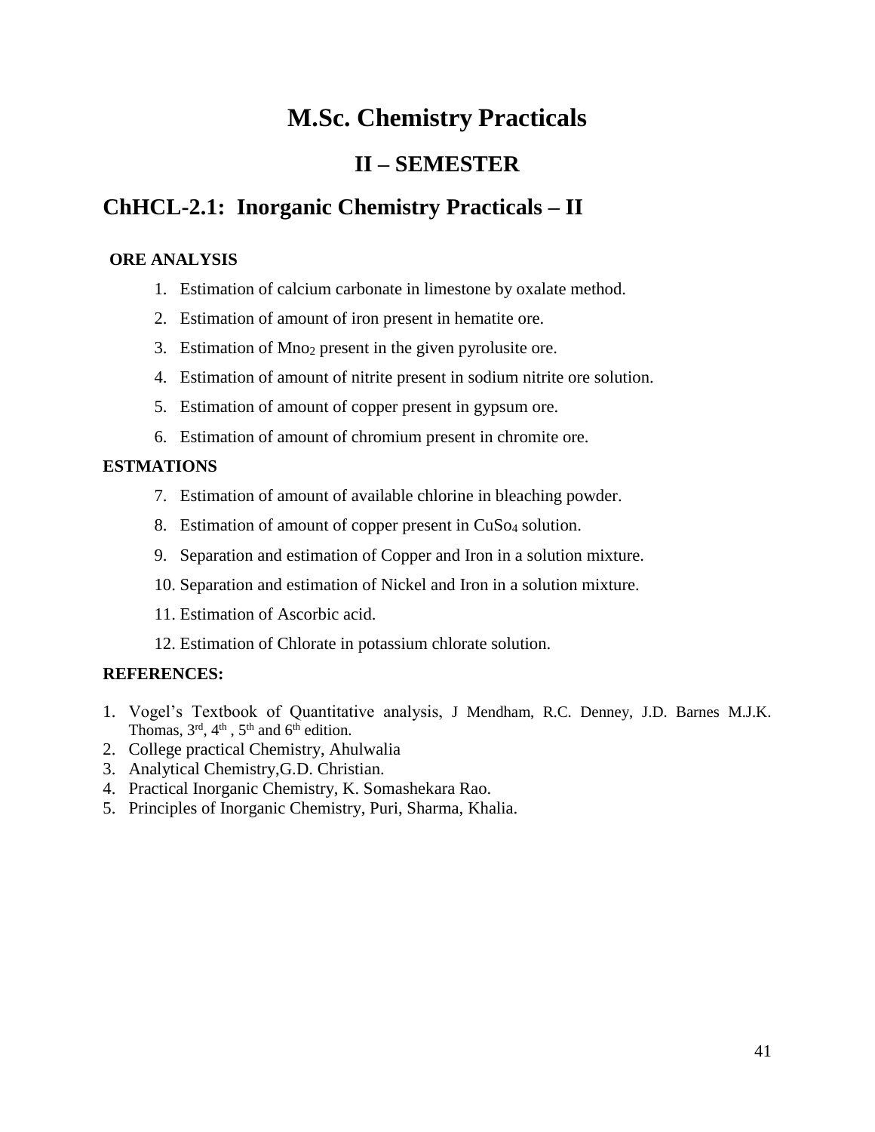# **M.Sc. Chemistry Practicals**

# **II – SEMESTER**

# **ChHCL-2.1: Inorganic Chemistry Practicals – II**

### **ORE ANALYSIS**

- 1. Estimation of calcium carbonate in limestone by oxalate method.
- 2. Estimation of amount of iron present in hematite ore.
- 3. Estimation of Mno<sup>2</sup> present in the given pyrolusite ore.
- 4. Estimation of amount of nitrite present in sodium nitrite ore solution.
- 5. Estimation of amount of copper present in gypsum ore.
- 6. Estimation of amount of chromium present in chromite ore.

## **ESTMATIONS**

- 7. Estimation of amount of available chlorine in bleaching powder.
- 8. Estimation of amount of copper present in CuS<sub>04</sub> solution.
- 9. Separation and estimation of Copper and Iron in a solution mixture.
- 10. Separation and estimation of Nickel and Iron in a solution mixture.
- 11. Estimation of Ascorbic acid.
- 12. Estimation of Chlorate in potassium chlorate solution.

- 1. Vogel's Textbook of Quantitative analysis, J Mendham, R.C. Denney, J.D. Barnes M.J.K. Thomas,  $3<sup>rd</sup>$ ,  $4<sup>th</sup>$ ,  $5<sup>th</sup>$  and  $6<sup>th</sup>$  edition.
- 2. College practical Chemistry, Ahulwalia
- 3. Analytical Chemistry,G.D. Christian.
- 4. Practical Inorganic Chemistry, K. Somashekara Rao.
- 5. Principles of Inorganic Chemistry, Puri, Sharma, Khalia.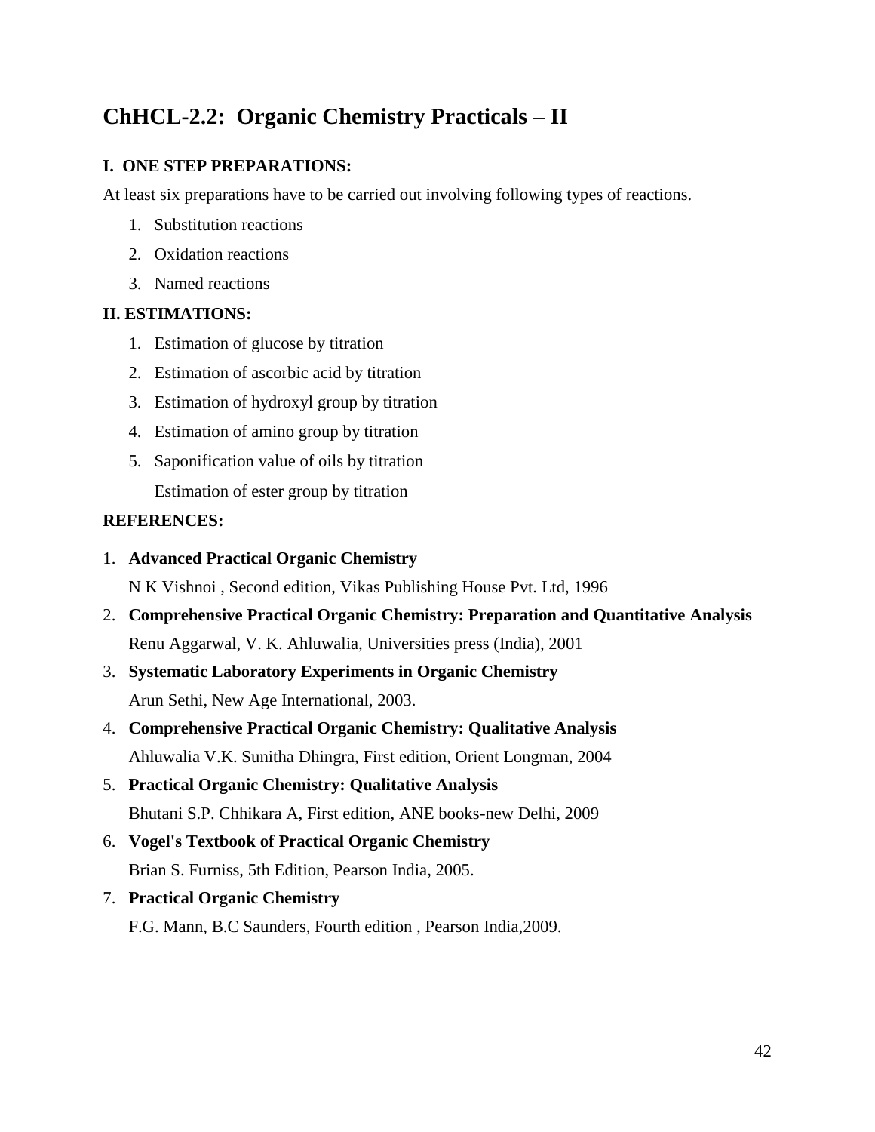# **ChHCL-2.2: Organic Chemistry Practicals – II**

## **I. ONE STEP PREPARATIONS:**

At least six preparations have to be carried out involving following types of reactions.

- 1. Substitution reactions
- 2. Oxidation reactions
- 3. Named reactions

## **II. ESTIMATIONS:**

- 1. Estimation of glucose by titration
- 2. Estimation of ascorbic acid by titration
- 3. Estimation of hydroxyl group by titration
- 4. Estimation of amino group by titration
- 5. Saponification value of oils by titration Estimation of ester group by titration

### **REFERENCES:**

1. **Advanced Practical Organic Chemistry**

N K Vishnoi , Second edition, Vikas Publishing House Pvt. Ltd, 1996

- 2. **Comprehensive Practical Organic Chemistry: Preparation and Quantitative Analysis** Renu Aggarwal, V. K. Ahluwalia, Universities press (India), 2001
- 3. **Systematic Laboratory Experiments in Organic Chemistry** Arun Sethi, New Age International, 2003.
- 4. **Comprehensive Practical Organic Chemistry: Qualitative Analysis** Ahluwalia V.K. Sunitha Dhingra, First edition, Orient Longman, 2004
- 5. **Practical Organic Chemistry: Qualitative Analysis** Bhutani S.P. Chhikara A, First edition, ANE books-new Delhi, 2009
- 6. **Vogel's Textbook of Practical Organic Chemistry** Brian S. Furniss, 5th Edition, Pearson India, 2005.
- 7. **Practical Organic Chemistry**

F.G. Mann, B.C Saunders, Fourth edition , Pearson India,2009.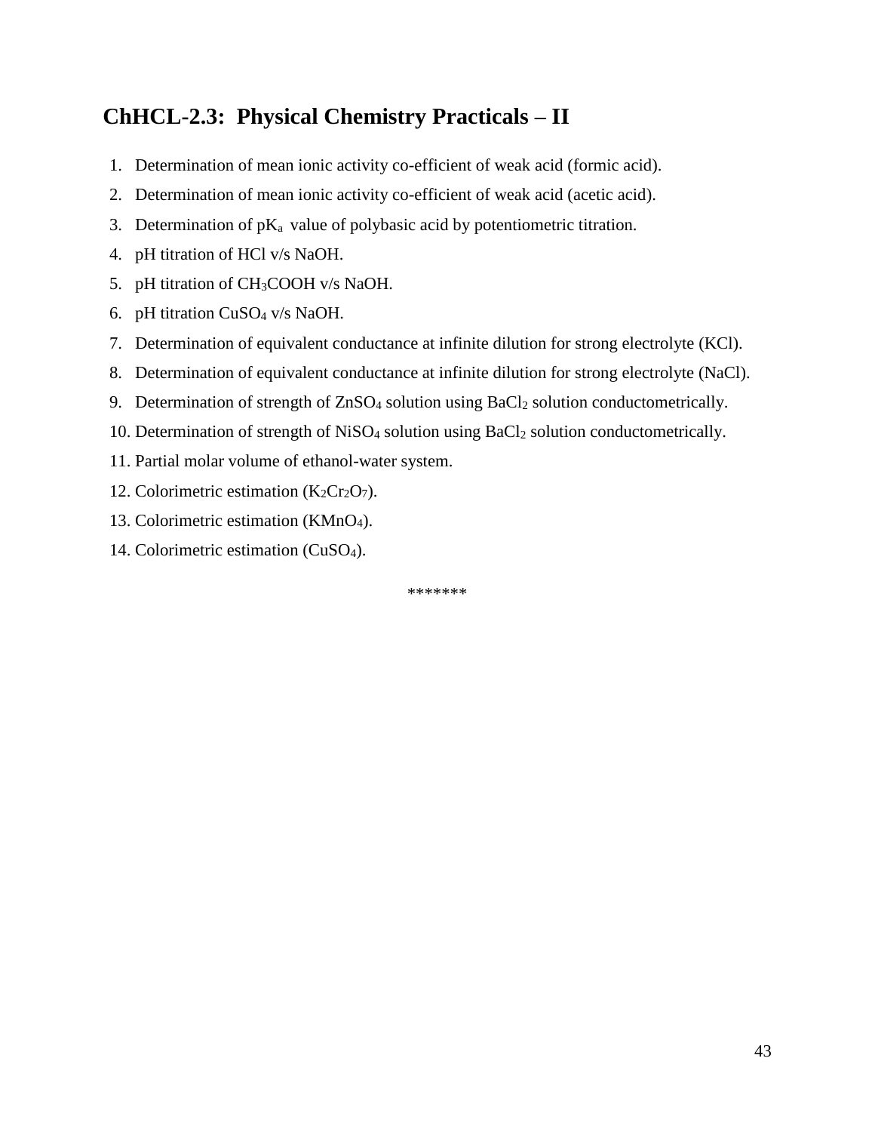# **ChHCL-2.3: Physical Chemistry Practicals – II**

- 1. Determination of mean ionic activity co-efficient of weak acid (formic acid).
- 2. Determination of mean ionic activity co-efficient of weak acid (acetic acid).
- 3. Determination of  $pK_a$  value of polybasic acid by potentiometric titration.
- 4. pH titration of HCl v/s NaOH.
- 5. pH titration of CH3COOH v/s NaOH.
- 6. pH titration CuSO<sup>4</sup> v/s NaOH.
- 7. Determination of equivalent conductance at infinite dilution for strong electrolyte (KCl).
- 8. Determination of equivalent conductance at infinite dilution for strong electrolyte (NaCl).
- 9. Determination of strength of ZnSO<sub>4</sub> solution using BaCl<sub>2</sub> solution conductometrically.
- 10. Determination of strength of NiSO<sub>4</sub> solution using BaCl<sub>2</sub> solution conductometrically.
- 11. Partial molar volume of ethanol-water system.
- 12. Colorimetric estimation  $(K_2Cr_2O_7)$ .
- 13. Colorimetric estimation (KMnO4).
- 14. Colorimetric estimation (CuSO4).

\*\*\*\*\*\*\*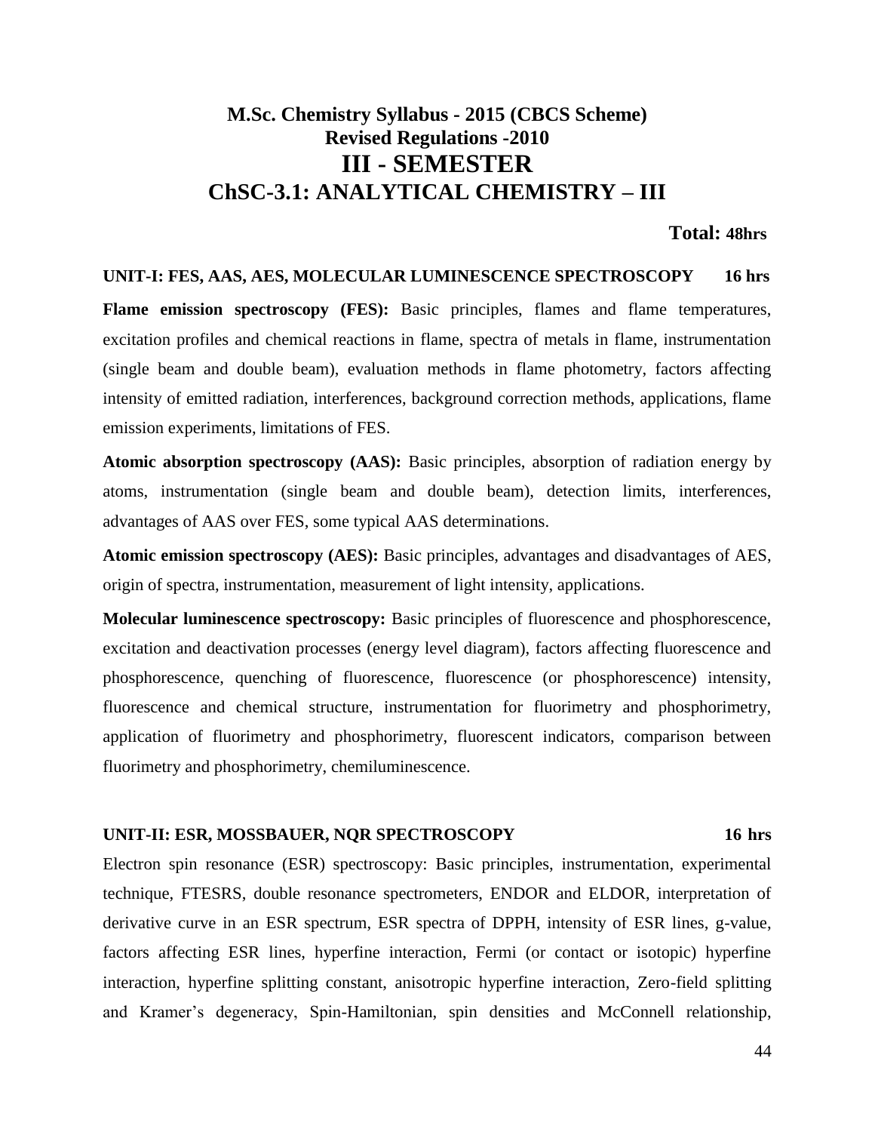# **M.Sc. Chemistry Syllabus - 2015 (CBCS Scheme) Revised Regulations -2010 III - SEMESTER ChSC-3.1: ANALYTICAL CHEMISTRY – III**

#### **Total: 48hrs**

#### **UNIT-I: FES, AAS, AES, MOLECULAR LUMINESCENCE SPECTROSCOPY 16 hrs**

**Flame emission spectroscopy (FES):** Basic principles, flames and flame temperatures, excitation profiles and chemical reactions in flame, spectra of metals in flame, instrumentation (single beam and double beam), evaluation methods in flame photometry, factors affecting intensity of emitted radiation, interferences, background correction methods, applications, flame emission experiments, limitations of FES.

**Atomic absorption spectroscopy (AAS):** Basic principles, absorption of radiation energy by atoms, instrumentation (single beam and double beam), detection limits, interferences, advantages of AAS over FES, some typical AAS determinations.

**Atomic emission spectroscopy (AES):** Basic principles, advantages and disadvantages of AES, origin of spectra, instrumentation, measurement of light intensity, applications.

**Molecular luminescence spectroscopy:** Basic principles of fluorescence and phosphorescence, excitation and deactivation processes (energy level diagram), factors affecting fluorescence and phosphorescence, quenching of fluorescence, fluorescence (or phosphorescence) intensity, fluorescence and chemical structure, instrumentation for fluorimetry and phosphorimetry, application of fluorimetry and phosphorimetry, fluorescent indicators, comparison between fluorimetry and phosphorimetry, chemiluminescence.

#### **UNIT-II: ESR, MOSSBAUER, NQR SPECTROSCOPY 16 hrs**

Electron spin resonance (ESR) spectroscopy: Basic principles, instrumentation, experimental technique, FTESRS, double resonance spectrometers, ENDOR and ELDOR, interpretation of derivative curve in an ESR spectrum, ESR spectra of DPPH, intensity of ESR lines, g-value, factors affecting ESR lines, hyperfine interaction, Fermi (or contact or isotopic) hyperfine interaction, hyperfine splitting constant, anisotropic hyperfine interaction, Zero-field splitting and Kramer's degeneracy, Spin-Hamiltonian, spin densities and McConnell relationship,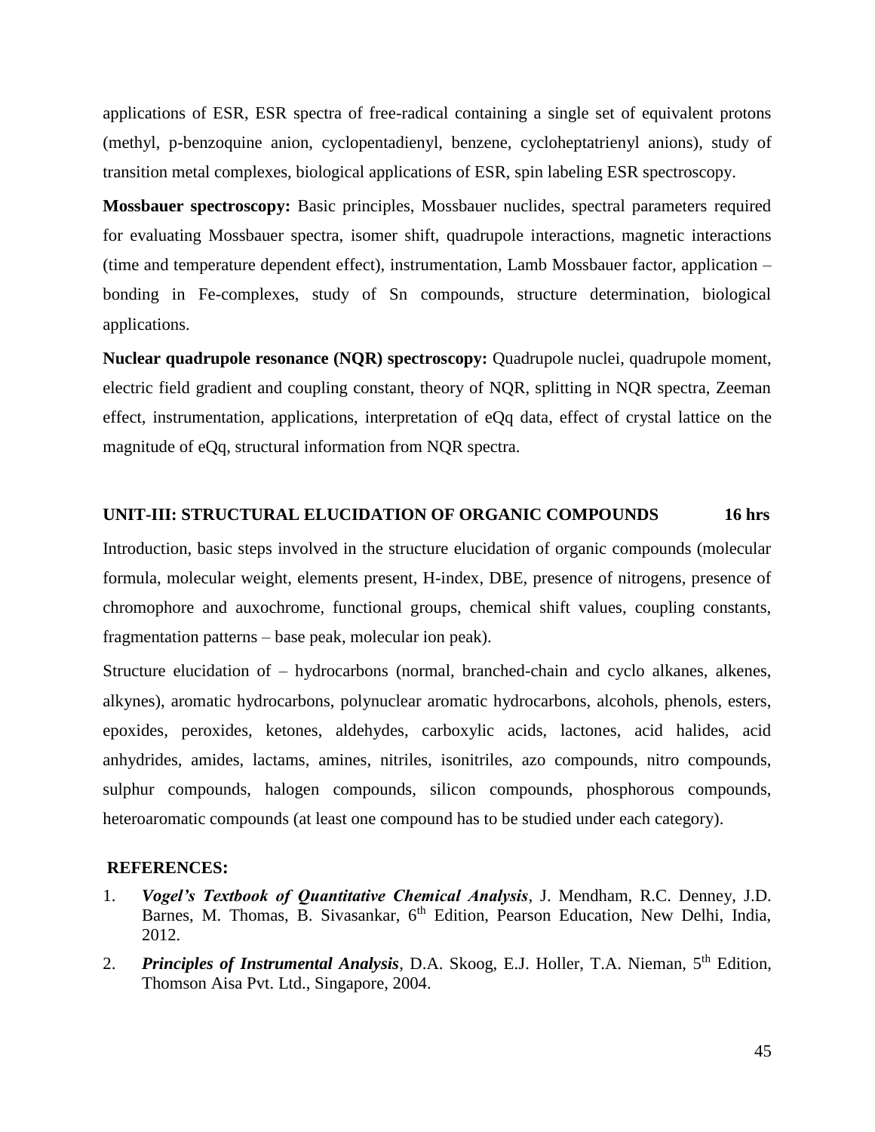applications of ESR, ESR spectra of free-radical containing a single set of equivalent protons (methyl, p-benzoquine anion, cyclopentadienyl, benzene, cycloheptatrienyl anions), study of transition metal complexes, biological applications of ESR, spin labeling ESR spectroscopy.

**Mossbauer spectroscopy:** Basic principles, Mossbauer nuclides, spectral parameters required for evaluating Mossbauer spectra, isomer shift, quadrupole interactions, magnetic interactions (time and temperature dependent effect), instrumentation, Lamb Mossbauer factor, application – bonding in Fe-complexes, study of Sn compounds, structure determination, biological applications.

**Nuclear quadrupole resonance (NQR) spectroscopy:** Quadrupole nuclei, quadrupole moment, electric field gradient and coupling constant, theory of NQR, splitting in NQR spectra, Zeeman effect, instrumentation, applications, interpretation of eQq data, effect of crystal lattice on the magnitude of eQq, structural information from NQR spectra.

#### **UNIT-III: STRUCTURAL ELUCIDATION OF ORGANIC COMPOUNDS 16 hrs**

Introduction, basic steps involved in the structure elucidation of organic compounds (molecular formula, molecular weight, elements present, H-index, DBE, presence of nitrogens, presence of chromophore and auxochrome, functional groups, chemical shift values, coupling constants, fragmentation patterns – base peak, molecular ion peak).

Structure elucidation of – hydrocarbons (normal, branched-chain and cyclo alkanes, alkenes, alkynes), aromatic hydrocarbons, polynuclear aromatic hydrocarbons, alcohols, phenols, esters, epoxides, peroxides, ketones, aldehydes, carboxylic acids, lactones, acid halides, acid anhydrides, amides, lactams, amines, nitriles, isonitriles, azo compounds, nitro compounds, sulphur compounds, halogen compounds, silicon compounds, phosphorous compounds, heteroaromatic compounds (at least one compound has to be studied under each category).

- 1. *Vogel's Textbook of Quantitative Chemical Analysis*, J. Mendham, R.C. Denney, J.D. Barnes, M. Thomas, B. Sivasankar, 6<sup>th</sup> Edition, Pearson Education, New Delhi, India, 2012.
- 2. *Principles of Instrumental Analysis*, D.A. Skoog, E.J. Holler, T.A. Nieman, 5<sup>th</sup> Edition, Thomson Aisa Pvt. Ltd., Singapore, 2004.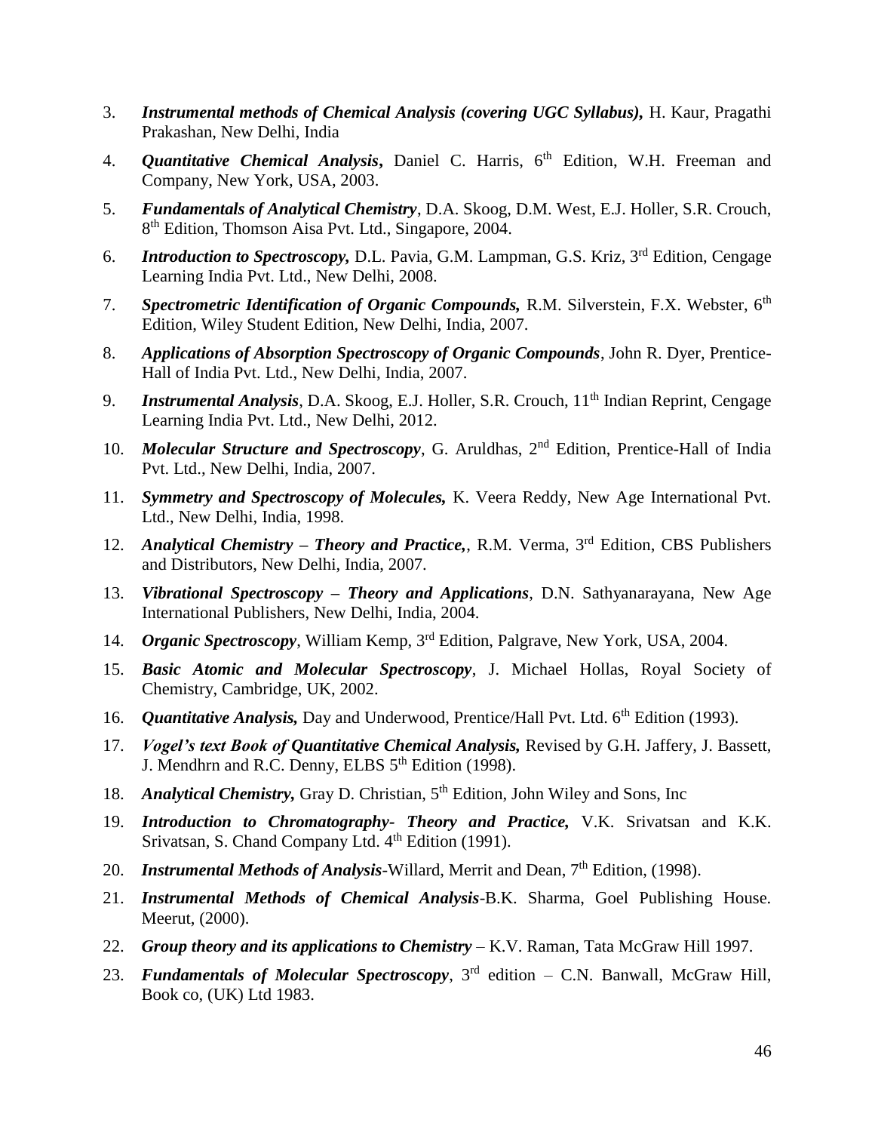- 3. *Instrumental methods of Chemical Analysis (covering UGC Syllabus),* H. Kaur, Pragathi Prakashan, New Delhi, India
- 4. *Quantitative Chemical Analysis***,** Daniel C. Harris, 6th Edition, W.H. Freeman and Company, New York, USA, 2003.
- 5. *Fundamentals of Analytical Chemistry*, D.A. Skoog, D.M. West, E.J. Holler, S.R. Crouch, 8<sup>th</sup> Edition, Thomson Aisa Pvt. Ltd., Singapore, 2004.
- 6. *Introduction to Spectroscopy,* D.L. Pavia, G.M. Lampman, G.S. Kriz, 3rd Edition, Cengage Learning India Pvt. Ltd., New Delhi, 2008.
- 7. *Spectrometric Identification of Organic Compounds*, R.M. Silverstein, F.X. Webster, 6<sup>th</sup> Edition, Wiley Student Edition, New Delhi, India, 2007.
- 8. *Applications of Absorption Spectroscopy of Organic Compounds*, John R. Dyer, Prentice-Hall of India Pvt. Ltd., New Delhi, India, 2007.
- 9. *Instrumental Analysis*, D.A. Skoog, E.J. Holler, S.R. Crouch, 11<sup>th</sup> Indian Reprint, Cengage Learning India Pvt. Ltd., New Delhi, 2012.
- 10. *Molecular Structure and Spectroscopy*, G. Aruldhas, 2<sup>nd</sup> Edition, Prentice-Hall of India Pvt. Ltd., New Delhi, India, 2007.
- 11. *Symmetry and Spectroscopy of Molecules,* K. Veera Reddy, New Age International Pvt. Ltd., New Delhi, India, 1998.
- 12. *Analytical Chemistry – Theory and Practice,*, R.M. Verma, 3rd Edition, CBS Publishers and Distributors, New Delhi, India, 2007.
- 13. *Vibrational Spectroscopy – Theory and Applications*, D.N. Sathyanarayana, New Age International Publishers, New Delhi, India, 2004.
- 14. *Organic Spectroscopy*, William Kemp, 3rd Edition, Palgrave, New York, USA, 2004.
- 15. *Basic Atomic and Molecular Spectroscopy*, J. Michael Hollas, Royal Society of Chemistry, Cambridge, UK, 2002.
- 16. *Quantitative Analysis*, Day and Underwood, Prentice/Hall Pvt. Ltd. 6<sup>th</sup> Edition (1993).
- 17. *Vogel's text Book of Quantitative Chemical Analysis,* Revised by G.H. Jaffery, J. Bassett, J. Mendhrn and R.C. Denny, ELBS  $5<sup>th</sup>$  Edition (1998).
- 18. *Analytical Chemistry*, Gray D. Christian, 5<sup>th</sup> Edition, John Wiley and Sons, Inc
- 19. *Introduction to Chromatography- Theory and Practice,* V.K. Srivatsan and K.K. Srivatsan, S. Chand Company Ltd. 4<sup>th</sup> Edition (1991).
- 20. *Instrumental Methods of Analysis*-Willard, Merrit and Dean, 7<sup>th</sup> Edition, (1998).
- 21. *Instrumental Methods of Chemical Analysis*-B.K. Sharma, Goel Publishing House. Meerut, (2000).
- 22. *Group theory and its applications to Chemistry* K.V. Raman, Tata McGraw Hill 1997.
- 23. *Fundamentals of Molecular Spectroscopy*, 3rd edition C.N. Banwall, McGraw Hill, Book co, (UK) Ltd 1983.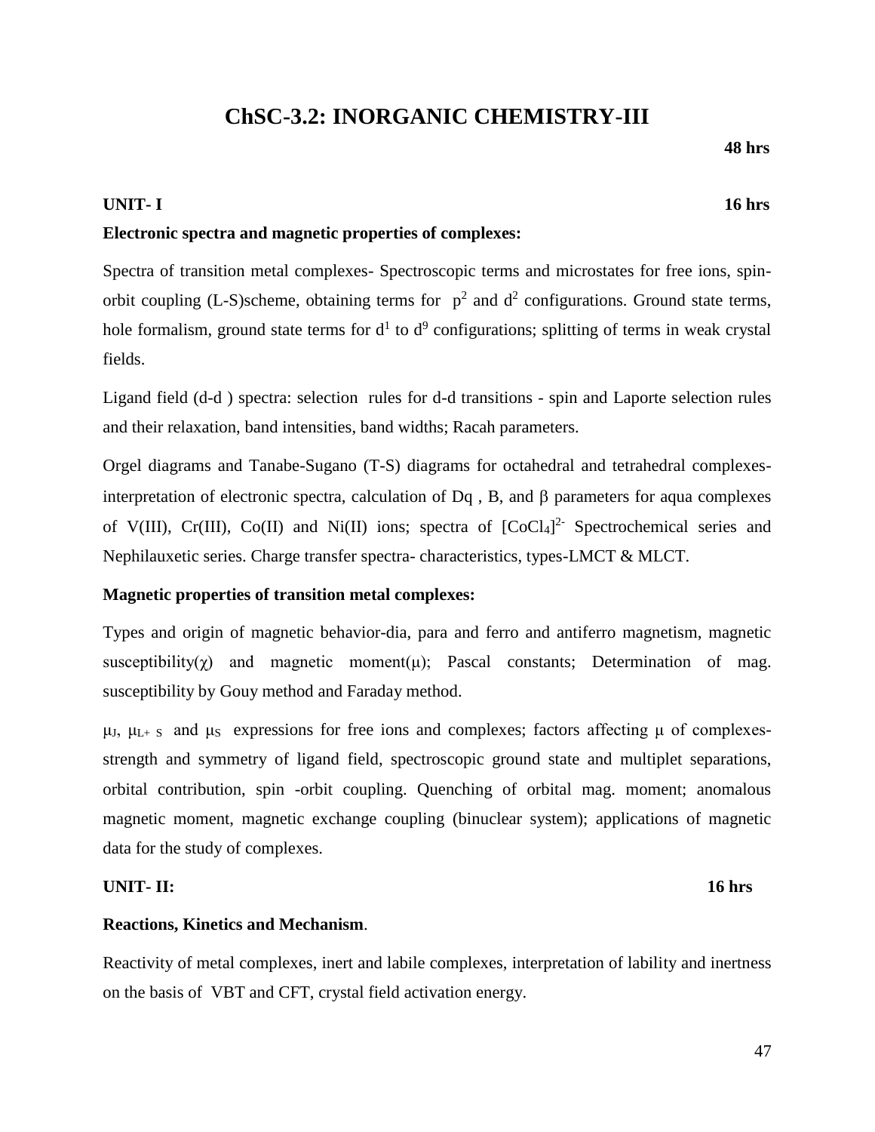# **ChSC-3.2: INORGANIC CHEMISTRY-III**

 **48 hrs**

### **UNIT- I 16 hrs**

### **Electronic spectra and magnetic properties of complexes:**

Spectra of transition metal complexes- Spectroscopic terms and microstates for free ions, spinorbit coupling (L-S)scheme, obtaining terms for  $p^2$  and  $d^2$  configurations. Ground state terms, hole formalism, ground state terms for  $d<sup>1</sup>$  to  $d<sup>9</sup>$  configurations; splitting of terms in weak crystal fields.

Ligand field (d-d ) spectra: selection rules for d-d transitions - spin and Laporte selection rules and their relaxation, band intensities, band widths; Racah parameters.

Orgel diagrams and Tanabe-Sugano (T-S) diagrams for octahedral and tetrahedral complexesinterpretation of electronic spectra, calculation of  $Dq$ , B, and  $\beta$  parameters for aqua complexes of V(III),  $Cr(III)$ ,  $Co(II)$  and  $Ni(II)$  ions; spectra of  $[CoCl<sub>4</sub>]$ <sup>2</sup> Spectrochemical series and Nephilauxetic series. Charge transfer spectra- characteristics, types-LMCT & MLCT.

### **Magnetic properties of transition metal complexes:**

Types and origin of magnetic behavior-dia, para and ferro and antiferro magnetism, magnetic susceptibility( $\gamma$ ) and magnetic moment(μ); Pascal constants; Determination of mag. susceptibility by Gouy method and Faraday method.

 $μ<sub>J</sub>, μ<sub>L+</sub>$  s and  $μ<sub>S</sub>$  expressions for free ions and complexes; factors affecting  $μ$  of complexesstrength and symmetry of ligand field, spectroscopic ground state and multiplet separations, orbital contribution, spin -orbit coupling. Quenching of orbital mag. moment; anomalous magnetic moment, magnetic exchange coupling (binuclear system); applications of magnetic data for the study of complexes.

### **UNIT- II: 16 hrs**

### **Reactions, Kinetics and Mechanism**.

Reactivity of metal complexes, inert and labile complexes, interpretation of lability and inertness on the basis of VBT and CFT, crystal field activation energy.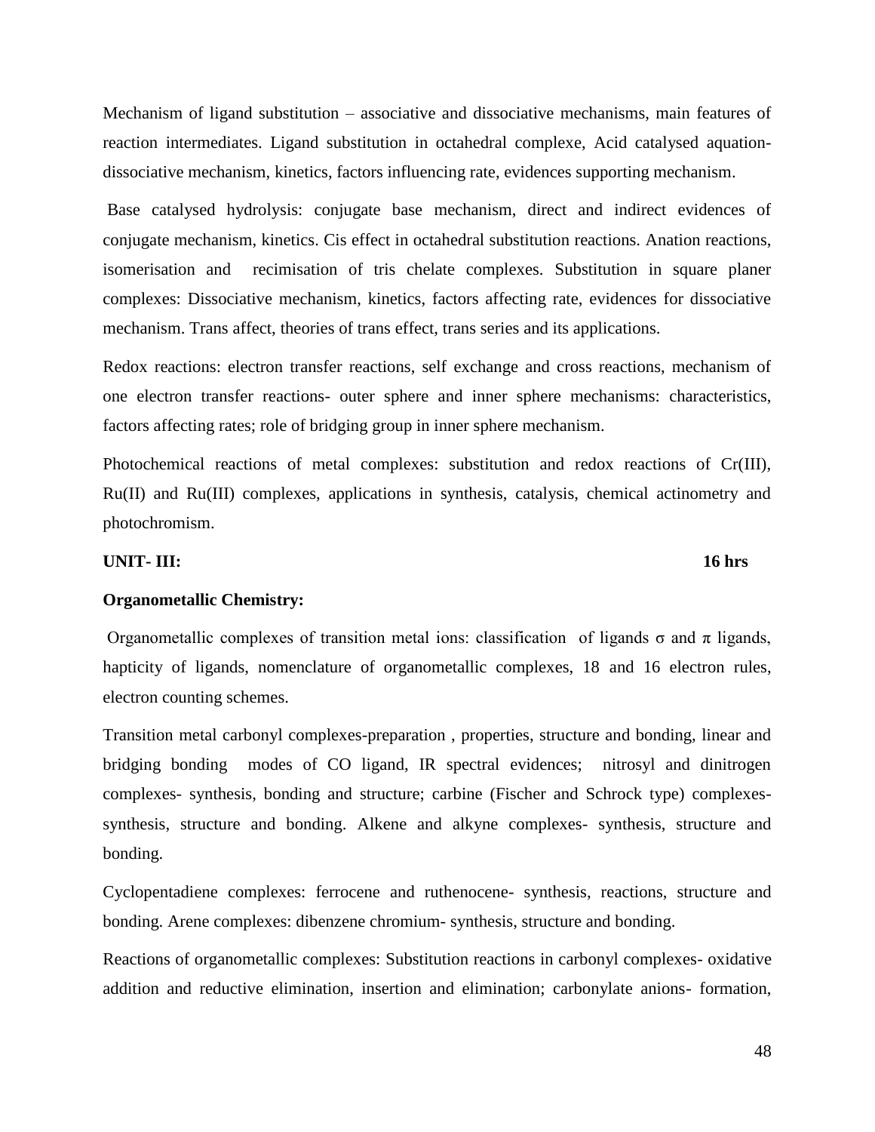Mechanism of ligand substitution – associative and dissociative mechanisms, main features of reaction intermediates. Ligand substitution in octahedral complexe, Acid catalysed aquationdissociative mechanism, kinetics, factors influencing rate, evidences supporting mechanism.

Base catalysed hydrolysis: conjugate base mechanism, direct and indirect evidences of conjugate mechanism, kinetics. Cis effect in octahedral substitution reactions. Anation reactions, isomerisation and recimisation of tris chelate complexes. Substitution in square planer complexes: Dissociative mechanism, kinetics, factors affecting rate, evidences for dissociative mechanism. Trans affect, theories of trans effect, trans series and its applications.

Redox reactions: electron transfer reactions, self exchange and cross reactions, mechanism of one electron transfer reactions- outer sphere and inner sphere mechanisms: characteristics, factors affecting rates; role of bridging group in inner sphere mechanism.

Photochemical reactions of metal complexes: substitution and redox reactions of Cr(III), Ru(II) and Ru(III) complexes, applications in synthesis, catalysis, chemical actinometry and photochromism.

#### **UNIT- III: 16 hrs**

#### **Organometallic Chemistry:**

Organometallic complexes of transition metal ions: classification of ligands σ and π ligands, hapticity of ligands, nomenclature of organometallic complexes, 18 and 16 electron rules, electron counting schemes.

Transition metal carbonyl complexes-preparation , properties, structure and bonding, linear and bridging bonding modes of CO ligand, IR spectral evidences; nitrosyl and dinitrogen complexes- synthesis, bonding and structure; carbine (Fischer and Schrock type) complexessynthesis, structure and bonding. Alkene and alkyne complexes- synthesis, structure and bonding.

Cyclopentadiene complexes: ferrocene and ruthenocene- synthesis, reactions, structure and bonding. Arene complexes: dibenzene chromium- synthesis, structure and bonding.

Reactions of organometallic complexes: Substitution reactions in carbonyl complexes- oxidative addition and reductive elimination, insertion and elimination; carbonylate anions- formation,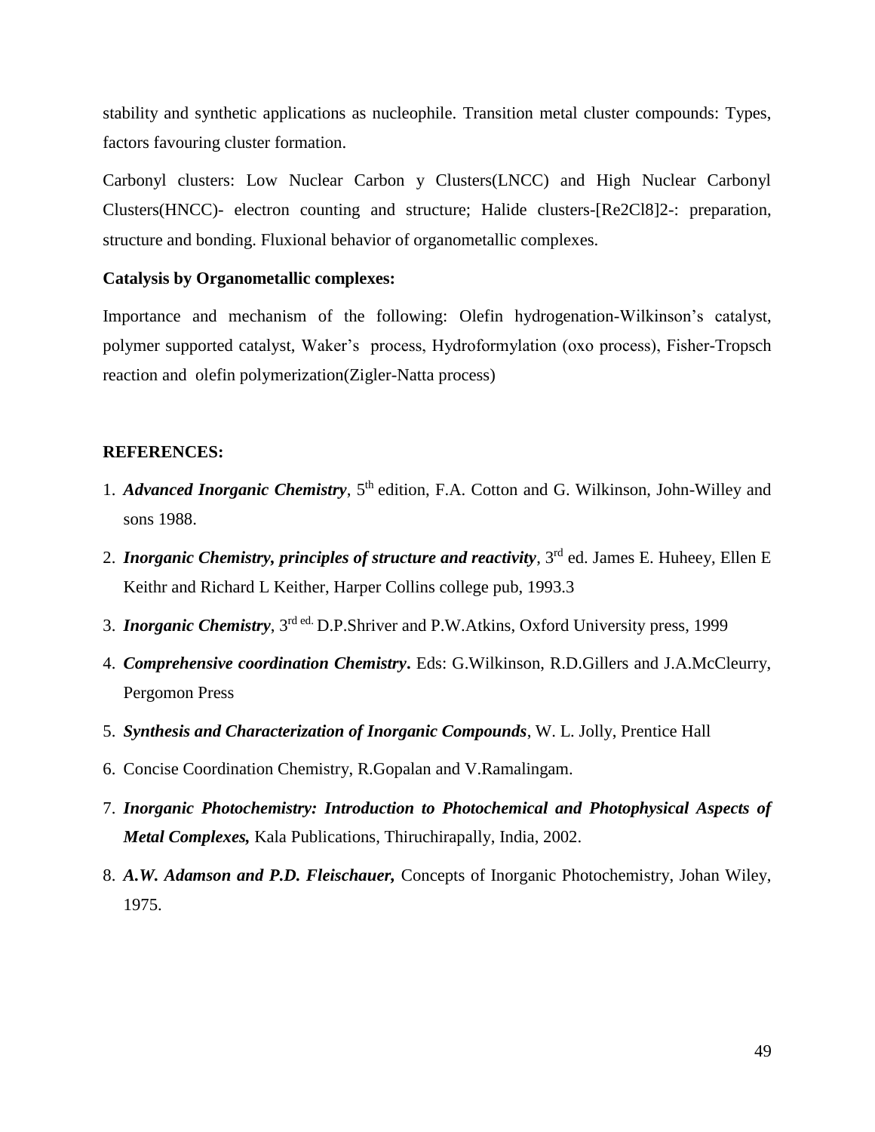stability and synthetic applications as nucleophile. Transition metal cluster compounds: Types, factors favouring cluster formation.

Carbonyl clusters: Low Nuclear Carbon y Clusters(LNCC) and High Nuclear Carbonyl Clusters(HNCC)- electron counting and structure; Halide clusters-[Re2Cl8]2-: preparation, structure and bonding. Fluxional behavior of organometallic complexes.

#### **Catalysis by Organometallic complexes:**

Importance and mechanism of the following: Olefin hydrogenation-Wilkinson's catalyst, polymer supported catalyst, Waker's process, Hydroformylation (oxo process), Fisher-Tropsch reaction and olefin polymerization(Zigler-Natta process)

- 1. *Advanced Inorganic Chemistry*, 5<sup>th</sup> edition, F.A. Cotton and G. Wilkinson, John-Willey and sons 1988.
- 2. *Inorganic Chemistry, principles of structure and reactivity*, 3<sup>rd</sup> ed. James E. Huheey, Ellen E. Keithr and Richard L Keither, Harper Collins college pub, 1993.3
- 3. *Inorganic Chemistry*, 3rd ed. D.P.Shriver and P.W.Atkins, Oxford University press, 1999
- 4. *Comprehensive coordination Chemistry***.** Eds: G.Wilkinson, R.D.Gillers and J.A.McCleurry, Pergomon Press
- 5. *Synthesis and Characterization of Inorganic Compounds*, W. L. Jolly, Prentice Hall
- 6. Concise Coordination Chemistry, R.Gopalan and V.Ramalingam.
- 7. *Inorganic Photochemistry: Introduction to Photochemical and Photophysical Aspects of Metal Complexes,* Kala Publications, Thiruchirapally, India, 2002.
- 8. *A.W. Adamson and P.D. Fleischauer,* Concepts of Inorganic Photochemistry, Johan Wiley, 1975.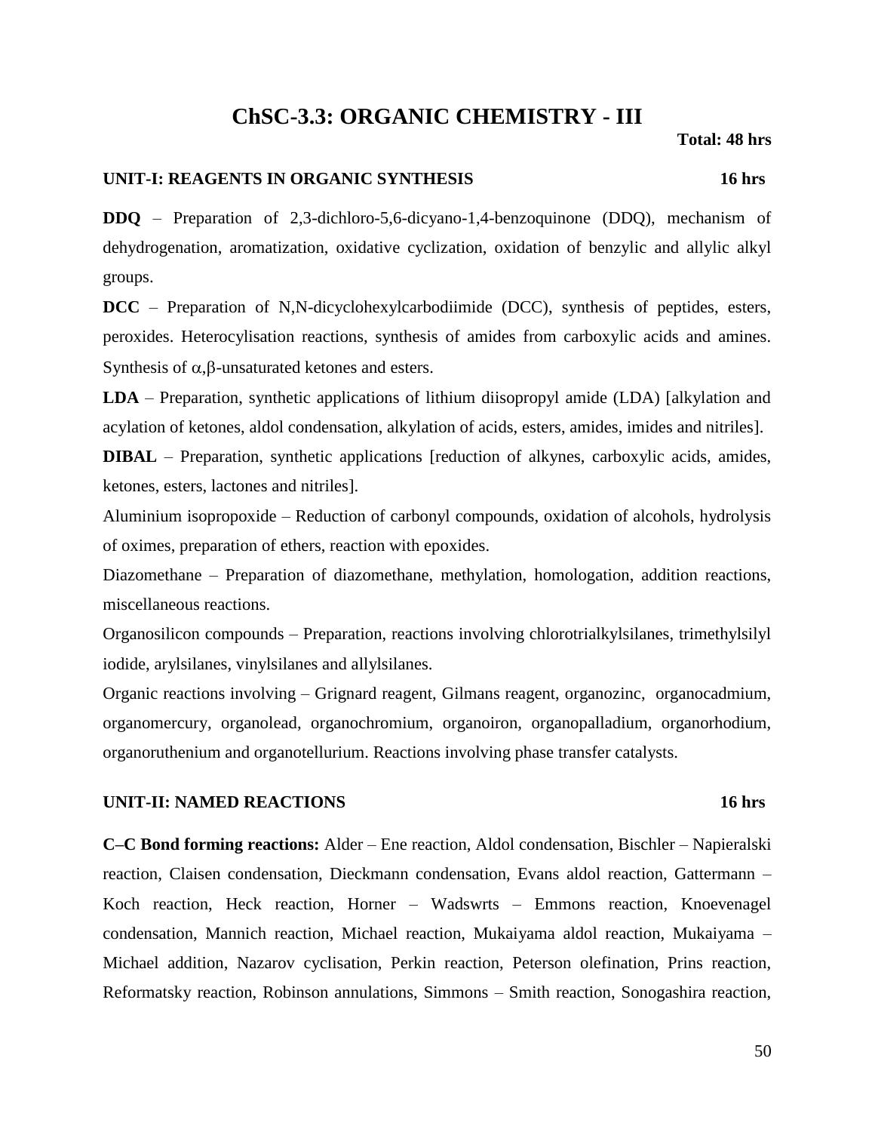## **ChSC-3.3: ORGANIC CHEMISTRY - III**

 **Total: 48 hrs**

### **UNIT-I: REAGENTS IN ORGANIC SYNTHESIS 16 hrs**

**DDQ** – Preparation of 2,3-dichloro-5,6-dicyano-1,4-benzoquinone (DDQ), mechanism of dehydrogenation, aromatization, oxidative cyclization, oxidation of benzylic and allylic alkyl groups.

**DCC** – Preparation of N,N-dicyclohexylcarbodiimide (DCC), synthesis of peptides, esters, peroxides. Heterocylisation reactions, synthesis of amides from carboxylic acids and amines. Synthesis of  $\alpha$ ,  $\beta$ -unsaturated ketones and esters.

**LDA** – Preparation, synthetic applications of lithium diisopropyl amide (LDA) [alkylation and acylation of ketones, aldol condensation, alkylation of acids, esters, amides, imides and nitriles].

**DIBAL** – Preparation, synthetic applications [reduction of alkynes, carboxylic acids, amides, ketones, esters, lactones and nitriles].

Aluminium isopropoxide – Reduction of carbonyl compounds, oxidation of alcohols, hydrolysis of oximes, preparation of ethers, reaction with epoxides.

Diazomethane – Preparation of diazomethane, methylation, homologation, addition reactions, miscellaneous reactions.

Organosilicon compounds – Preparation, reactions involving chlorotrialkylsilanes, trimethylsilyl iodide, arylsilanes, vinylsilanes and allylsilanes.

Organic reactions involving – Grignard reagent, Gilmans reagent, organozinc, organocadmium, organomercury, organolead, organochromium, organoiron, organopalladium, organorhodium, organoruthenium and organotellurium. Reactions involving phase transfer catalysts.

### **UNIT-II: NAMED REACTIONS 16 hrs**

**C–C Bond forming reactions:** Alder – Ene reaction, Aldol condensation, Bischler – Napieralski reaction, Claisen condensation, Dieckmann condensation, Evans aldol reaction, Gattermann – Koch reaction, Heck reaction, Horner – Wadswrts – Emmons reaction, Knoevenagel condensation, Mannich reaction, Michael reaction, Mukaiyama aldol reaction, Mukaiyama – Michael addition, Nazarov cyclisation, Perkin reaction, Peterson olefination, Prins reaction, Reformatsky reaction, Robinson annulations, Simmons – Smith reaction, Sonogashira reaction,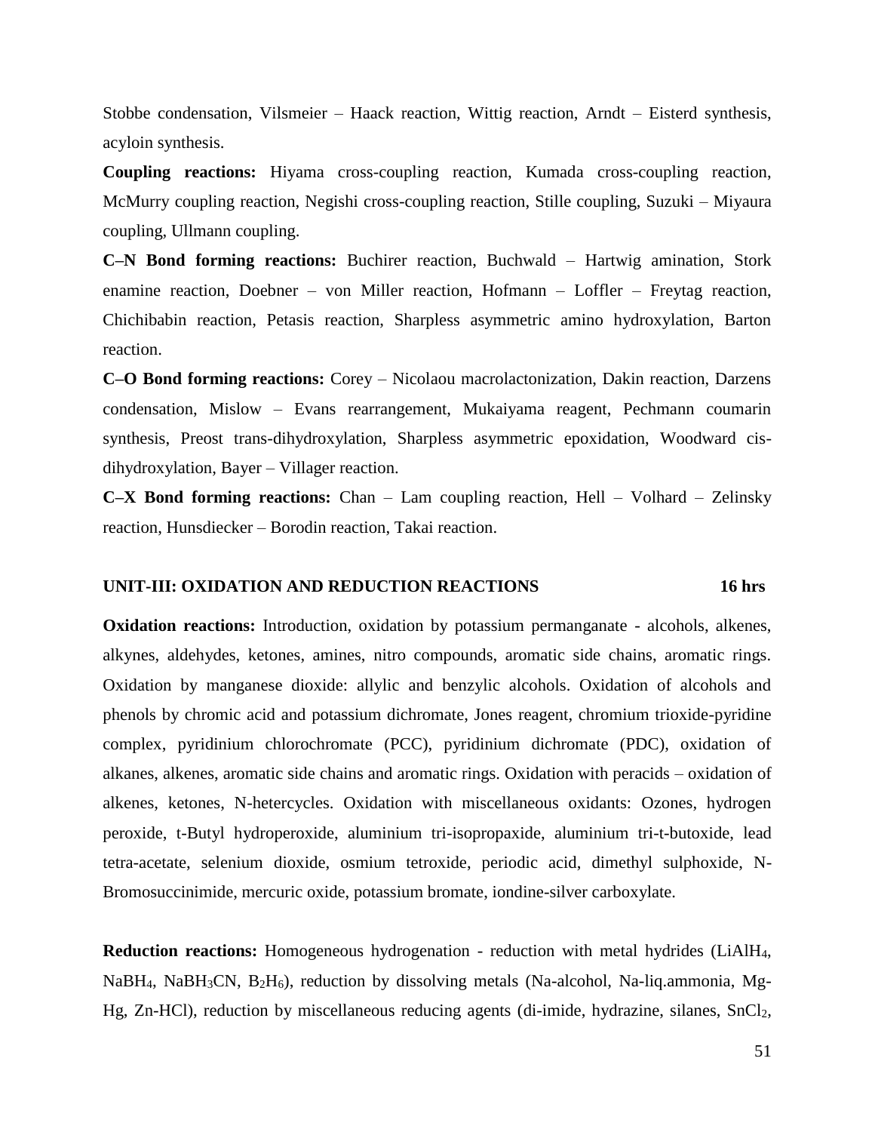Stobbe condensation, Vilsmeier – Haack reaction, Wittig reaction, Arndt – Eisterd synthesis, acyloin synthesis.

**Coupling reactions:** Hiyama cross-coupling reaction, Kumada cross-coupling reaction, McMurry coupling reaction, Negishi cross-coupling reaction, Stille coupling, Suzuki – Miyaura coupling, Ullmann coupling.

**C–N Bond forming reactions:** Buchirer reaction, Buchwald – Hartwig amination, Stork enamine reaction, Doebner – von Miller reaction, Hofmann – Loffler – Freytag reaction, Chichibabin reaction, Petasis reaction, Sharpless asymmetric amino hydroxylation, Barton reaction.

**C–O Bond forming reactions:** Corey – Nicolaou macrolactonization, Dakin reaction, Darzens condensation, Mislow – Evans rearrangement, Mukaiyama reagent, Pechmann coumarin synthesis, Preost trans-dihydroxylation, Sharpless asymmetric epoxidation, Woodward cisdihydroxylation, Bayer – Villager reaction.

**C–X Bond forming reactions:** Chan – Lam coupling reaction, Hell – Volhard – Zelinsky reaction, Hunsdiecker – Borodin reaction, Takai reaction.

#### **UNIT-III: OXIDATION AND REDUCTION REACTIONS 16 hrs**

**Oxidation reactions:** Introduction, oxidation by potassium permanganate - alcohols, alkenes, alkynes, aldehydes, ketones, amines, nitro compounds, aromatic side chains, aromatic rings. Oxidation by manganese dioxide: allylic and benzylic alcohols. Oxidation of alcohols and phenols by chromic acid and potassium dichromate, Jones reagent, chromium trioxide-pyridine complex, pyridinium chlorochromate (PCC), pyridinium dichromate (PDC), oxidation of alkanes, alkenes, aromatic side chains and aromatic rings. Oxidation with peracids – oxidation of alkenes, ketones, N-hetercycles. Oxidation with miscellaneous oxidants: Ozones, hydrogen peroxide, t-Butyl hydroperoxide, aluminium tri-isopropaxide, aluminium tri-t-butoxide, lead tetra-acetate, selenium dioxide, osmium tetroxide, periodic acid, dimethyl sulphoxide, N-Bromosuccinimide, mercuric oxide, potassium bromate, iondine-silver carboxylate.

**Reduction reactions:** Homogeneous hydrogenation - reduction with metal hydrides (LiAlH<sub>4</sub>, NaBH4, NaBH3CN, B2H6), reduction by dissolving metals (Na-alcohol, Na-liq.ammonia, Mg-Hg, Zn-HCl), reduction by miscellaneous reducing agents (di-imide, hydrazine, silanes, SnCl<sub>2</sub>,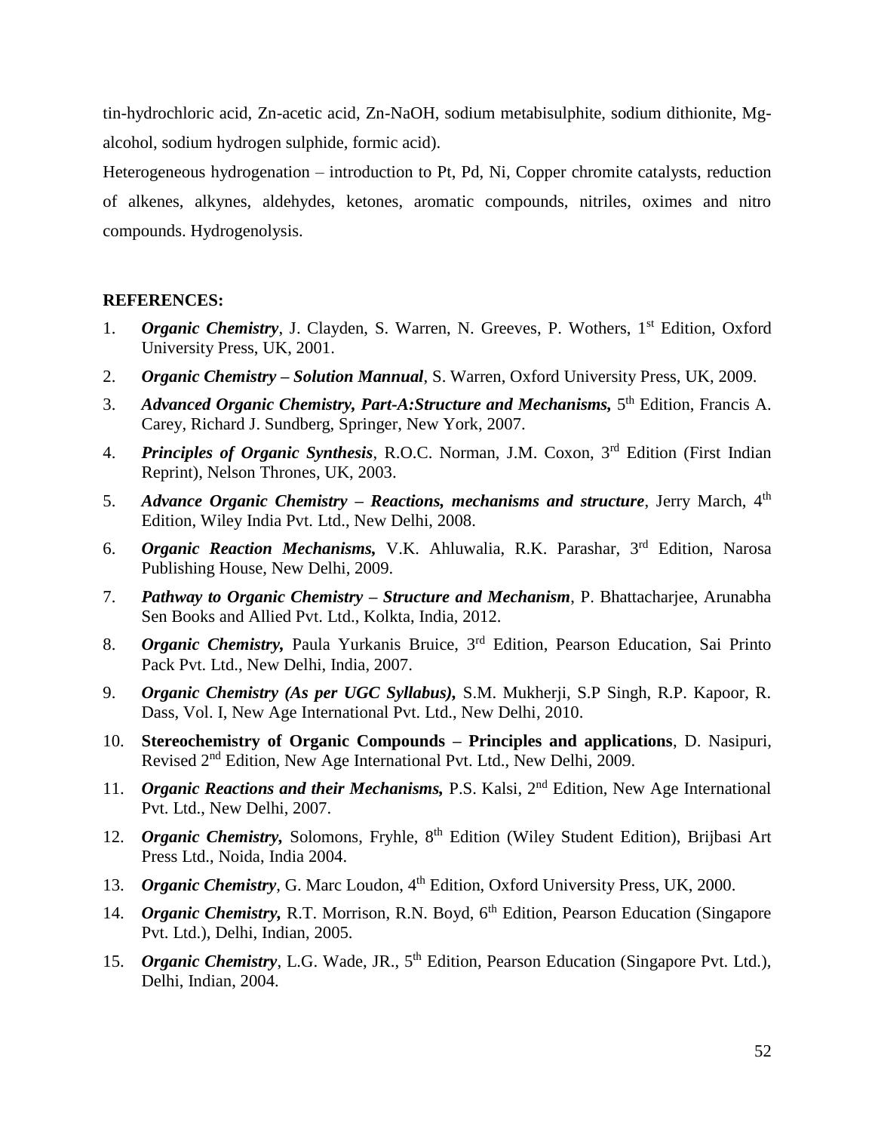tin-hydrochloric acid, Zn-acetic acid, Zn-NaOH, sodium metabisulphite, sodium dithionite, Mgalcohol, sodium hydrogen sulphide, formic acid).

Heterogeneous hydrogenation – introduction to Pt, Pd, Ni, Copper chromite catalysts, reduction of alkenes, alkynes, aldehydes, ketones, aromatic compounds, nitriles, oximes and nitro compounds. Hydrogenolysis.

- 1. **Organic Chemistry**, J. Clayden, S. Warren, N. Greeves, P. Wothers, 1<sup>st</sup> Edition, Oxford University Press, UK, 2001.
- 2. *Organic Chemistry – Solution Mannual*, S. Warren, Oxford University Press, UK, 2009.
- 3. Advanced Organic Chemistry, Part-A: Structure and Mechanisms, 5<sup>th</sup> Edition, Francis A. Carey, Richard J. Sundberg, Springer, New York, 2007.
- 4. *Principles of Organic Synthesis*, R.O.C. Norman, J.M. Coxon, 3rd Edition (First Indian Reprint), Nelson Thrones, UK, 2003.
- 5. *Advance Organic Chemistry – Reactions, mechanisms and structure*, Jerry March, 4th Edition, Wiley India Pvt. Ltd., New Delhi, 2008.
- 6. *Organic Reaction Mechanisms,* V.K. Ahluwalia, R.K. Parashar, 3rd Edition, Narosa Publishing House, New Delhi, 2009.
- 7. *Pathway to Organic Chemistry – Structure and Mechanism*, P. Bhattacharjee, Arunabha Sen Books and Allied Pvt. Ltd., Kolkta, India, 2012.
- 8. *Organic Chemistry,* Paula Yurkanis Bruice, 3rd Edition, Pearson Education, Sai Printo Pack Pvt. Ltd., New Delhi, India, 2007.
- 9. *Organic Chemistry (As per UGC Syllabus),* S.M. Mukherji, S.P Singh, R.P. Kapoor, R. Dass, Vol. I, New Age International Pvt. Ltd., New Delhi, 2010.
- 10. **Stereochemistry of Organic Compounds – Principles and applications**, D. Nasipuri, Revised 2nd Edition, New Age International Pvt. Ltd., New Delhi, 2009.
- 11. *Organic Reactions and their Mechanisms,* P.S. Kalsi, 2nd Edition, New Age International Pvt. Ltd., New Delhi, 2007.
- 12. *Organic Chemistry*, Solomons, Fryhle, 8<sup>th</sup> Edition (Wiley Student Edition), Brijbasi Art Press Ltd., Noida, India 2004.
- 13. *Organic Chemistry*, G. Marc Loudon, 4<sup>th</sup> Edition, Oxford University Press, UK, 2000.
- 14. *Organic Chemistry, R.T. Morrison, R.N. Boyd, 6<sup>th</sup> Edition, Pearson Education (Singapore*) Pvt. Ltd.), Delhi, Indian, 2005.
- 15. *Organic Chemistry*, L.G. Wade, JR., 5<sup>th</sup> Edition, Pearson Education (Singapore Pvt. Ltd.), Delhi, Indian, 2004.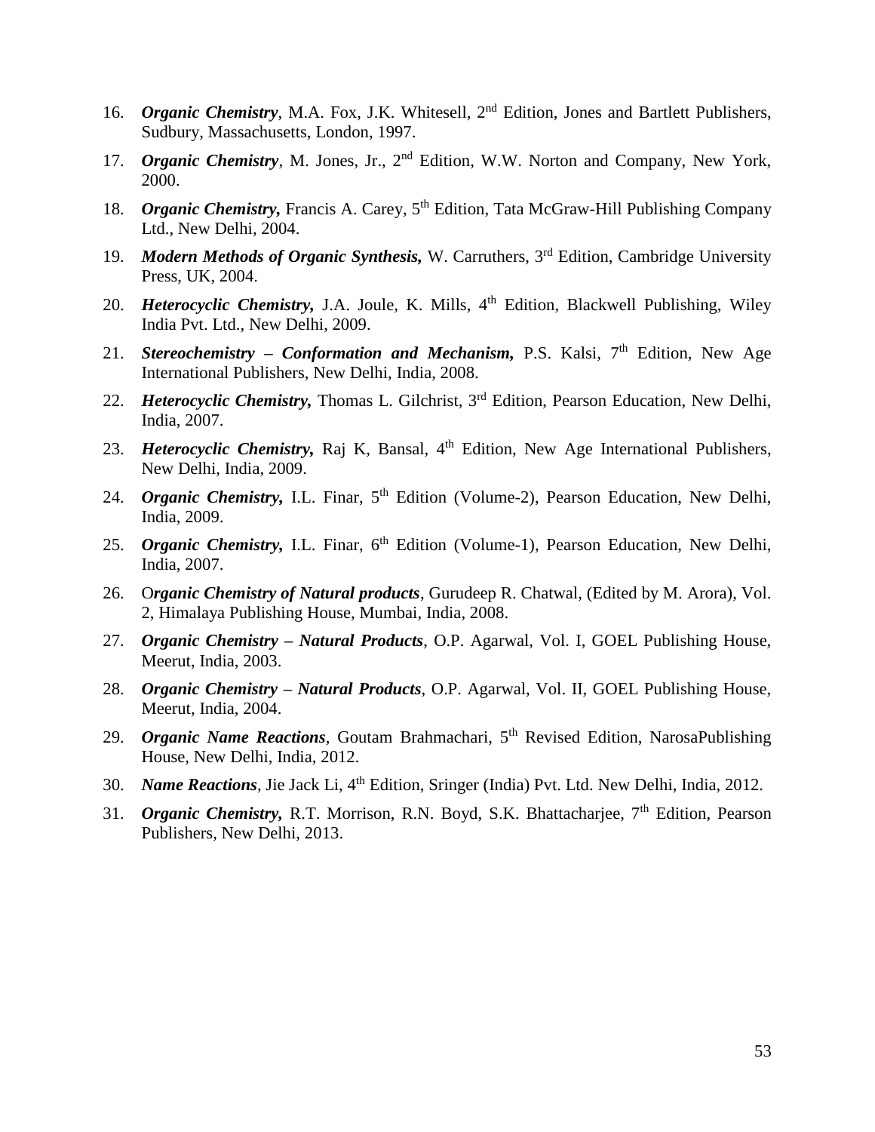- 16. *Organic Chemistry*, M.A. Fox, J.K. Whitesell, 2nd Edition, Jones and Bartlett Publishers, Sudbury, Massachusetts, London, 1997.
- 17. *Organic Chemistry*, M. Jones, Jr., 2nd Edition, W.W. Norton and Company, New York, 2000.
- 18. *Organic Chemistry*, Francis A. Carey, 5<sup>th</sup> Edition, Tata McGraw-Hill Publishing Company Ltd., New Delhi, 2004.
- 19. *Modern Methods of Organic Synthesis,* W. Carruthers, 3rd Edition, Cambridge University Press, UK, 2004.
- 20. *Heterocyclic Chemistry*, J.A. Joule, K. Mills, 4<sup>th</sup> Edition, Blackwell Publishing, Wiley India Pvt. Ltd., New Delhi, 2009.
- 21. *Stereochemistry Conformation and Mechanism*, P.S. Kalsi, 7<sup>th</sup> Edition, New Age International Publishers, New Delhi, India, 2008.
- 22. *Heterocyclic Chemistry*, Thomas L. Gilchrist, 3<sup>rd</sup> Edition, Pearson Education, New Delhi, India, 2007.
- 23. *Heterocyclic Chemistry*, Raj K, Bansal, 4<sup>th</sup> Edition, New Age International Publishers, New Delhi, India, 2009.
- 24. *Organic Chemistry, I.L. Finar, 5<sup>th</sup> Edition (Volume-2), Pearson Education, New Delhi,* India, 2009.
- 25. *Organic Chemistry*, I.L. Finar, 6<sup>th</sup> Edition (Volume-1), Pearson Education, New Delhi, India, 2007.
- 26. O*rganic Chemistry of Natural products*, Gurudeep R. Chatwal, (Edited by M. Arora), Vol. 2, Himalaya Publishing House, Mumbai, India, 2008.
- 27. *Organic Chemistry – Natural Products*, O.P. Agarwal, Vol. I, GOEL Publishing House, Meerut, India, 2003.
- 28. *Organic Chemistry – Natural Products*, O.P. Agarwal, Vol. II, GOEL Publishing House, Meerut, India, 2004.
- 29. *Organic Name Reactions*, Goutam Brahmachari, 5th Revised Edition, NarosaPublishing House, New Delhi, India, 2012.
- 30. *Name Reactions*, Jie Jack Li, 4<sup>th</sup> Edition, Sringer (India) Pvt. Ltd. New Delhi, India, 2012.
- 31. *Organic Chemistry, R.T. Morrison, R.N. Boyd, S.K. Bhattacharjee,* 7<sup>th</sup> Edition, Pearson Publishers, New Delhi, 2013.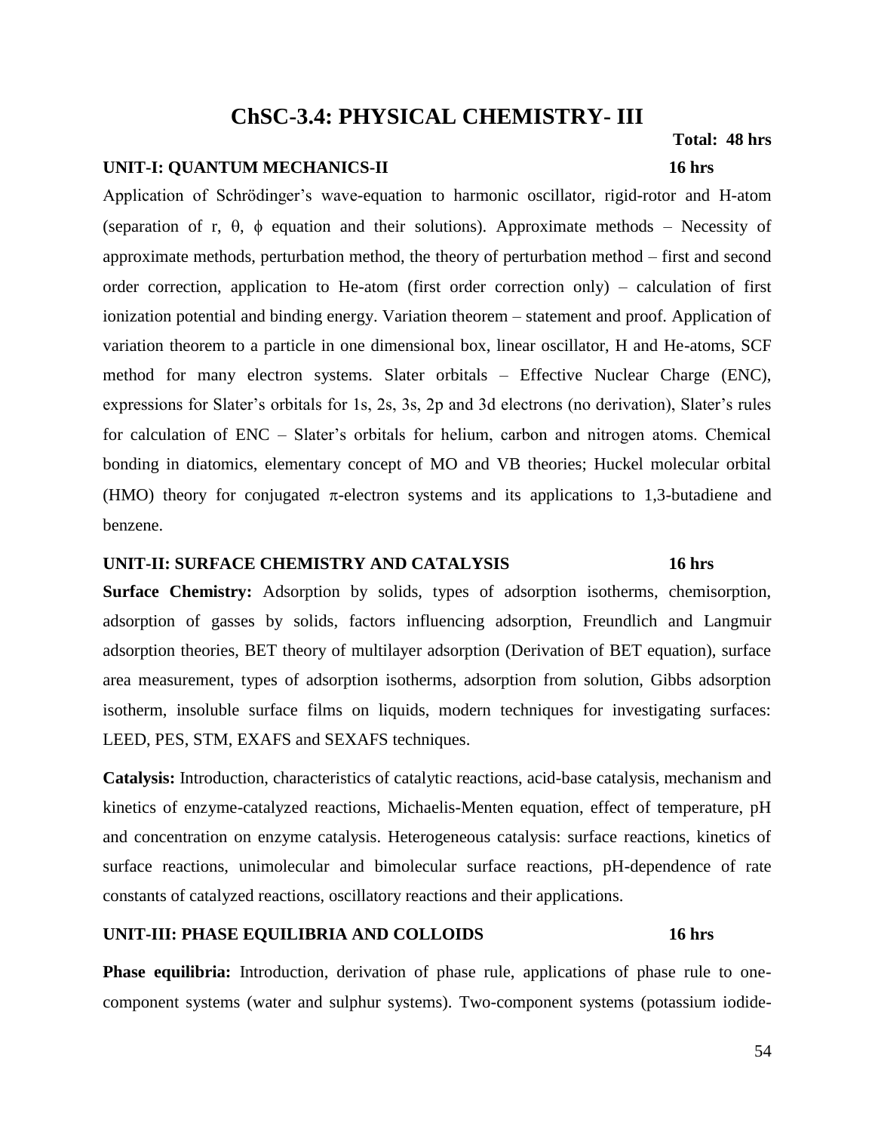# **ChSC-3.4: PHYSICAL CHEMISTRY- III**

### **UNIT-I: QUANTUM MECHANICS-II 16 hrs**

Application of Schrödinger's wave-equation to harmonic oscillator, rigid-rotor and H-atom (separation of r,  $\theta$ ,  $\phi$  equation and their solutions). Approximate methods – Necessity of approximate methods, perturbation method, the theory of perturbation method – first and second order correction, application to He-atom (first order correction only) – calculation of first ionization potential and binding energy. Variation theorem – statement and proof. Application of variation theorem to a particle in one dimensional box, linear oscillator, H and He-atoms, SCF method for many electron systems. Slater orbitals – Effective Nuclear Charge (ENC), expressions for Slater's orbitals for 1s, 2s, 3s, 2p and 3d electrons (no derivation), Slater's rules for calculation of ENC – Slater's orbitals for helium, carbon and nitrogen atoms. Chemical bonding in diatomics, elementary concept of MO and VB theories; Huckel molecular orbital (HMO) theory for conjugated  $\pi$ -electron systems and its applications to 1,3-butadiene and benzene.

#### **UNIT-II: SURFACE CHEMISTRY AND CATALYSIS 16 hrs**

**Surface Chemistry:** Adsorption by solids, types of adsorption isotherms, chemisorption, adsorption of gasses by solids, factors influencing adsorption, Freundlich and Langmuir adsorption theories, BET theory of multilayer adsorption (Derivation of BET equation), surface area measurement, types of adsorption isotherms, adsorption from solution, Gibbs adsorption isotherm, insoluble surface films on liquids, modern techniques for investigating surfaces: LEED, PES, STM, EXAFS and SEXAFS techniques.

**Catalysis:** Introduction, characteristics of catalytic reactions, acid-base catalysis, mechanism and kinetics of enzyme-catalyzed reactions, Michaelis-Menten equation, effect of temperature, pH and concentration on enzyme catalysis. Heterogeneous catalysis: surface reactions, kinetics of surface reactions, unimolecular and bimolecular surface reactions, pH-dependence of rate constants of catalyzed reactions, oscillatory reactions and their applications.

#### **UNIT-III: PHASE EQUILIBRIA AND COLLOIDS 16 hrs**

**Phase equilibria:** Introduction, derivation of phase rule, applications of phase rule to onecomponent systems (water and sulphur systems). Two-component systems (potassium iodide-

#### 54

 **Total: 48 hrs**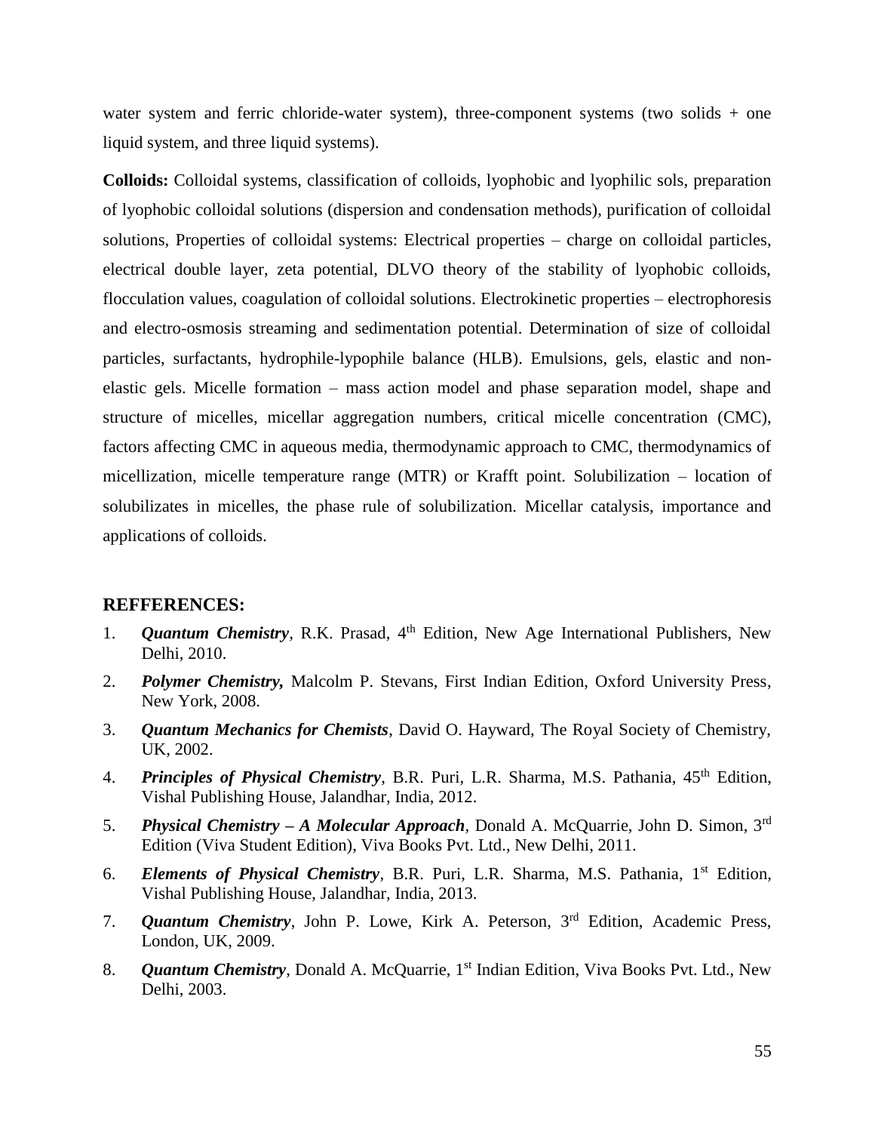water system and ferric chloride-water system), three-component systems (two solids + one liquid system, and three liquid systems).

**Colloids:** Colloidal systems, classification of colloids, lyophobic and lyophilic sols, preparation of lyophobic colloidal solutions (dispersion and condensation methods), purification of colloidal solutions, Properties of colloidal systems: Electrical properties – charge on colloidal particles, electrical double layer, zeta potential, DLVO theory of the stability of lyophobic colloids, flocculation values, coagulation of colloidal solutions. Electrokinetic properties – electrophoresis and electro-osmosis streaming and sedimentation potential. Determination of size of colloidal particles, surfactants, hydrophile-lypophile balance (HLB). Emulsions, gels, elastic and nonelastic gels. Micelle formation – mass action model and phase separation model, shape and structure of micelles, micellar aggregation numbers, critical micelle concentration (CMC), factors affecting CMC in aqueous media, thermodynamic approach to CMC, thermodynamics of micellization, micelle temperature range (MTR) or Krafft point. Solubilization – location of solubilizates in micelles, the phase rule of solubilization. Micellar catalysis, importance and applications of colloids.

- 1. *Quantum Chemistry*, R.K. Prasad, 4<sup>th</sup> Edition, New Age International Publishers, New Delhi, 2010.
- 2. *Polymer Chemistry,* Malcolm P. Stevans, First Indian Edition, Oxford University Press, New York, 2008.
- 3. *Quantum Mechanics for Chemists*, David O. Hayward, The Royal Society of Chemistry, UK, 2002.
- 4. *Principles of Physical Chemistry*, B.R. Puri, L.R. Sharma, M.S. Pathania, 45<sup>th</sup> Edition, Vishal Publishing House, Jalandhar, India, 2012.
- 5. *Physical Chemistry – A Molecular Approach*, Donald A. McQuarrie, John D. Simon, 3rd Edition (Viva Student Edition), Viva Books Pvt. Ltd., New Delhi, 2011.
- 6. *Elements of Physical Chemistry*, B.R. Puri, L.R. Sharma, M.S. Pathania, 1<sup>st</sup> Edition, Vishal Publishing House, Jalandhar, India, 2013.
- 7. *Quantum Chemistry*, John P. Lowe, Kirk A. Peterson, 3rd Edition, Academic Press, London, UK, 2009.
- 8. *Quantum Chemistry*, Donald A. McQuarrie, 1<sup>st</sup> Indian Edition, Viva Books Pvt. Ltd., New Delhi, 2003.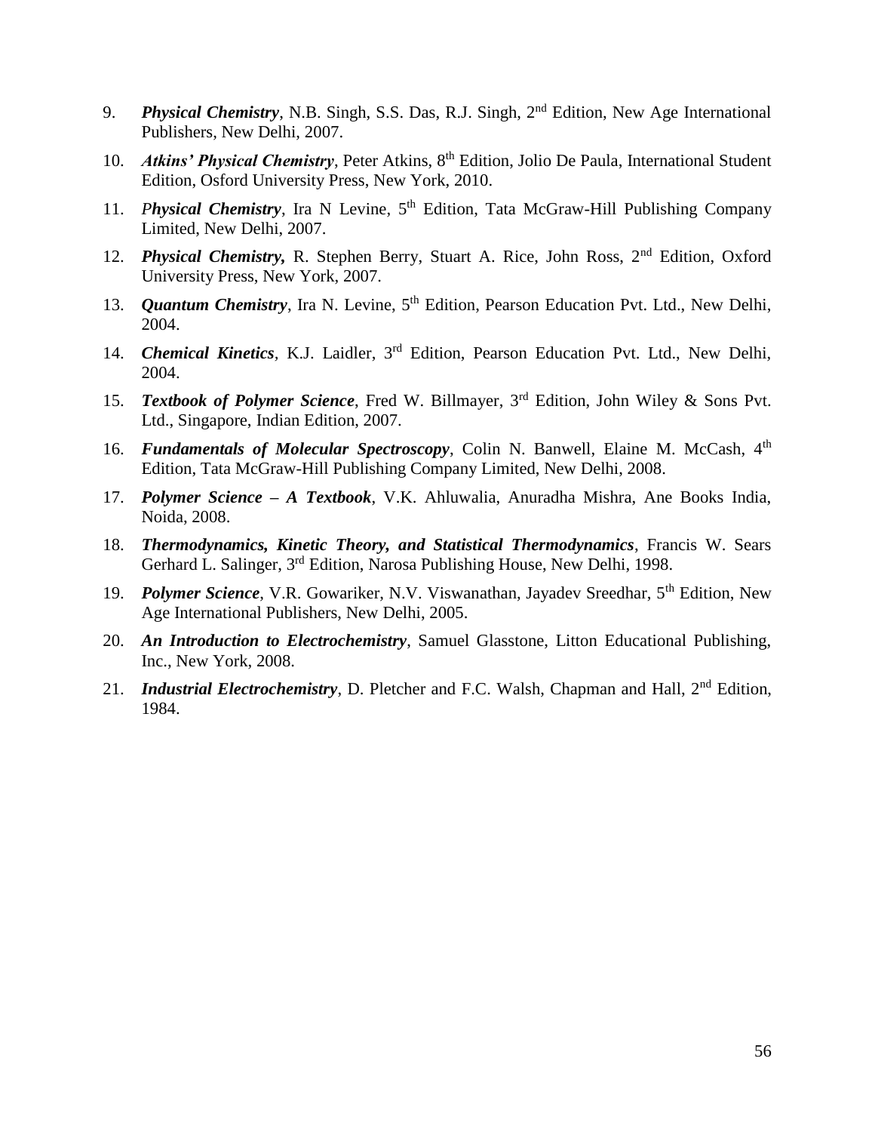- 9. *Physical Chemistry*, N.B. Singh, S.S. Das, R.J. Singh, 2nd Edition, New Age International Publishers, New Delhi, 2007.
- 10. *Atkins' Physical Chemistry*, Peter Atkins, 8<sup>th</sup> Edition, Jolio De Paula, International Student Edition, Osford University Press, New York, 2010.
- 11. *Physical Chemistry*, Ira N Levine, 5<sup>th</sup> Edition, Tata McGraw-Hill Publishing Company Limited, New Delhi, 2007.
- 12. *Physical Chemistry*, R. Stephen Berry, Stuart A. Rice, John Ross, 2<sup>nd</sup> Edition, Oxford University Press, New York, 2007.
- 13. *Quantum Chemistry*, Ira N. Levine, 5<sup>th</sup> Edition, Pearson Education Pvt. Ltd., New Delhi, 2004.
- 14. *Chemical Kinetics,* K.J. Laidler, 3rd Edition, Pearson Education Pvt. Ltd., New Delhi, 2004.
- 15. *Textbook of Polymer Science*, Fred W. Billmayer, 3rd Edition, John Wiley & Sons Pvt. Ltd., Singapore, Indian Edition, 2007.
- 16. *Fundamentals of Molecular Spectroscopy*, Colin N. Banwell, Elaine M. McCash, 4th Edition, Tata McGraw-Hill Publishing Company Limited, New Delhi, 2008.
- 17. *Polymer Science – A Textbook*, V.K. Ahluwalia, Anuradha Mishra, Ane Books India, Noida, 2008.
- 18. *Thermodynamics, Kinetic Theory, and Statistical Thermodynamics*, Francis W. Sears Gerhard L. Salinger, 3<sup>rd</sup> Edition, Narosa Publishing House, New Delhi, 1998.
- 19. *Polymer Science*, V.R. Gowariker, N.V. Viswanathan, Jayadev Sreedhar, 5<sup>th</sup> Edition, New Age International Publishers, New Delhi, 2005.
- 20. *An Introduction to Electrochemistry*, Samuel Glasstone, Litton Educational Publishing, Inc., New York, 2008.
- 21. *Industrial Electrochemistry*, D. Pletcher and F.C. Walsh, Chapman and Hall, 2nd Edition, 1984.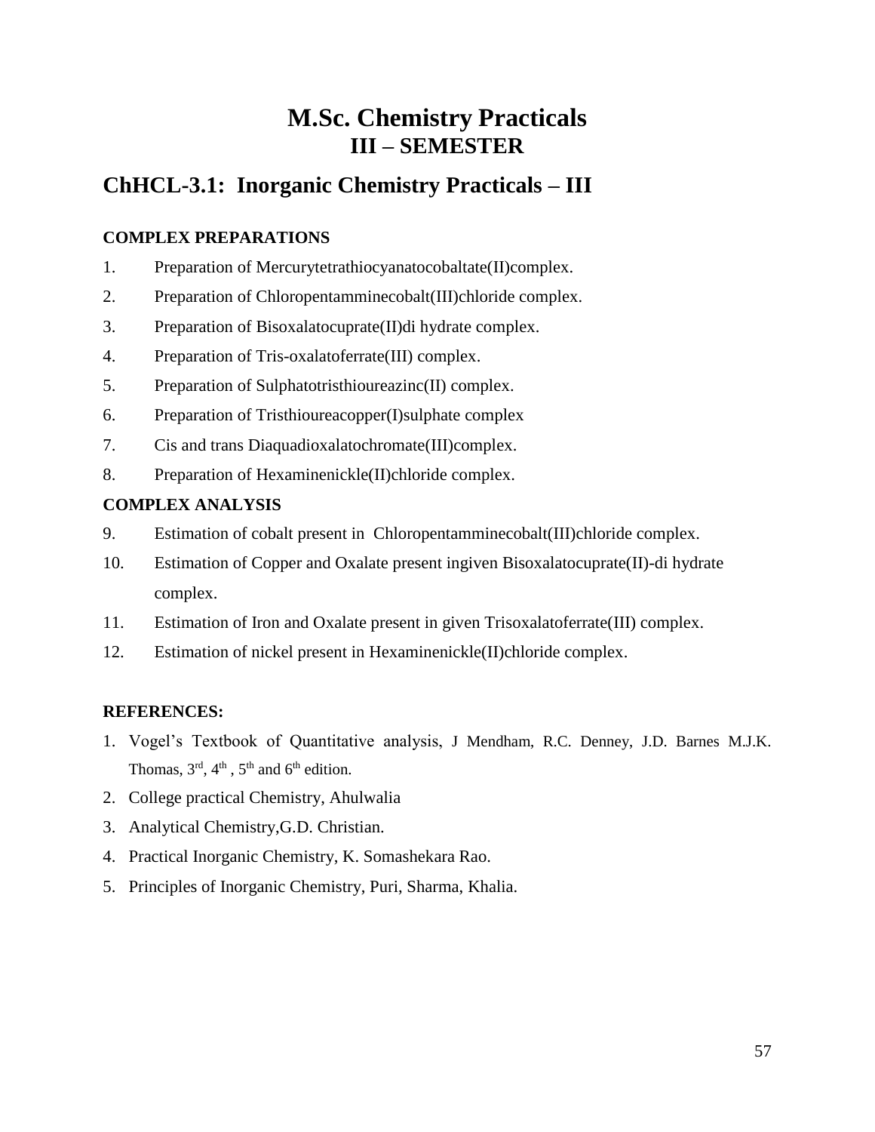# **M.Sc. Chemistry Practicals III – SEMESTER**

# **ChHCL-3.1: Inorganic Chemistry Practicals – III**

## **COMPLEX PREPARATIONS**

- 1. Preparation of Mercurytetrathiocyanatocobaltate(II)complex.
- 2. Preparation of Chloropentamminecobalt(III)chloride complex.
- 3. Preparation of Bisoxalatocuprate(II)di hydrate complex.
- 4. Preparation of Tris-oxalatoferrate(III) complex.
- 5. Preparation of Sulphatotristhioureazinc(II) complex.
- 6. Preparation of Tristhioureacopper(I)sulphate complex
- 7. Cis and trans Diaquadioxalatochromate(III)complex.
- 8. Preparation of Hexaminenickle(II)chloride complex.

## **COMPLEX ANALYSIS**

- 9. Estimation of cobalt present in Chloropentamminecobalt(III)chloride complex.
- 10. Estimation of Copper and Oxalate present ingiven Bisoxalatocuprate(II)-di hydrate complex.
- 11. Estimation of Iron and Oxalate present in given Trisoxalatoferrate(III) complex.
- 12. Estimation of nickel present in Hexaminenickle(II)chloride complex.

- 1. Vogel's Textbook of Quantitative analysis, J Mendham, R.C. Denney, J.D. Barnes M.J.K. Thomas,  $3<sup>rd</sup>$ ,  $4<sup>th</sup>$ ,  $5<sup>th</sup>$  and  $6<sup>th</sup>$  edition.
- 2. College practical Chemistry, Ahulwalia
- 3. Analytical Chemistry,G.D. Christian.
- 4. Practical Inorganic Chemistry, K. Somashekara Rao.
- 5. Principles of Inorganic Chemistry, Puri, Sharma, Khalia.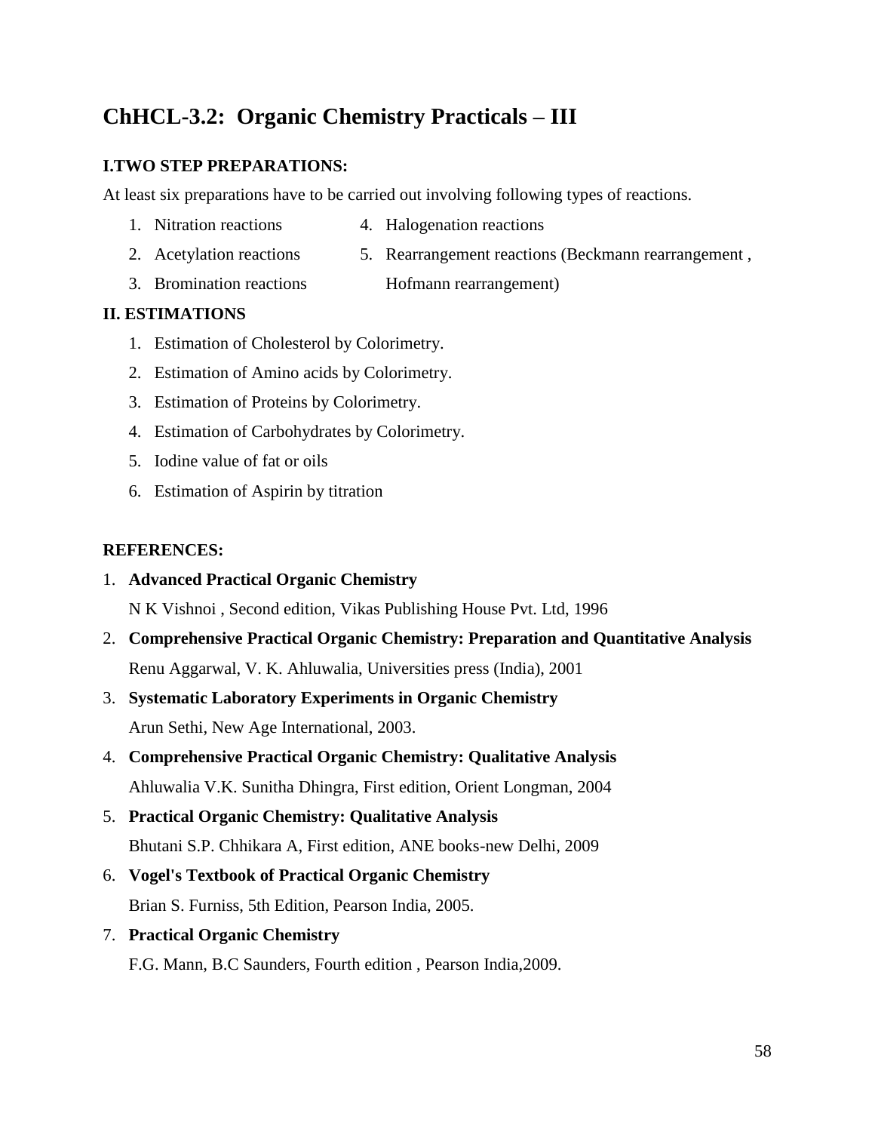# **ChHCL-3.2: Organic Chemistry Practicals – III**

### **I.TWO STEP PREPARATIONS:**

At least six preparations have to be carried out involving following types of reactions.

- 1. Nitration reactions 4. Halogenation reactions
- 2. Acetylation reactions 5. Rearrangement reactions (Beckmann rearrangement ,
- 3. Bromination reactions Hofmann rearrangement)

### **II. ESTIMATIONS**

- 1. Estimation of Cholesterol by Colorimetry.
- 2. Estimation of Amino acids by Colorimetry.
- 3. Estimation of Proteins by Colorimetry.
- 4. Estimation of Carbohydrates by Colorimetry.
- 5. Iodine value of fat or oils
- 6. Estimation of Aspirin by titration

### **REFERENCES:**

### 1. **Advanced Practical Organic Chemistry**

N K Vishnoi , Second edition, Vikas Publishing House Pvt. Ltd, 1996

- 2. **Comprehensive Practical Organic Chemistry: Preparation and Quantitative Analysis** Renu Aggarwal, V. K. Ahluwalia, Universities press (India), 2001
- 3. **Systematic Laboratory Experiments in Organic Chemistry** Arun Sethi, New Age International, 2003.
- 4. **Comprehensive Practical Organic Chemistry: Qualitative Analysis** Ahluwalia V.K. Sunitha Dhingra, First edition, Orient Longman, 2004

# 5. **Practical Organic Chemistry: Qualitative Analysis** Bhutani S.P. Chhikara A, First edition, ANE books-new Delhi, 2009

- 6. **Vogel's Textbook of Practical Organic Chemistry** Brian S. Furniss, 5th Edition, Pearson India, 2005.
- 7. **Practical Organic Chemistry**

F.G. Mann, B.C Saunders, Fourth edition , Pearson India,2009.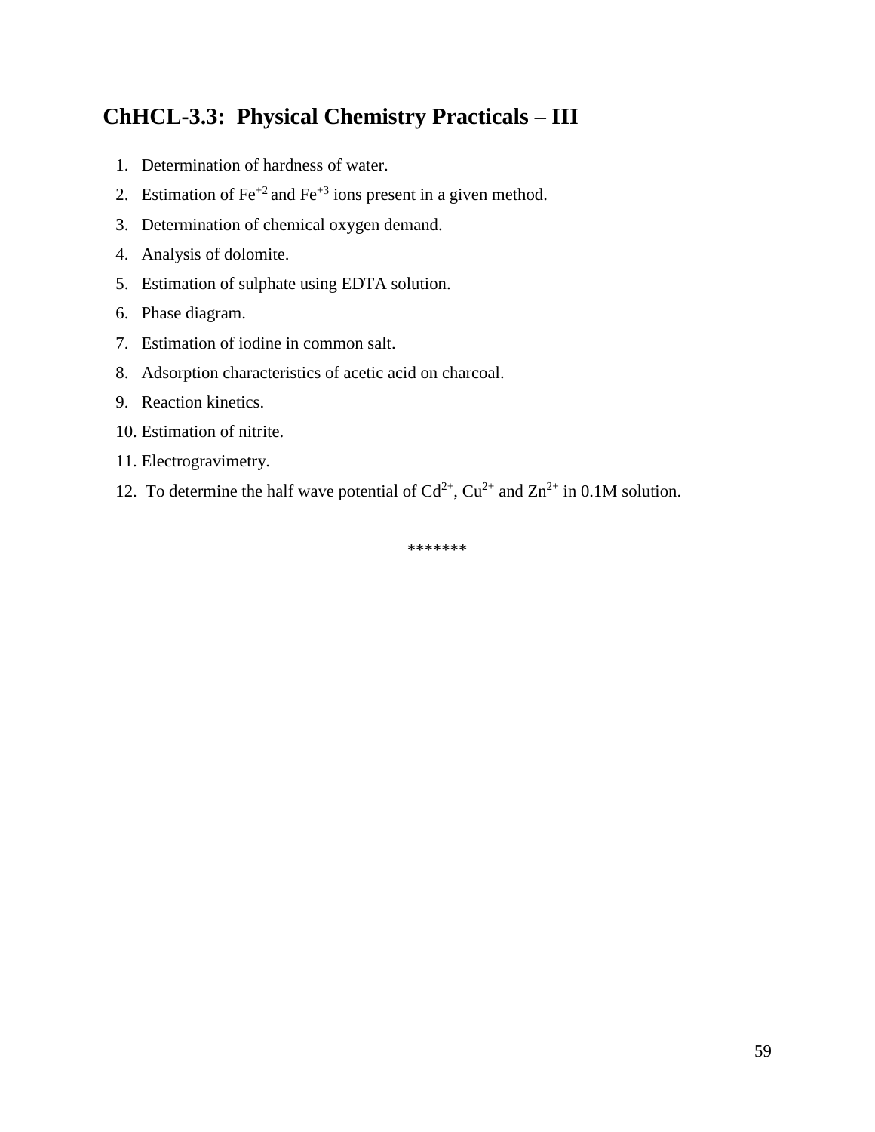# **ChHCL-3.3: Physical Chemistry Practicals – III**

- 1. Determination of hardness of water.
- 2. Estimation of  $\text{Fe}^{+2}$  and  $\text{Fe}^{+3}$  ions present in a given method.
- 3. Determination of chemical oxygen demand.
- 4. Analysis of dolomite.
- 5. Estimation of sulphate using EDTA solution.
- 6. Phase diagram.
- 7. Estimation of iodine in common salt.
- 8. Adsorption characteristics of acetic acid on charcoal.
- 9. Reaction kinetics.
- 10. Estimation of nitrite.
- 11. Electrogravimetry.
- 12. To determine the half wave potential of  $Cd^{2+}$ ,  $Cu^{2+}$  and  $Zn^{2+}$  in 0.1M solution.

\*\*\*\*\*\*\*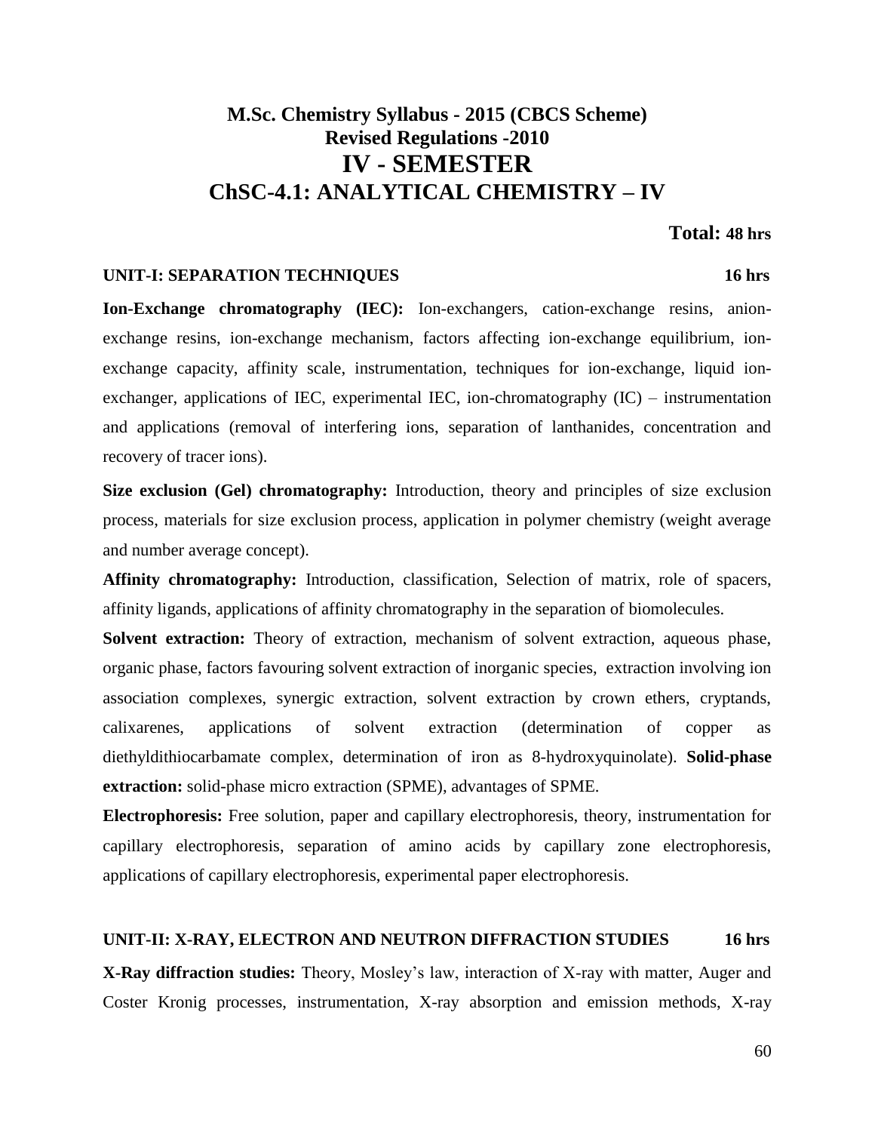# **M.Sc. Chemistry Syllabus - 2015 (CBCS Scheme) Revised Regulations -2010 IV - SEMESTER ChSC-4.1: ANALYTICAL CHEMISTRY – IV**

#### **Total: 48 hrs**

### **UNIT-I: SEPARATION TECHNIQUES 16 hrs**

**Ion-Exchange chromatography (IEC):** Ion-exchangers, cation-exchange resins, anionexchange resins, ion-exchange mechanism, factors affecting ion-exchange equilibrium, ionexchange capacity, affinity scale, instrumentation, techniques for ion-exchange, liquid ion-

exchanger, applications of IEC, experimental IEC, ion-chromatography (IC) – instrumentation and applications (removal of interfering ions, separation of lanthanides, concentration and recovery of tracer ions).

**Size exclusion (Gel) chromatography:** Introduction, theory and principles of size exclusion process, materials for size exclusion process, application in polymer chemistry (weight average and number average concept).

**Affinity chromatography:** Introduction, classification, Selection of matrix, role of spacers, affinity ligands, applications of affinity chromatography in the separation of biomolecules.

**Solvent extraction:** Theory of extraction, mechanism of solvent extraction, aqueous phase, organic phase, factors favouring solvent extraction of inorganic species, extraction involving ion association complexes, synergic extraction, solvent extraction by crown ethers, cryptands, calixarenes, applications of solvent extraction (determination of copper as diethyldithiocarbamate complex, determination of iron as 8-hydroxyquinolate). **Solid-phase extraction:** solid-phase micro extraction (SPME), advantages of SPME.

**Electrophoresis:** Free solution, paper and capillary electrophoresis, theory, instrumentation for capillary electrophoresis, separation of amino acids by capillary zone electrophoresis, applications of capillary electrophoresis, experimental paper electrophoresis.

#### **UNIT-II: X-RAY, ELECTRON AND NEUTRON DIFFRACTION STUDIES 16 hrs**

**X-Ray diffraction studies:** Theory, Mosley's law, interaction of X-ray with matter, Auger and Coster Kronig processes, instrumentation, X-ray absorption and emission methods, X-ray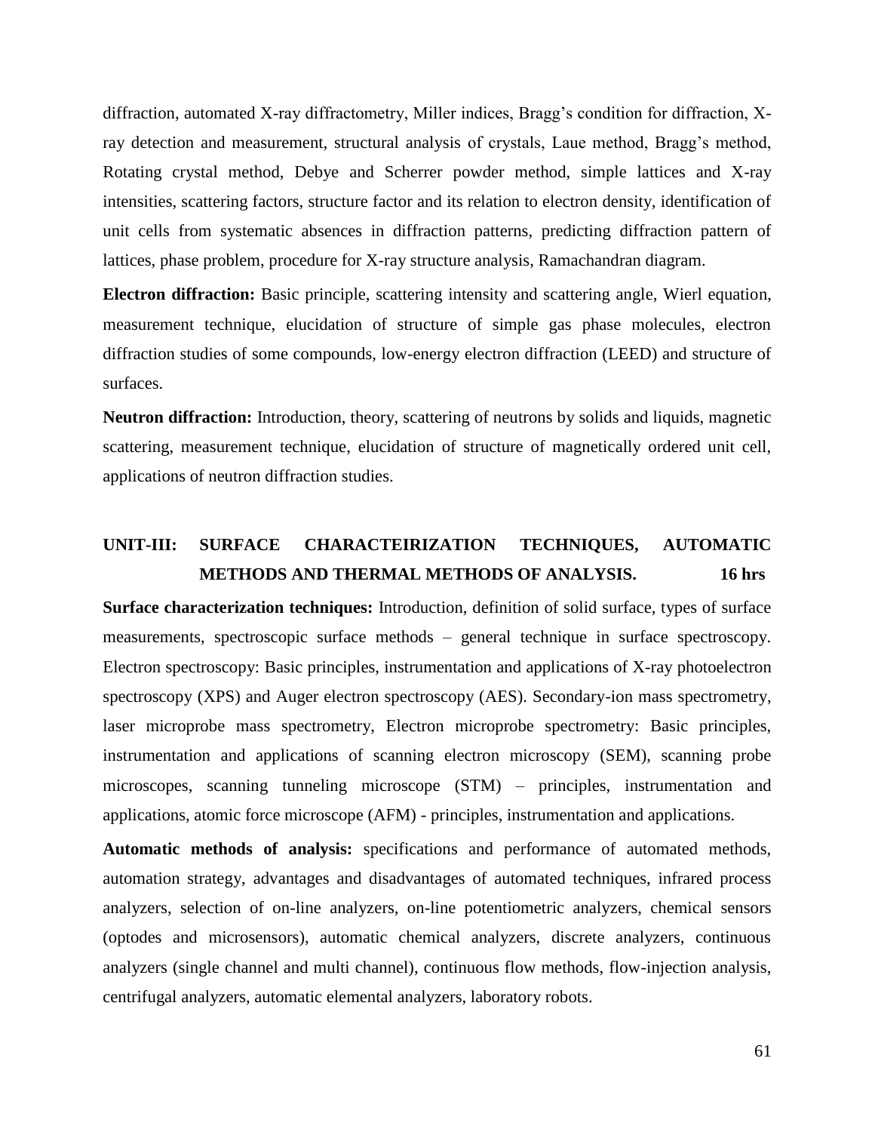diffraction, automated X-ray diffractometry, Miller indices, Bragg's condition for diffraction, Xray detection and measurement, structural analysis of crystals, Laue method, Bragg's method, Rotating crystal method, Debye and Scherrer powder method, simple lattices and X-ray intensities, scattering factors, structure factor and its relation to electron density, identification of unit cells from systematic absences in diffraction patterns, predicting diffraction pattern of lattices, phase problem, procedure for X-ray structure analysis, Ramachandran diagram.

**Electron diffraction:** Basic principle, scattering intensity and scattering angle, Wierl equation, measurement technique, elucidation of structure of simple gas phase molecules, electron diffraction studies of some compounds, low-energy electron diffraction (LEED) and structure of surfaces.

**Neutron diffraction:** Introduction, theory, scattering of neutrons by solids and liquids, magnetic scattering, measurement technique, elucidation of structure of magnetically ordered unit cell, applications of neutron diffraction studies.

# **UNIT-III: SURFACE CHARACTEIRIZATION TECHNIQUES, AUTOMATIC METHODS AND THERMAL METHODS OF ANALYSIS. 16 hrs**

**Surface characterization techniques:** Introduction, definition of solid surface, types of surface measurements, spectroscopic surface methods – general technique in surface spectroscopy. Electron spectroscopy: Basic principles, instrumentation and applications of X-ray photoelectron spectroscopy (XPS) and Auger electron spectroscopy (AES). Secondary-ion mass spectrometry, laser microprobe mass spectrometry, Electron microprobe spectrometry: Basic principles, instrumentation and applications of scanning electron microscopy (SEM), scanning probe microscopes, scanning tunneling microscope (STM) – principles, instrumentation and applications, atomic force microscope (AFM) - principles, instrumentation and applications.

**Automatic methods of analysis:** specifications and performance of automated methods, automation strategy, advantages and disadvantages of automated techniques, infrared process analyzers, selection of on-line analyzers, on-line potentiometric analyzers, chemical sensors (optodes and microsensors), automatic chemical analyzers, discrete analyzers, continuous analyzers (single channel and multi channel), continuous flow methods, flow-injection analysis, centrifugal analyzers, automatic elemental analyzers, laboratory robots.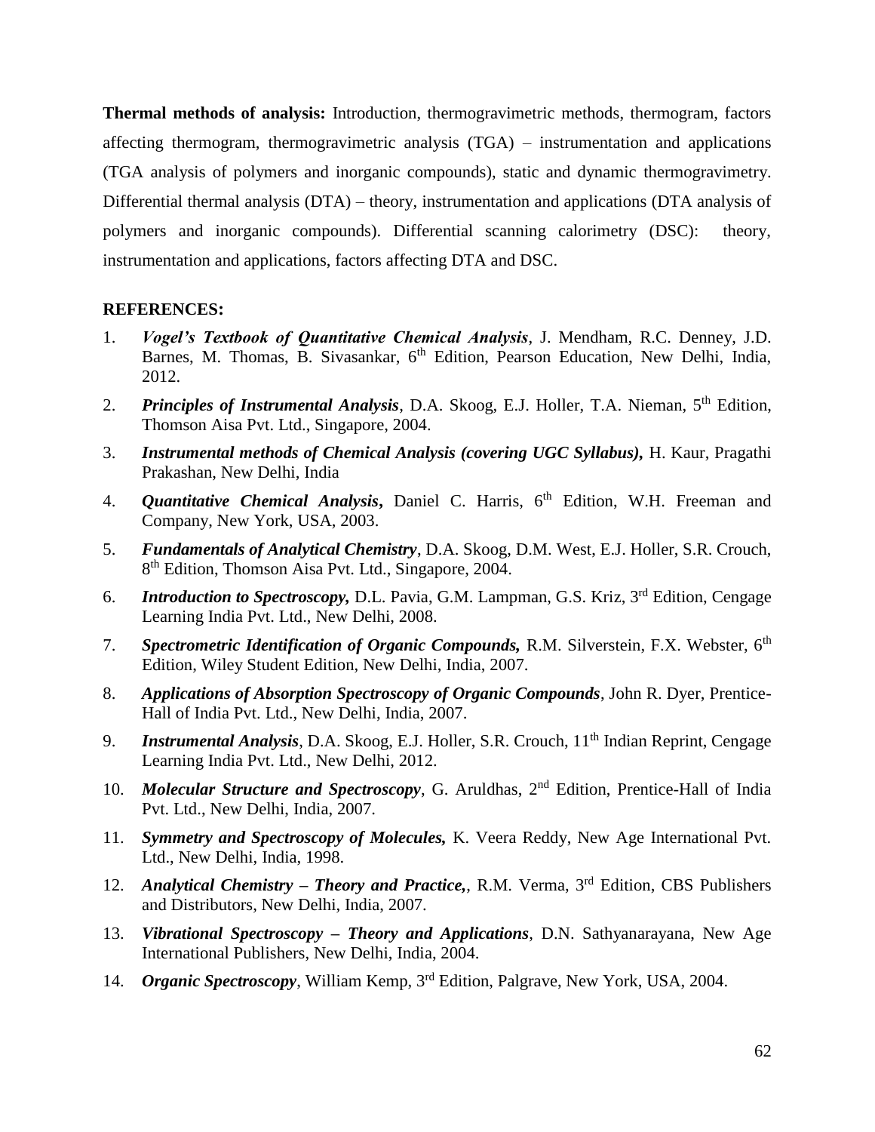**Thermal methods of analysis:** Introduction, thermogravimetric methods, thermogram, factors affecting thermogram, thermogravimetric analysis (TGA) – instrumentation and applications (TGA analysis of polymers and inorganic compounds), static and dynamic thermogravimetry. Differential thermal analysis (DTA) – theory, instrumentation and applications (DTA analysis of polymers and inorganic compounds). Differential scanning calorimetry (DSC): theory, instrumentation and applications, factors affecting DTA and DSC.

- 1. *Vogel's Textbook of Quantitative Chemical Analysis*, J. Mendham, R.C. Denney, J.D. Barnes, M. Thomas, B. Sivasankar, 6<sup>th</sup> Edition, Pearson Education, New Delhi, India, 2012.
- 2. *Principles of Instrumental Analysis*, D.A. Skoog, E.J. Holler, T.A. Nieman, 5th Edition, Thomson Aisa Pvt. Ltd., Singapore, 2004.
- 3. *Instrumental methods of Chemical Analysis (covering UGC Syllabus),* H. Kaur, Pragathi Prakashan, New Delhi, India
- 4. *Quantitative Chemical Analysis***,** Daniel C. Harris, 6th Edition, W.H. Freeman and Company, New York, USA, 2003.
- 5. *Fundamentals of Analytical Chemistry*, D.A. Skoog, D.M. West, E.J. Holler, S.R. Crouch, 8<sup>th</sup> Edition, Thomson Aisa Pvt. Ltd., Singapore, 2004.
- 6. *Introduction to Spectroscopy,* D.L. Pavia, G.M. Lampman, G.S. Kriz, 3rd Edition, Cengage Learning India Pvt. Ltd., New Delhi, 2008.
- 7. *Spectrometric Identification of Organic Compounds,* R.M. Silverstein, F.X. Webster, 6th Edition, Wiley Student Edition, New Delhi, India, 2007.
- 8. *Applications of Absorption Spectroscopy of Organic Compounds*, John R. Dyer, Prentice-Hall of India Pvt. Ltd., New Delhi, India, 2007.
- 9. *Instrumental Analysis*, D.A. Skoog, E.J. Holler, S.R. Crouch, 11th Indian Reprint, Cengage Learning India Pvt. Ltd., New Delhi, 2012.
- 10. *Molecular Structure and Spectroscopy*, G. Aruldhas, 2<sup>nd</sup> Edition, Prentice-Hall of India Pvt. Ltd., New Delhi, India, 2007.
- 11. *Symmetry and Spectroscopy of Molecules,* K. Veera Reddy, New Age International Pvt. Ltd., New Delhi, India, 1998.
- 12. *Analytical Chemistry – Theory and Practice,*, R.M. Verma, 3rd Edition, CBS Publishers and Distributors, New Delhi, India, 2007.
- 13. *Vibrational Spectroscopy – Theory and Applications*, D.N. Sathyanarayana, New Age International Publishers, New Delhi, India, 2004.
- 14. *Organic Spectroscopy*, William Kemp, 3rd Edition, Palgrave, New York, USA, 2004.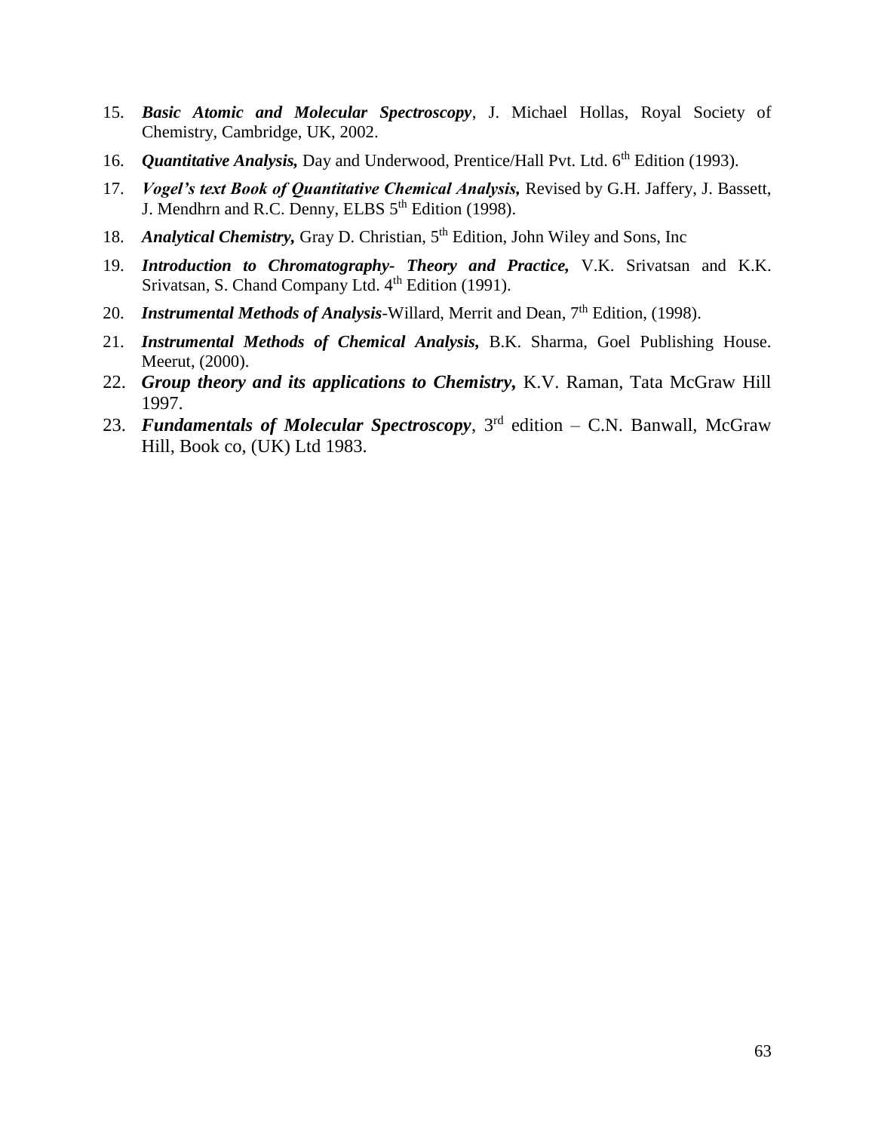- 15. *Basic Atomic and Molecular Spectroscopy*, J. Michael Hollas, Royal Society of Chemistry, Cambridge, UK, 2002.
- 16. *Quantitative Analysis*, Day and Underwood, Prentice/Hall Pvt. Ltd. 6<sup>th</sup> Edition (1993).
- 17. *Vogel's text Book of Quantitative Chemical Analysis,* Revised by G.H. Jaffery, J. Bassett, J. Mendhrn and R.C. Denny, ELBS 5<sup>th</sup> Edition (1998).
- 18. *Analytical Chemistry*, Gray D. Christian, 5<sup>th</sup> Edition, John Wiley and Sons, Inc
- 19. *Introduction to Chromatography- Theory and Practice,* V.K. Srivatsan and K.K. Srivatsan, S. Chand Company Ltd. 4<sup>th</sup> Edition (1991).
- 20. *Instrumental Methods of Analysis*-Willard, Merrit and Dean, 7<sup>th</sup> Edition, (1998).
- 21. *Instrumental Methods of Chemical Analysis,* B.K. Sharma, Goel Publishing House. Meerut, (2000).
- 22. *Group theory and its applications to Chemistry,* K.V. Raman, Tata McGraw Hill 1997.
- 23. *Fundamentals of Molecular Spectroscopy*, 3rd edition C.N. Banwall, McGraw Hill, Book co, (UK) Ltd 1983.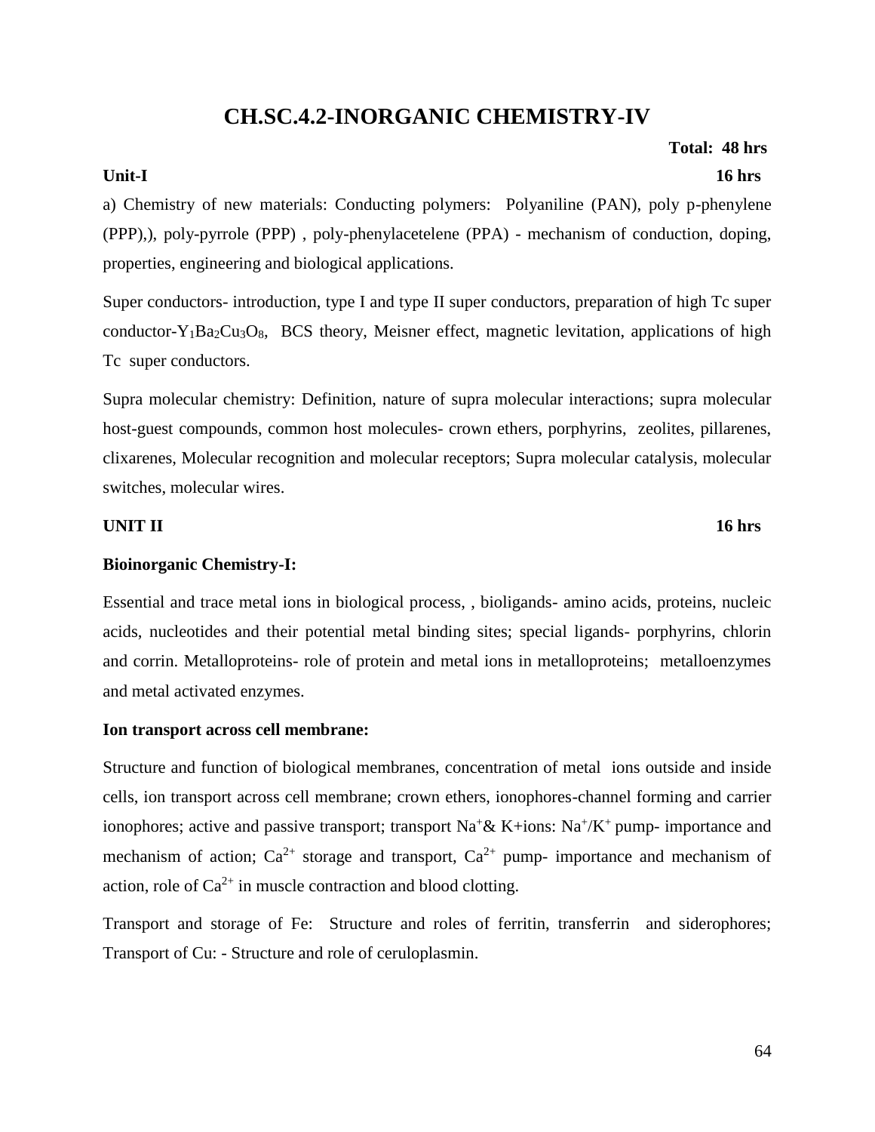# **CH.SC.4.2-INORGANIC CHEMISTRY-IV**

# **Unit-I 16 hrs**

a) Chemistry of new materials: Conducting polymers: Polyaniline (PAN), poly p-phenylene (PPP),), poly-pyrrole (PPP) , poly-phenylacetelene (PPA) - mechanism of conduction, doping, properties, engineering and biological applications.

Super conductors- introduction, type I and type II super conductors, preparation of high Tc super conductor-Y<sub>1</sub>Ba<sub>2</sub>Cu<sub>3</sub>O<sub>8</sub>, BCS theory, Meisner effect, magnetic levitation, applications of high Tc super conductors.

Supra molecular chemistry: Definition, nature of supra molecular interactions; supra molecular host-guest compounds, common host molecules- crown ethers, porphyrins, zeolites, pillarenes, clixarenes, Molecular recognition and molecular receptors; Supra molecular catalysis, molecular switches, molecular wires.

#### **UNIT II** 16 hrs

### **Bioinorganic Chemistry-I:**

Essential and trace metal ions in biological process, , bioligands- amino acids, proteins, nucleic acids, nucleotides and their potential metal binding sites; special ligands- porphyrins, chlorin and corrin. Metalloproteins- role of protein and metal ions in metalloproteins; metalloenzymes and metal activated enzymes.

### **Ion transport across cell membrane:**

Structure and function of biological membranes, concentration of metal ions outside and inside cells, ion transport across cell membrane; crown ethers, ionophores-channel forming and carrier ionophores; active and passive transport; transport  $Na^{+} & K+ions$ :  $Na^{+}/K^{+}$  pump- importance and mechanism of action;  $Ca^{2+}$  storage and transport,  $Ca^{2+}$  pump- importance and mechanism of action, role of  $Ca^{2+}$  in muscle contraction and blood clotting.

Transport and storage of Fe: Structure and roles of ferritin, transferrin and siderophores; Transport of Cu: - Structure and role of ceruloplasmin.

# **Total: 48 hrs**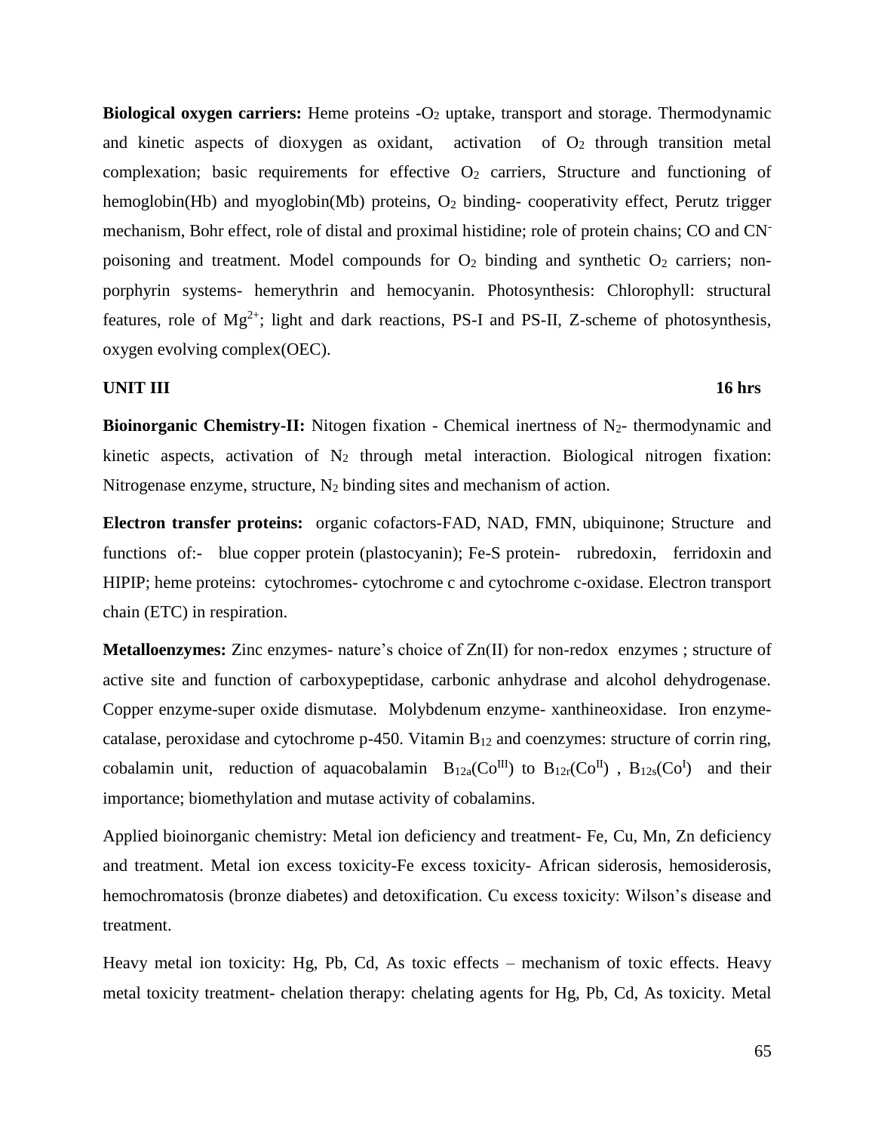**Biological oxygen carriers:** Heme proteins -O<sup>2</sup> uptake, transport and storage. Thermodynamic and kinetic aspects of dioxygen as oxidant, activation of  $O_2$  through transition metal complexation; basic requirements for effective  $O<sub>2</sub>$  carriers, Structure and functioning of hemoglobin(Hb) and myoglobin(Mb) proteins, O<sub>2</sub> binding-cooperativity effect, Perutz trigger mechanism, Bohr effect, role of distal and proximal histidine; role of protein chains; CO and CNpoisoning and treatment. Model compounds for  $O_2$  binding and synthetic  $O_2$  carriers; nonporphyrin systems- hemerythrin and hemocyanin. Photosynthesis: Chlorophyll: structural features, role of  $Mg^{2+}$ ; light and dark reactions, PS-I and PS-II, Z-scheme of photosynthesis, oxygen evolving complex(OEC).

#### **UNIT III** 16 hrs

**Bioinorganic Chemistry-II:** Nitogen fixation - Chemical inertness of N<sub>2</sub>- thermodynamic and kinetic aspects, activation of  $N_2$  through metal interaction. Biological nitrogen fixation: Nitrogenase enzyme, structure,  $N_2$  binding sites and mechanism of action.

**Electron transfer proteins:** organic cofactors-FAD, NAD, FMN, ubiquinone; Structure and functions of:- blue copper protein (plastocyanin); Fe-S protein- rubredoxin, ferridoxin and HIPIP; heme proteins: cytochromes- cytochrome c and cytochrome c-oxidase. Electron transport chain (ETC) in respiration.

**Metalloenzymes:** Zinc enzymes- nature's choice of Zn(II) for non-redox enzymes ; structure of active site and function of carboxypeptidase, carbonic anhydrase and alcohol dehydrogenase. Copper enzyme-super oxide dismutase. Molybdenum enzyme- xanthineoxidase. Iron enzymecatalase, peroxidase and cytochrome  $p-450$ . Vitamin  $B_{12}$  and coenzymes: structure of corrin ring, cobalamin unit, reduction of aquacobalamin  $B_{12a}(Co^{III})$  to  $B_{12r}(Co^{II})$ ,  $B_{12s}(Co^{I})$  and their importance; biomethylation and mutase activity of cobalamins.

Applied bioinorganic chemistry: Metal ion deficiency and treatment- Fe, Cu, Mn, Zn deficiency and treatment. Metal ion excess toxicity-Fe excess toxicity- African siderosis, hemosiderosis, hemochromatosis (bronze diabetes) and detoxification. Cu excess toxicity: Wilson's disease and treatment.

Heavy metal ion toxicity: Hg, Pb, Cd, As toxic effects – mechanism of toxic effects. Heavy metal toxicity treatment- chelation therapy: chelating agents for Hg, Pb, Cd, As toxicity. Metal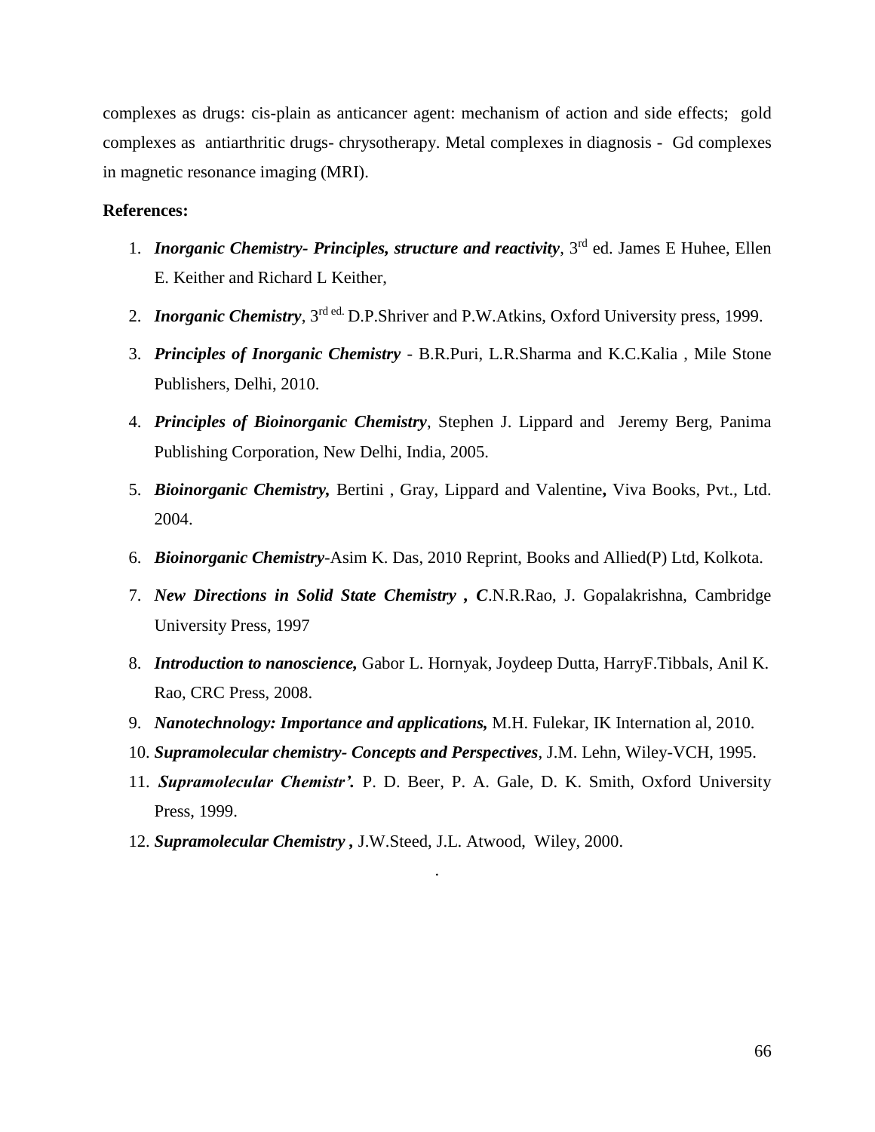complexes as drugs: cis-plain as anticancer agent: mechanism of action and side effects; gold complexes as antiarthritic drugs- chrysotherapy. Metal complexes in diagnosis - Gd complexes in magnetic resonance imaging (MRI).

#### **References:**

- 1. *Inorganic Chemistry- Principles, structure and reactivity*, 3rd ed. James E Huhee, Ellen E. Keither and Richard L Keither,
- 2. *Inorganic Chemistry*, 3rd ed. D.P.Shriver and P.W.Atkins, Oxford University press, 1999.
- 3. *Principles of Inorganic Chemistry* B.R.Puri, L.R.Sharma and K.C.Kalia , Mile Stone Publishers, Delhi, 2010.
- 4. *Principles of Bioinorganic Chemistry*, Stephen J. Lippard and Jeremy Berg, Panima Publishing Corporation, New Delhi, India, 2005.
- 5. *Bioinorganic Chemistry,* Bertini , Gray, Lippard and Valentine**,** Viva Books, Pvt., Ltd. 2004.
- 6. *Bioinorganic Chemistry*-Asim K. Das, 2010 Reprint, Books and Allied(P) Ltd, Kolkota.
- 7. *New Directions in Solid State Chemistry , C*.N.R.Rao, J. Gopalakrishna, Cambridge University Press, 1997
- 8. *Introduction to nanoscience,* Gabor L. Hornyak, Joydeep Dutta, HarryF.Tibbals, Anil K. Rao, CRC Press, 2008.
- 9. *Nanotechnology: Importance and applications,* M.H. Fulekar, IK Internation al, 2010.
- 10. *Supramolecular chemistry- Concepts and Perspectives*, J.M. Lehn, Wiley-VCH, 1995.
- 11. *Supramolecular Chemistr'.* P. D. Beer, P. A. Gale, D. K. Smith, Oxford University Press, 1999.

.

12. *Supramolecular Chemistry ,* J.W.Steed, J.L. Atwood, Wiley, 2000.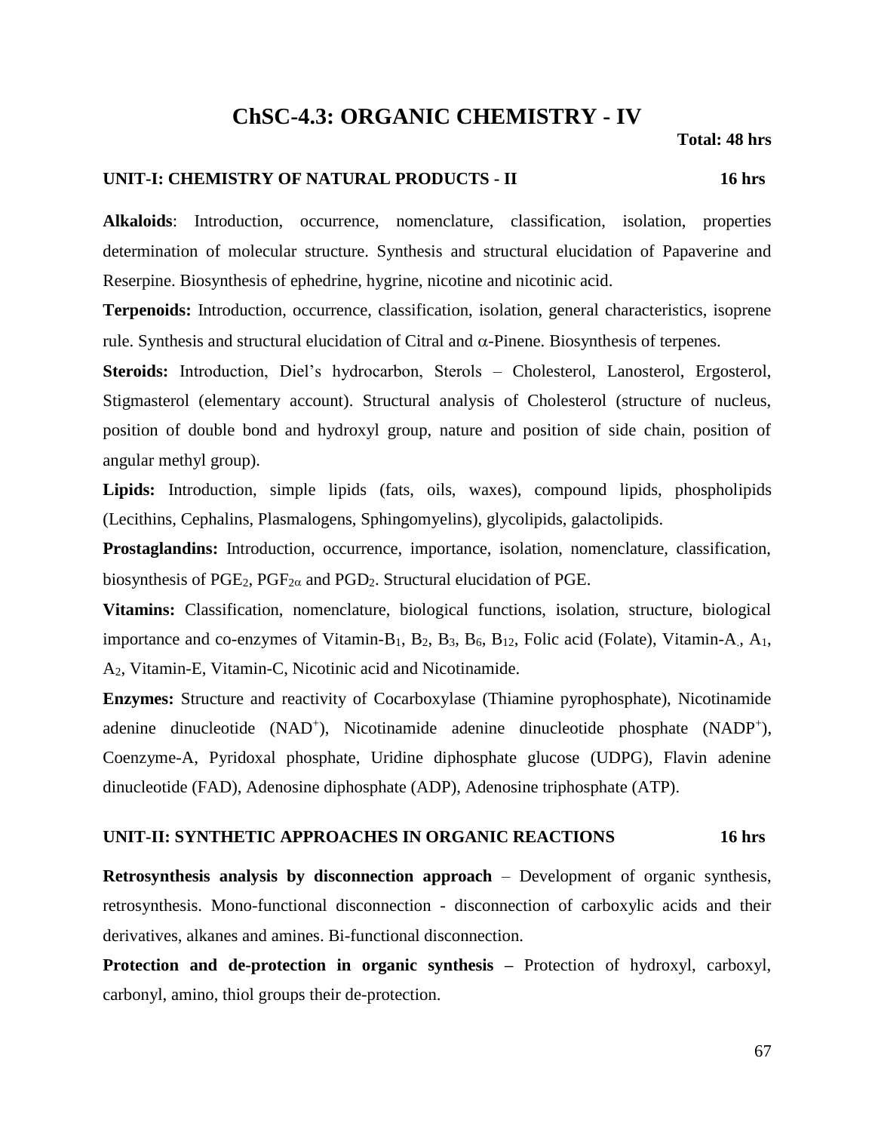## **ChSC-4.3: ORGANIC CHEMISTRY - IV**

#### **UNIT-I: CHEMISTRY OF NATURAL PRODUCTS - II 16 hrs**

**Alkaloids**: Introduction, occurrence, nomenclature, classification, isolation, properties determination of molecular structure. Synthesis and structural elucidation of Papaverine and Reserpine. Biosynthesis of ephedrine, hygrine, nicotine and nicotinic acid.

**Terpenoids:** Introduction, occurrence, classification, isolation, general characteristics, isoprene rule. Synthesis and structural elucidation of Citral and  $\alpha$ -Pinene. Biosynthesis of terpenes.

**Steroids:** Introduction, Diel's hydrocarbon, Sterols – Cholesterol, Lanosterol, Ergosterol, Stigmasterol (elementary account). Structural analysis of Cholesterol (structure of nucleus, position of double bond and hydroxyl group, nature and position of side chain, position of angular methyl group).

**Lipids:** Introduction, simple lipids (fats, oils, waxes), compound lipids, phospholipids (Lecithins, Cephalins, Plasmalogens, Sphingomyelins), glycolipids, galactolipids.

**Prostaglandins:** Introduction, occurrence, importance, isolation, nomenclature, classification, biosynthesis of PGE<sub>2</sub>, PGF<sub>2 $\alpha$ </sub> and PGD<sub>2</sub>. Structural elucidation of PGE.

**Vitamins:** Classification, nomenclature, biological functions, isolation, structure, biological importance and co-enzymes of Vitamin-B<sub>1</sub>, B<sub>2</sub>, B<sub>3</sub>, B<sub>6</sub>, B<sub>12</sub>, Folic acid (Folate), Vitamin-A<sub>1</sub>, A<sub>1</sub>, A2, Vitamin-E, Vitamin-C, Nicotinic acid and Nicotinamide.

**Enzymes:** Structure and reactivity of Cocarboxylase (Thiamine pyrophosphate), Nicotinamide adenine dinucleotide (NAD<sup>+</sup>), Nicotinamide adenine dinucleotide phosphate (NADP<sup>+</sup>), Coenzyme-A, Pyridoxal phosphate, Uridine diphosphate glucose (UDPG), Flavin adenine dinucleotide (FAD), Adenosine diphosphate (ADP), Adenosine triphosphate (ATP).

#### **UNIT-II: SYNTHETIC APPROACHES IN ORGANIC REACTIONS 16 hrs**

**Retrosynthesis analysis by disconnection approach** – Development of organic synthesis, retrosynthesis. Mono-functional disconnection - disconnection of carboxylic acids and their derivatives, alkanes and amines. Bi-functional disconnection.

**Protection and de-protection in organic synthesis –** Protection of hydroxyl, carboxyl, carbonyl, amino, thiol groups their de-protection.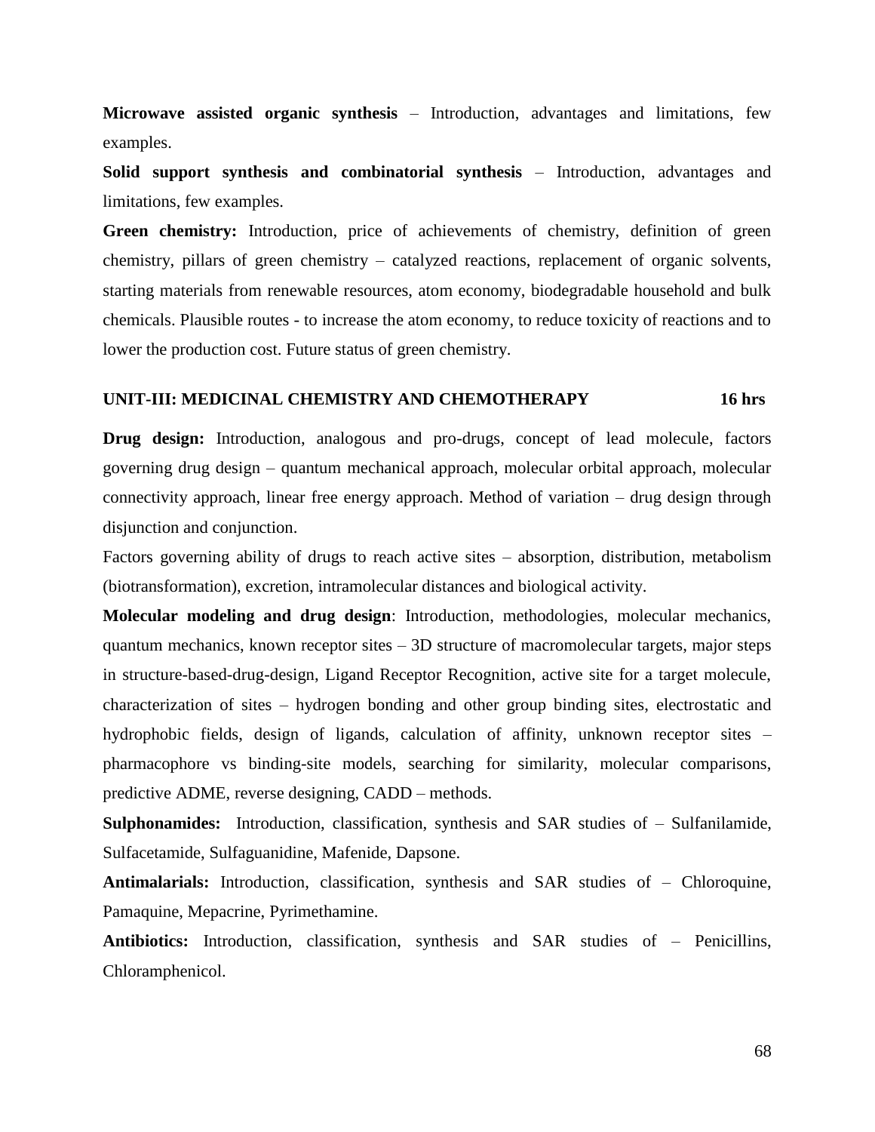**Microwave assisted organic synthesis** – Introduction, advantages and limitations, few examples.

**Solid support synthesis and combinatorial synthesis** – Introduction, advantages and limitations, few examples.

**Green chemistry:** Introduction, price of achievements of chemistry, definition of green chemistry, pillars of green chemistry – catalyzed reactions, replacement of organic solvents, starting materials from renewable resources, atom economy, biodegradable household and bulk chemicals. Plausible routes - to increase the atom economy, to reduce toxicity of reactions and to lower the production cost. Future status of green chemistry.

#### **UNIT-III: MEDICINAL CHEMISTRY AND CHEMOTHERAPY 16 hrs**

**Drug design:** Introduction, analogous and pro-drugs, concept of lead molecule, factors governing drug design – quantum mechanical approach, molecular orbital approach, molecular connectivity approach, linear free energy approach. Method of variation – drug design through disjunction and conjunction.

Factors governing ability of drugs to reach active sites – absorption, distribution, metabolism (biotransformation), excretion, intramolecular distances and biological activity.

**Molecular modeling and drug design**: Introduction, methodologies, molecular mechanics, quantum mechanics, known receptor sites – 3D structure of macromolecular targets, major steps in structure-based-drug-design, Ligand Receptor Recognition, active site for a target molecule, characterization of sites – hydrogen bonding and other group binding sites, electrostatic and hydrophobic fields, design of ligands, calculation of affinity, unknown receptor sites – pharmacophore vs binding-site models, searching for similarity, molecular comparisons, predictive ADME, reverse designing, CADD – methods.

**Sulphonamides:** Introduction, classification, synthesis and SAR studies of – Sulfanilamide, Sulfacetamide, Sulfaguanidine, Mafenide, Dapsone.

**Antimalarials:** Introduction, classification, synthesis and SAR studies of – Chloroquine, Pamaquine, Mepacrine, Pyrimethamine.

**Antibiotics:** Introduction, classification, synthesis and SAR studies of – Penicillins, Chloramphenicol.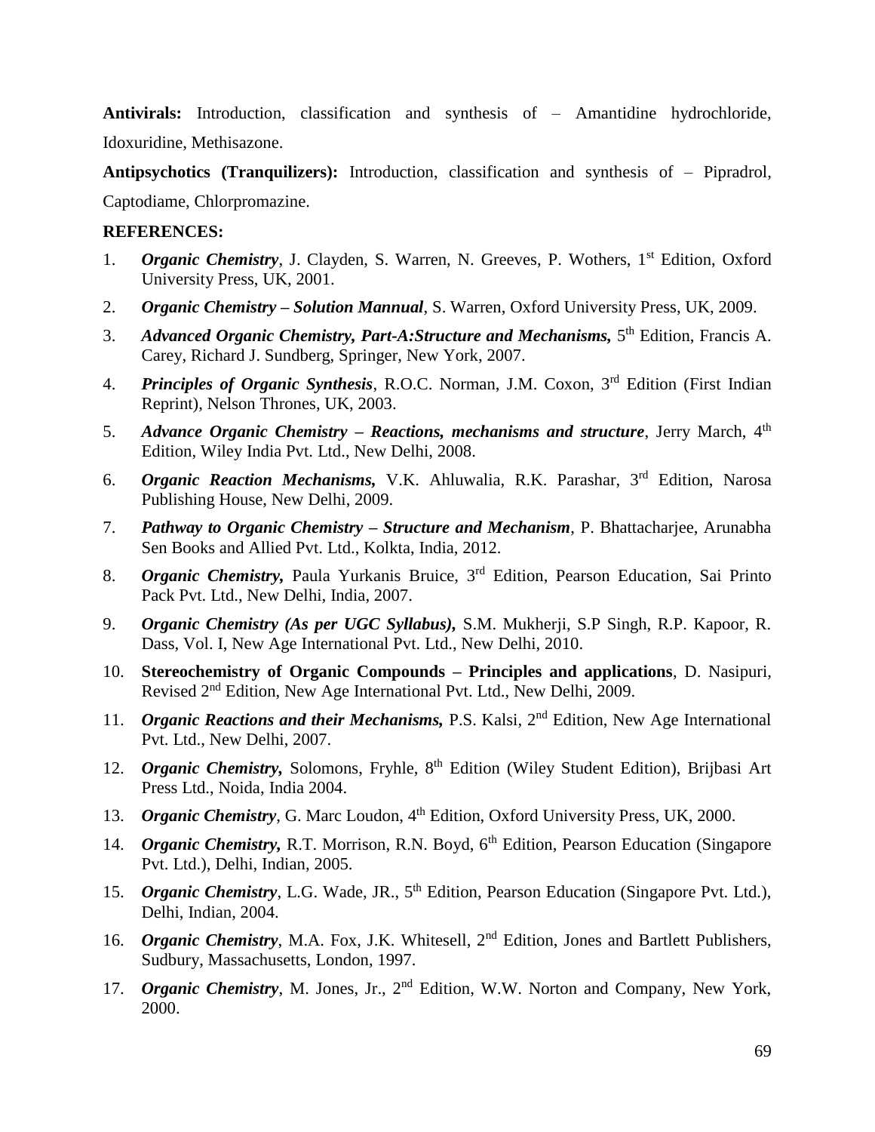**Antivirals:** Introduction, classification and synthesis of – Amantidine hydrochloride, Idoxuridine, Methisazone.

**Antipsychotics (Tranquilizers):** Introduction, classification and synthesis of – Pipradrol, Captodiame, Chlorpromazine.

- 1. *Organic Chemistry*, J. Clayden, S. Warren, N. Greeves, P. Wothers, 1<sup>st</sup> Edition, Oxford University Press, UK, 2001.
- 2. *Organic Chemistry – Solution Mannual*, S. Warren, Oxford University Press, UK, 2009.
- 3. Advanced Organic Chemistry, Part-A: Structure and Mechanisms, 5<sup>th</sup> Edition, Francis A. Carey, Richard J. Sundberg, Springer, New York, 2007.
- 4. *Principles of Organic Synthesis*, R.O.C. Norman, J.M. Coxon, 3rd Edition (First Indian Reprint), Nelson Thrones, UK, 2003.
- 5. *Advance Organic Chemistry – Reactions, mechanisms and structure*, Jerry March, 4th Edition, Wiley India Pvt. Ltd., New Delhi, 2008.
- 6. *Organic Reaction Mechanisms,* V.K. Ahluwalia, R.K. Parashar, 3rd Edition, Narosa Publishing House, New Delhi, 2009.
- 7. *Pathway to Organic Chemistry – Structure and Mechanism*, P. Bhattacharjee, Arunabha Sen Books and Allied Pvt. Ltd., Kolkta, India, 2012.
- 8. *Organic Chemistry,* Paula Yurkanis Bruice, 3rd Edition, Pearson Education, Sai Printo Pack Pvt. Ltd., New Delhi, India, 2007.
- 9. *Organic Chemistry (As per UGC Syllabus),* S.M. Mukherji, S.P Singh, R.P. Kapoor, R. Dass, Vol. I, New Age International Pvt. Ltd., New Delhi, 2010.
- 10. **Stereochemistry of Organic Compounds – Principles and applications**, D. Nasipuri, Revised 2nd Edition, New Age International Pvt. Ltd., New Delhi, 2009.
- 11. *Organic Reactions and their Mechanisms*, P.S. Kalsi, 2<sup>nd</sup> Edition, New Age International Pvt. Ltd., New Delhi, 2007.
- 12. *Organic Chemistry*, Solomons, Fryhle, 8<sup>th</sup> Edition (Wiley Student Edition), Brijbasi Art Press Ltd., Noida, India 2004.
- 13. *Organic Chemistry*, G. Marc Loudon, 4<sup>th</sup> Edition, Oxford University Press, UK, 2000.
- 14. *Organic Chemistry*, R.T. Morrison, R.N. Boyd, 6<sup>th</sup> Edition, Pearson Education (Singapore Pvt. Ltd.), Delhi, Indian, 2005.
- 15. *Organic Chemistry*, L.G. Wade, JR., 5<sup>th</sup> Edition, Pearson Education (Singapore Pvt. Ltd.), Delhi, Indian, 2004.
- 16. *Organic Chemistry*, M.A. Fox, J.K. Whitesell, 2<sup>nd</sup> Edition, Jones and Bartlett Publishers, Sudbury, Massachusetts, London, 1997.
- 17. *Organic Chemistry*, M. Jones, Jr., 2nd Edition, W.W. Norton and Company, New York, 2000.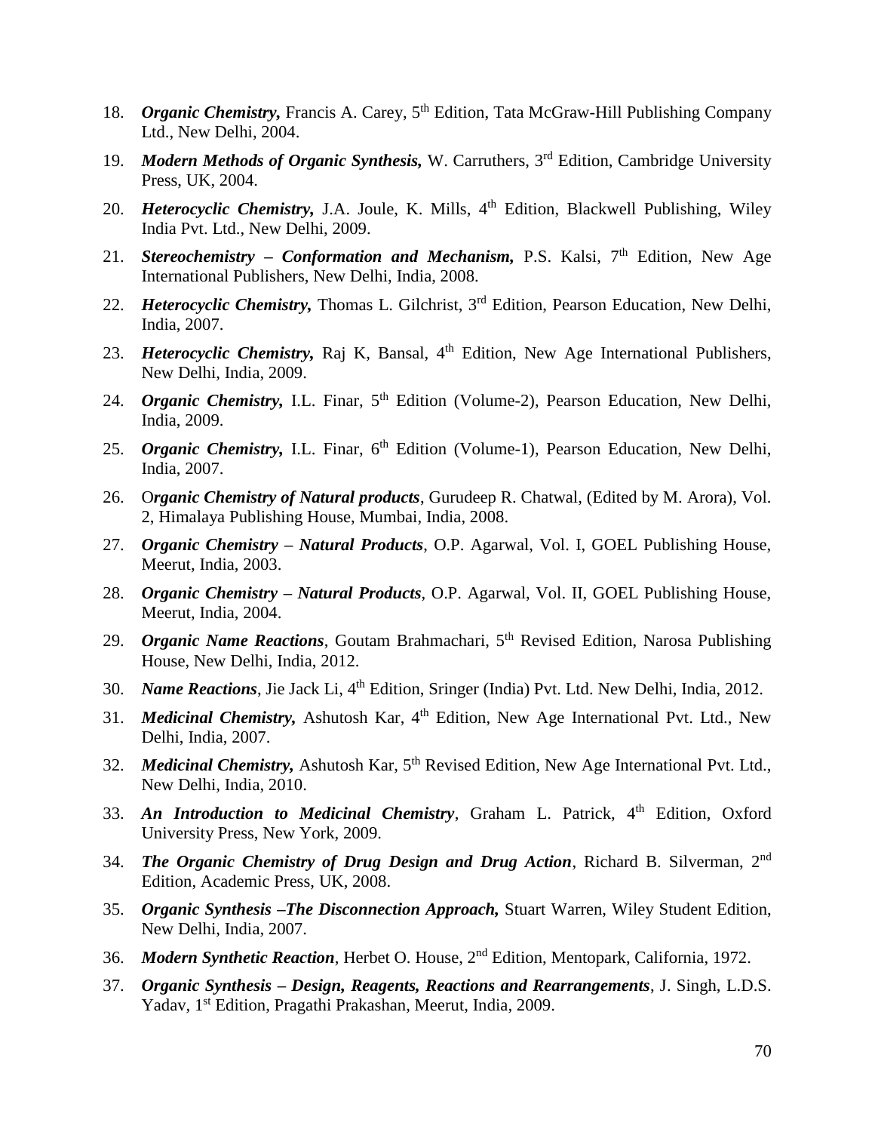- 18. *Organic Chemistry*, Francis A. Carey, 5<sup>th</sup> Edition, Tata McGraw-Hill Publishing Company Ltd., New Delhi, 2004.
- 19. *Modern Methods of Organic Synthesis,* W. Carruthers, 3rd Edition, Cambridge University Press, UK, 2004.
- 20. *Heterocyclic Chemistry*, J.A. Joule, K. Mills, 4<sup>th</sup> Edition, Blackwell Publishing, Wiley India Pvt. Ltd., New Delhi, 2009.
- 21. *Stereochemistry Conformation and Mechanism*, P.S. Kalsi, 7<sup>th</sup> Edition, New Age International Publishers, New Delhi, India, 2008.
- 22. *Heterocyclic Chemistry*, Thomas L. Gilchrist, 3<sup>rd</sup> Edition, Pearson Education, New Delhi, India, 2007.
- 23. *Heterocyclic Chemistry*, Raj K, Bansal, 4<sup>th</sup> Edition, New Age International Publishers, New Delhi, India, 2009.
- 24. *Organic Chemistry*, I.L. Finar, 5<sup>th</sup> Edition (Volume-2), Pearson Education, New Delhi, India, 2009.
- 25. *Organic Chemistry, I.L. Finar, 6<sup>th</sup> Edition (Volume-1), Pearson Education, New Delhi,* India, 2007.
- 26. O*rganic Chemistry of Natural products*, Gurudeep R. Chatwal, (Edited by M. Arora), Vol. 2, Himalaya Publishing House, Mumbai, India, 2008.
- 27. *Organic Chemistry – Natural Products*, O.P. Agarwal, Vol. I, GOEL Publishing House, Meerut, India, 2003.
- 28. *Organic Chemistry – Natural Products*, O.P. Agarwal, Vol. II, GOEL Publishing House, Meerut, India, 2004.
- 29. *Organic Name Reactions*, Goutam Brahmachari, 5th Revised Edition, Narosa Publishing House, New Delhi, India, 2012.
- 30. *Name Reactions*, Jie Jack Li, 4th Edition, Sringer (India) Pvt. Ltd. New Delhi, India, 2012.
- 31. *Medicinal Chemistry*, Ashutosh Kar, 4<sup>th</sup> Edition, New Age International Pvt. Ltd., New Delhi, India, 2007.
- 32. *Medicinal Chemistry*, Ashutosh Kar, 5<sup>th</sup> Revised Edition, New Age International Pvt. Ltd., New Delhi, India, 2010.
- 33. *An Introduction to Medicinal Chemistry*, Graham L. Patrick, 4th Edition, Oxford University Press, New York, 2009.
- 34. *The Organic Chemistry of Drug Design and Drug Action*, Richard B. Silverman, 2nd Edition, Academic Press, UK, 2008.
- 35. *Organic Synthesis –The Disconnection Approach,* Stuart Warren, Wiley Student Edition, New Delhi, India, 2007.
- 36. *Modern Synthetic Reaction*, Herbet O. House, 2nd Edition, Mentopark, California, 1972.
- 37. *Organic Synthesis – Design, Reagents, Reactions and Rearrangements*, J. Singh, L.D.S. Yadav, 1<sup>st</sup> Edition, Pragathi Prakashan, Meerut, India, 2009.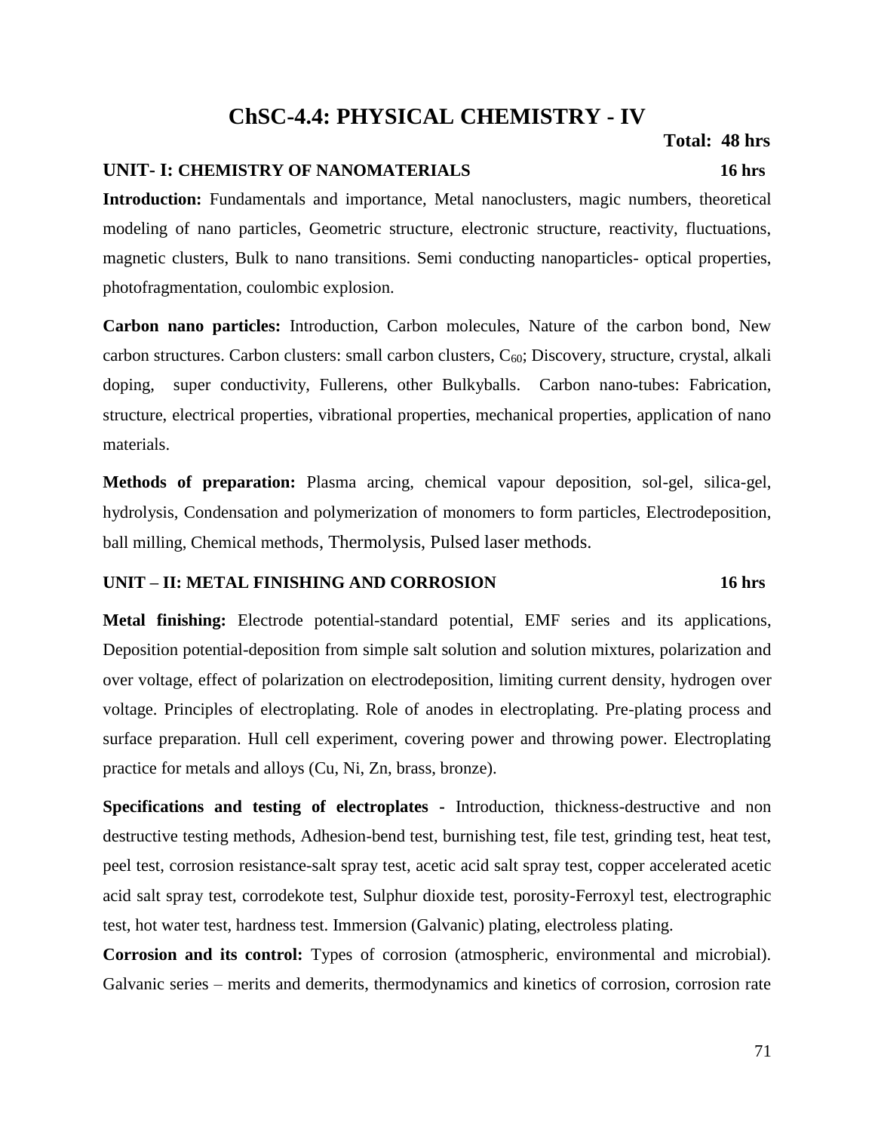# **ChSC-4.4: PHYSICAL CHEMISTRY - IV**

### **UNIT- I: CHEMISTRY OF NANOMATERIALS 16 hrs**

**Introduction:** Fundamentals and importance, Metal nanoclusters, magic numbers, theoretical modeling of nano particles, Geometric structure, electronic structure, reactivity, fluctuations, magnetic clusters, Bulk to nano transitions. Semi conducting nanoparticles- optical properties, photofragmentation, coulombic explosion.

**Carbon nano particles:** Introduction, Carbon molecules, Nature of the carbon bond, New carbon structures. Carbon clusters: small carbon clusters,  $C_{60}$ ; Discovery, structure, crystal, alkali doping, super conductivity, Fullerens, other Bulkyballs. Carbon nano-tubes: Fabrication, structure, electrical properties, vibrational properties, mechanical properties, application of nano materials.

**Methods of preparation:** Plasma arcing, chemical vapour deposition, sol-gel, silica-gel, hydrolysis, Condensation and polymerization of monomers to form particles, Electrodeposition, ball milling, Chemical methods, Thermolysis, Pulsed laser methods.

### **UNIT – II: METAL FINISHING AND CORROSION 16 hrs**

# **Metal finishing:** Electrode potential-standard potential, EMF series and its applications, Deposition potential-deposition from simple salt solution and solution mixtures, polarization and over voltage, effect of polarization on electrodeposition, limiting current density, hydrogen over voltage. Principles of electroplating. Role of anodes in electroplating. Pre-plating process and surface preparation. Hull cell experiment, covering power and throwing power. Electroplating practice for metals and alloys (Cu, Ni, Zn, brass, bronze).

**Specifications and testing of electroplates -** Introduction, thickness-destructive and non destructive testing methods, Adhesion-bend test, burnishing test, file test, grinding test, heat test, peel test, corrosion resistance-salt spray test, acetic acid salt spray test, copper accelerated acetic acid salt spray test, corrodekote test, Sulphur dioxide test, porosity-Ferroxyl test, electrographic test, hot water test, hardness test. Immersion (Galvanic) plating, electroless plating.

**Corrosion and its control:** Types of corrosion (atmospheric, environmental and microbial). Galvanic series – merits and demerits, thermodynamics and kinetics of corrosion, corrosion rate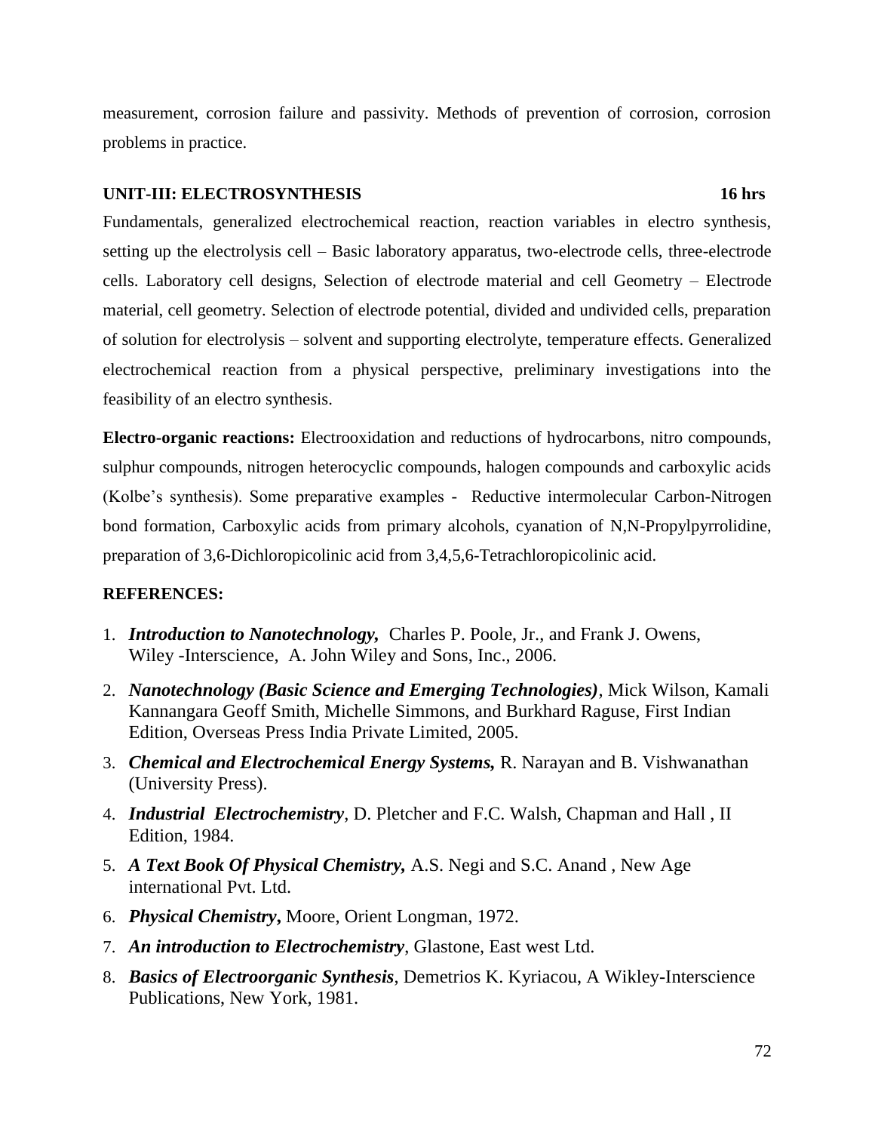measurement, corrosion failure and passivity. Methods of prevention of corrosion, corrosion problems in practice.

### **UNIT-III: ELECTROSYNTHESIS 16 hrs**

Fundamentals, generalized electrochemical reaction, reaction variables in electro synthesis, setting up the electrolysis cell – Basic laboratory apparatus, two-electrode cells, three-electrode cells. Laboratory cell designs, Selection of electrode material and cell Geometry – Electrode material, cell geometry. Selection of electrode potential, divided and undivided cells, preparation of solution for electrolysis – solvent and supporting electrolyte, temperature effects. Generalized electrochemical reaction from a physical perspective, preliminary investigations into the feasibility of an electro synthesis.

**Electro-organic reactions:** Electrooxidation and reductions of hydrocarbons, nitro compounds, sulphur compounds, nitrogen heterocyclic compounds, halogen compounds and carboxylic acids (Kolbe's synthesis). Some preparative examples - Reductive intermolecular Carbon-Nitrogen bond formation, Carboxylic acids from primary alcohols, cyanation of N,N-Propylpyrrolidine, preparation of 3,6-Dichloropicolinic acid from 3,4,5,6-Tetrachloropicolinic acid.

- 1. *Introduction to Nanotechnology,* Charles P. Poole, Jr., and Frank J. Owens, Wiley -Interscience, A. John Wiley and Sons, Inc., 2006.
- 2. *Nanotechnology (Basic Science and Emerging Technologies)*, Mick Wilson, Kamali Kannangara Geoff Smith, Michelle Simmons, and Burkhard Raguse, First Indian Edition, Overseas Press India Private Limited, 2005.
- 3. *Chemical and Electrochemical Energy Systems,* R. Narayan and B. Vishwanathan (University Press).
- 4. *Industrial Electrochemistry*, D. Pletcher and F.C. Walsh, Chapman and Hall , II Edition, 1984.
- 5. *A Text Book Of Physical Chemistry,* A.S. Negi and S.C. Anand , New Age international Pvt. Ltd.
- 6. *Physical Chemistry***,** Moore, Orient Longman, 1972.
- 7. *An introduction to Electrochemistry*, Glastone, East west Ltd.
- 8. *Basics of Electroorganic Synthesis*, Demetrios K. Kyriacou, A Wikley-Interscience Publications, New York, 1981.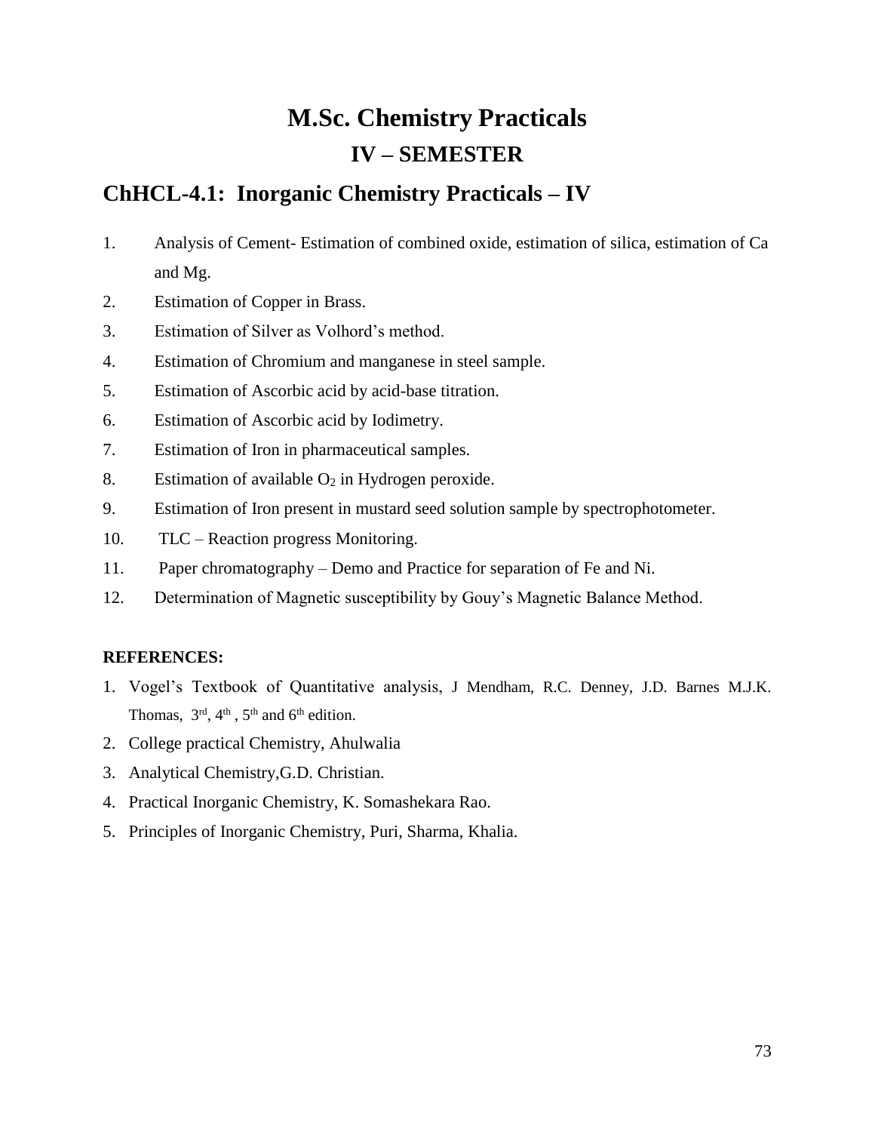# **M.Sc. Chemistry Practicals IV – SEMESTER**

## **ChHCL-4.1: Inorganic Chemistry Practicals – IV**

- 1. Analysis of Cement- Estimation of combined oxide, estimation of silica, estimation of Ca and Mg.
- 2. Estimation of Copper in Brass.
- 3. Estimation of Silver as Volhord's method.
- 4. Estimation of Chromium and manganese in steel sample.
- 5. Estimation of Ascorbic acid by acid-base titration.
- 6. Estimation of Ascorbic acid by Iodimetry.
- 7. Estimation of Iron in pharmaceutical samples.
- 8. Estimation of available  $O_2$  in Hydrogen peroxide.
- 9. Estimation of Iron present in mustard seed solution sample by spectrophotometer.
- 10. TLC Reaction progress Monitoring.
- 11. Paper chromatography Demo and Practice for separation of Fe and Ni.
- 12. Determination of Magnetic susceptibility by Gouy's Magnetic Balance Method.

### **REFERENCES:**

- 1. Vogel's Textbook of Quantitative analysis, J Mendham, R.C. Denney, J.D. Barnes M.J.K. Thomas,  $3<sup>rd</sup>$ ,  $4<sup>th</sup>$ ,  $5<sup>th</sup>$  and  $6<sup>th</sup>$  edition.
- 2. College practical Chemistry, Ahulwalia
- 3. Analytical Chemistry,G.D. Christian.
- 4. Practical Inorganic Chemistry, K. Somashekara Rao.
- 5. Principles of Inorganic Chemistry, Puri, Sharma, Khalia.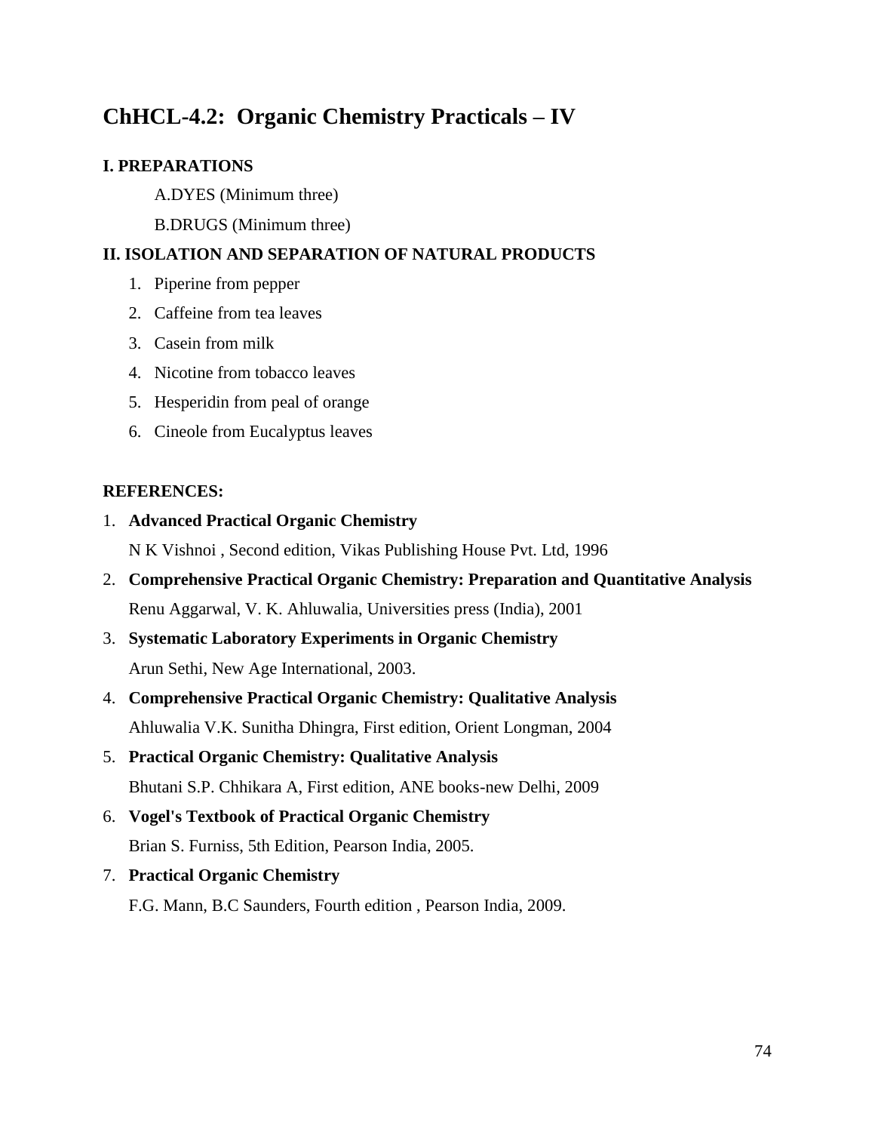# **ChHCL-4.2: Organic Chemistry Practicals – IV**

### **I. PREPARATIONS**

A.DYES (Minimum three)

B.DRUGS (Minimum three)

### **II. ISOLATION AND SEPARATION OF NATURAL PRODUCTS**

- 1. Piperine from pepper
- 2. Caffeine from tea leaves
- 3. Casein from milk
- 4. Nicotine from tobacco leaves
- 5. Hesperidin from peal of orange
- 6. Cineole from Eucalyptus leaves

#### **REFERENCES:**

1. **Advanced Practical Organic Chemistry**

N K Vishnoi , Second edition, Vikas Publishing House Pvt. Ltd, 1996

- 2. **Comprehensive Practical Organic Chemistry: Preparation and Quantitative Analysis** Renu Aggarwal, V. K. Ahluwalia, Universities press (India), 2001
- 3. **Systematic Laboratory Experiments in Organic Chemistry** Arun Sethi, New Age International, 2003.
- 4. **Comprehensive Practical Organic Chemistry: Qualitative Analysis** Ahluwalia V.K. Sunitha Dhingra, First edition, Orient Longman, 2004
- 5. **Practical Organic Chemistry: Qualitative Analysis** Bhutani S.P. Chhikara A, First edition, ANE books-new Delhi, 2009
- 6. **Vogel's Textbook of Practical Organic Chemistry** Brian S. Furniss, 5th Edition, Pearson India, 2005.
- 7. **Practical Organic Chemistry**

F.G. Mann, B.C Saunders, Fourth edition , Pearson India, 2009.